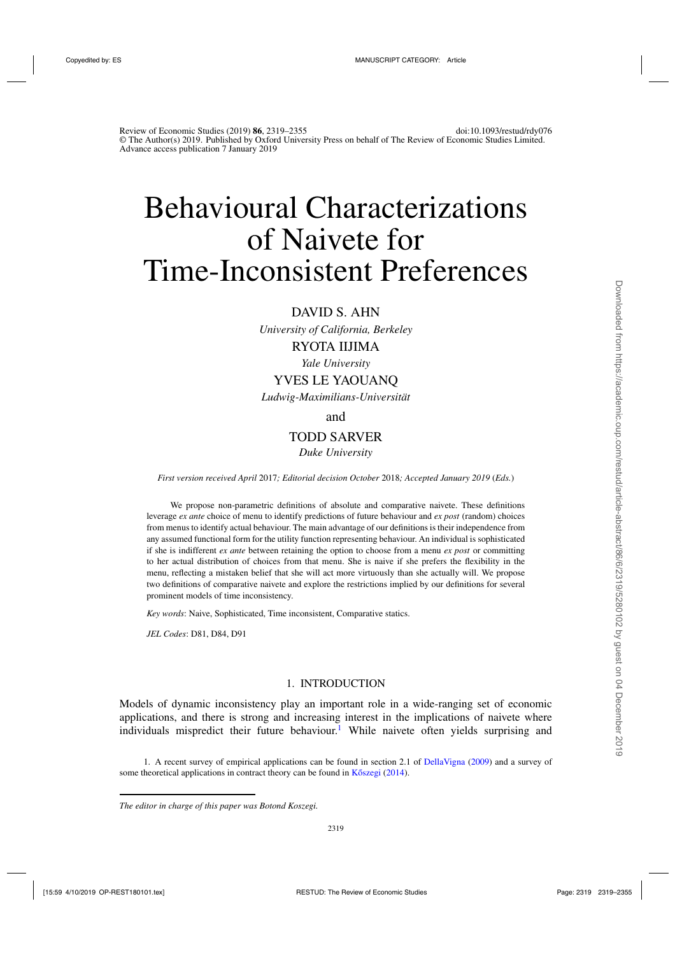# Behavioural Characterizations of Naivete for Time-Inconsistent Preferences

# DAVID S. AHN

*University of California, Berkeley*

# RYOTA IIJIMA

*Yale University*

# YVES LE YAOUANQ

*Ludwig-Maximilians-Universität*

## and

# TODD SARVER

## *Duke University*

*First version received April* 2017*; Editorial decision October* 2018*; Accepted January 2019* (*Eds.*)

We propose non-parametric definitions of absolute and comparative naivete. These definitions leverage *ex ante* choice of menu to identify predictions of future behaviour and *ex post* (random) choices from menus to identify actual behaviour. The main advantage of our definitions is their independence from any assumed functional form for the utility function representing behaviour. An individual is sophisticated if she is indifferent *ex ante* between retaining the option to choose from a menu *ex post* or committing to her actual distribution of choices from that menu. She is naive if she prefers the flexibility in the menu, reflecting a mistaken belief that she will act more virtuously than she actually will. We propose two definitions of comparative naivete and explore the restrictions implied by our definitions for several prominent models of time inconsistency.

*Key words*: Naive, Sophisticated, Time inconsistent, Comparative statics.

*JEL Codes*: D81, D84, D91

## 1. INTRODUCTION

Models of dynamic inconsistency play an important role in a wide-ranging set of economic applications, and there is strong and increasing interest in the implications of naivete where individuals mispredict their future behaviour.<sup>1</sup> While naivete often yields surprising and

1. A recent survey of empirical applications can be found in section 2.1 of [DellaVigna](#page-35-0) [\(2009](#page-35-0)) and a survey of some theoretical applications in contract theory can be found in  $K\tilde{c}szegi$   $(2014)$ .

*The editor in charge of this paper was Botond Koszegi.*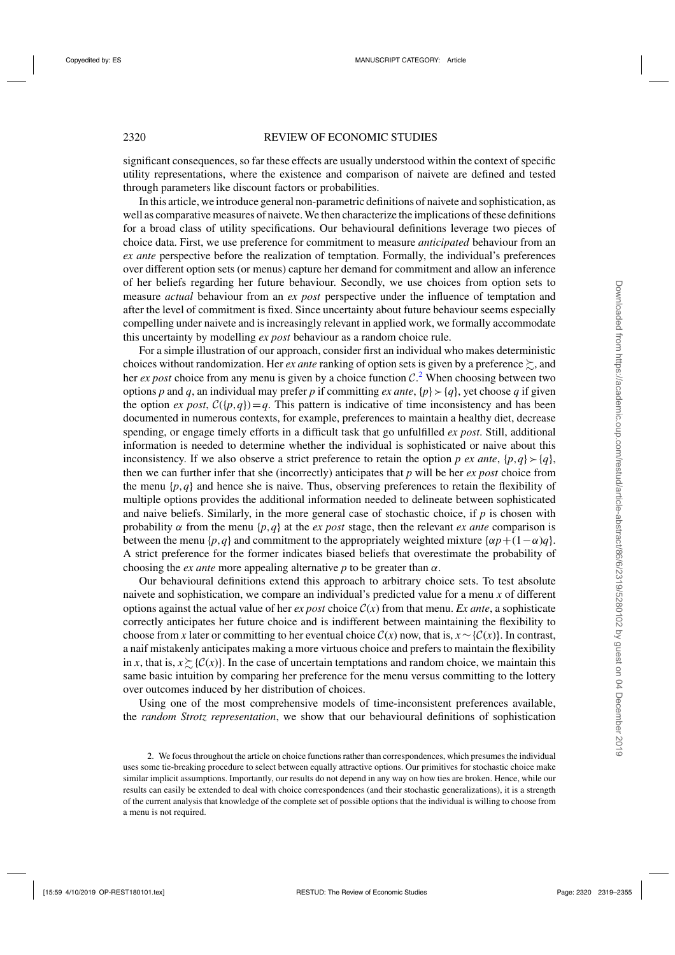significant consequences, so far these effects are usually understood within the context of specific utility representations, where the existence and comparison of naivete are defined and tested through parameters like discount factors or probabilities.

In this article, we introduce general non-parametric definitions of naivete and sophistication, as well as comparative measures of naivete. We then characterize the implications of these definitions for a broad class of utility specifications. Our behavioural definitions leverage two pieces of choice data. First, we use preference for commitment to measure *anticipated* behaviour from an *ex ante* perspective before the realization of temptation. Formally, the individual's preferences over different option sets (or menus) capture her demand for commitment and allow an inference of her beliefs regarding her future behaviour. Secondly, we use choices from option sets to measure *actual* behaviour from an *ex post* perspective under the influence of temptation and after the level of commitment is fixed. Since uncertainty about future behaviour seems especially compelling under naivete and is increasingly relevant in applied work, we formally accommodate this uncertainty by modelling *ex post* behaviour as a random choice rule.

For a simple illustration of our approach, consider first an individual who makes deterministic choices without randomization. Her *ex ante* ranking of option sets is given by a preference  $\succsim$ , and her *ex post* choice from any menu is given by a choice function  $C^2$ . When choosing between two options *p* and *q*, an individual may prefer *p* if committing *ex ante*,  $\{p\} \succ \{q\}$ , yet choose *q* if given the option *ex post*,  $C({p,q})=q$ . This pattern is indicative of time inconsistency and has been documented in numerous contexts, for example, preferences to maintain a healthy diet, decrease spending, or engage timely efforts in a difficult task that go unfulfilled *ex post*. Still, additional information is needed to determine whether the individual is sophisticated or naive about this inconsistency. If we also observe a strict preference to retain the option *p* ex ante,  $\{p,q\} \succ \{q\}$ , then we can further infer that she (incorrectly) anticipates that *p* will be her *ex post* choice from the menu  $\{p, q\}$  and hence she is naive. Thus, observing preferences to retain the flexibility of multiple options provides the additional information needed to delineate between sophisticated and naive beliefs. Similarly, in the more general case of stochastic choice, if  $p$  is chosen with probability  $\alpha$  from the menu {*p*,*q*} at the *ex post* stage, then the relevant *ex ante* comparison is between the menu { $p, q$ } and commitment to the appropriately weighted mixture { $\alpha p + (1-\alpha)q$ }. A strict preference for the former indicates biased beliefs that overestimate the probability of choosing the *ex ante* more appealing alternative  $p$  to be greater than  $\alpha$ .

Our behavioural definitions extend this approach to arbitrary choice sets. To test absolute naivete and sophistication, we compare an individual's predicted value for a menu *x* of different options against the actual value of her *ex post* choice  $C(x)$  from that menu. *Ex ante*, a sophisticate correctly anticipates her future choice and is indifferent between maintaining the flexibility to choose from *x* later or committing to her eventual choice  $C(x)$  now, that is,  $x \sim \{C(x)\}\.$  In contrast, a naif mistakenly anticipates making a more virtuous choice and prefers to maintain the flexibility in *x*, that is,  $x \gtrsim$  {C(*x*)}. In the case of uncertain temptations and random choice, we maintain this same basic intuition by comparing her preference for the menu versus committing to the lottery over outcomes induced by her distribution of choices.

Using one of the most comprehensive models of time-inconsistent preferences available, the *random Strotz representation*, we show that our behavioural definitions of sophistication

<sup>2.</sup> We focus throughout the article on choice functions rather than correspondences, which presumes the individual uses some tie-breaking procedure to select between equally attractive options. Our primitives for stochastic choice make similar implicit assumptions. Importantly, our results do not depend in any way on how ties are broken. Hence, while our results can easily be extended to deal with choice correspondences (and their stochastic generalizations), it is a strength of the current analysis that knowledge of the complete set of possible options that the individual is willing to choose from a menu is not required.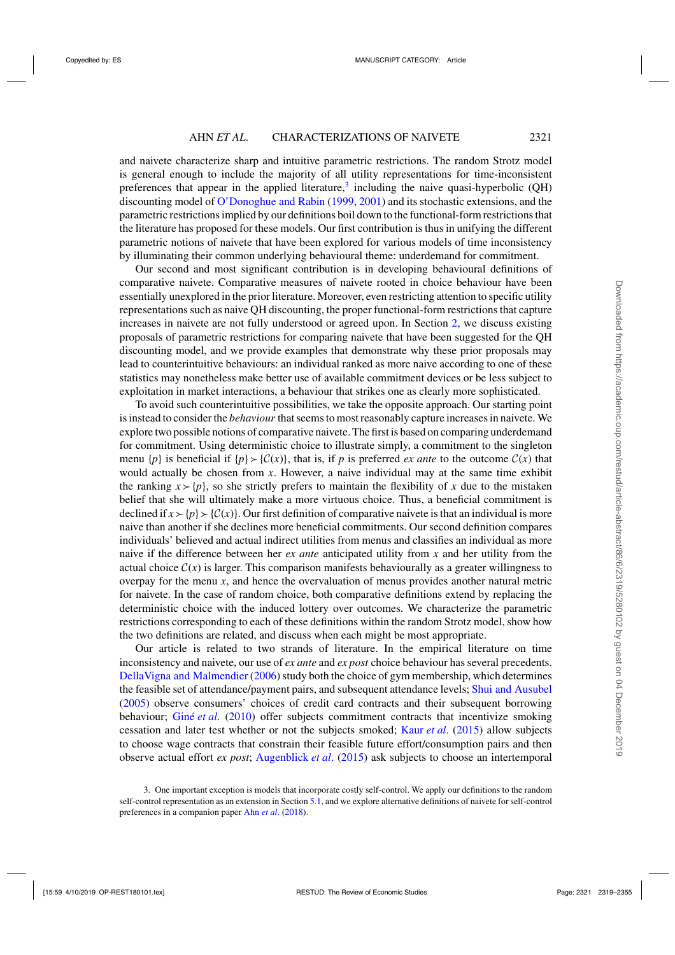and naivete characterize sharp and intuitive parametric restrictions. The random Strotz model is general enough to include the majority of all utility representations for time-inconsistent preferences that appear in the applied literature, $3$  including the naive quasi-hyperbolic (QH) discounting model of [O'Donoghue and Rabin](#page-36-0) [\(1999](#page-36-0), [2001\)](#page-36-0) and its stochastic extensions, and the parametric restrictions implied by our definitions boil down to the functional-form restrictions that the literature has proposed for these models. Our first contribution is thus in unifying the different parametric notions of naivete that have been explored for various models of time inconsistency by illuminating their common underlying behavioural theme: underdemand for commitment.

Our second and most significant contribution is in developing behavioural definitions of comparative naivete. Comparative measures of naivete rooted in choice behaviour have been essentially unexplored in the prior literature. Moreover, even restricting attention to specific utility representations such as naive QH discounting, the proper functional-form restrictions that capture increases in naivete are not fully understood or agreed upon. In Section [2,](#page-3-0) we discuss existing proposals of parametric restrictions for comparing naivete that have been suggested for the QH discounting model, and we provide examples that demonstrate why these prior proposals may lead to counterintuitive behaviours: an individual ranked as more naive according to one of these statistics may nonetheless make better use of available commitment devices or be less subject to exploitation in market interactions, a behaviour that strikes one as clearly more sophisticated.

To avoid such counterintuitive possibilities, we take the opposite approach. Our starting point is instead to consider the *behaviour* that seems to most reasonably capture increases in naivete. We explore two possible notions of comparative naivete. The first is based on comparing underdemand for commitment. Using deterministic choice to illustrate simply, a commitment to the singleton menu  $\{p\}$  is beneficial if  $\{p\} \succ \{C(x)\}\$ , that is, if *p* is preferred *ex ante* to the outcome  $C(x)$  that would actually be chosen from *x*. However, a naive individual may at the same time exhibit the ranking  $x \succ p$ , so she strictly prefers to maintain the flexibility of x due to the mistaken belief that she will ultimately make a more virtuous choice. Thus, a beneficial commitment is declined if  $x > {p} > {C(x)}$ . Our first definition of comparative naivete is that an individual is more naive than another if she declines more beneficial commitments. Our second definition compares individuals' believed and actual indirect utilities from menus and classifies an individual as more naive if the difference between her *ex ante* anticipated utility from *x* and her utility from the actual choice  $C(x)$  is larger. This comparison manifests behaviourally as a greater willingness to overpay for the menu *x*, and hence the overvaluation of menus provides another natural metric for naivete. In the case of random choice, both comparative definitions extend by replacing the deterministic choice with the induced lottery over outcomes. We characterize the parametric restrictions corresponding to each of these definitions within the random Strotz model, show how the two definitions are related, and discuss when each might be most appropriate.

Our article is related to two strands of literature. In the empirical literature on time inconsistency and naivete, our use of *ex ante* and *ex post* choice behaviour has several precedents. [DellaVigna and Malmendier](#page-35-0) [\(2006](#page-35-0)) study both the choice of gym membership, which determines the feasible set of attendance/payment pairs, and subsequent attendance levels; [Shui and Ausubel](#page-36-0) [\(2005\)](#page-36-0) observe consumers' choices of credit card contracts and their subsequent borrowing behaviour; [Giné](#page-35-0) *et al*. [\(2010\)](#page-35-0) offer subjects commitment contracts that incentivize smoking cessation and later test whether or not the subjects smoked; [Kaur](#page-36-0) *et al*. [\(2015\)](#page-36-0) allow subjects to choose wage contracts that constrain their feasible future effort/consumption pairs and then observe actual effort *ex post*; [Augenblick](#page-35-0) *et al*. [\(2015\)](#page-35-0) ask subjects to choose an intertemporal

<sup>3.</sup> One important exception is models that incorporate costly self-control. We apply our definitions to the random self-control representation as an extension in Section [5.1,](#page-26-0) and we explore alternative definitions of naivete for self-control preferences in a companion paper Ahn *[et al](#page-35-0)*. [\(2018](#page-35-0)).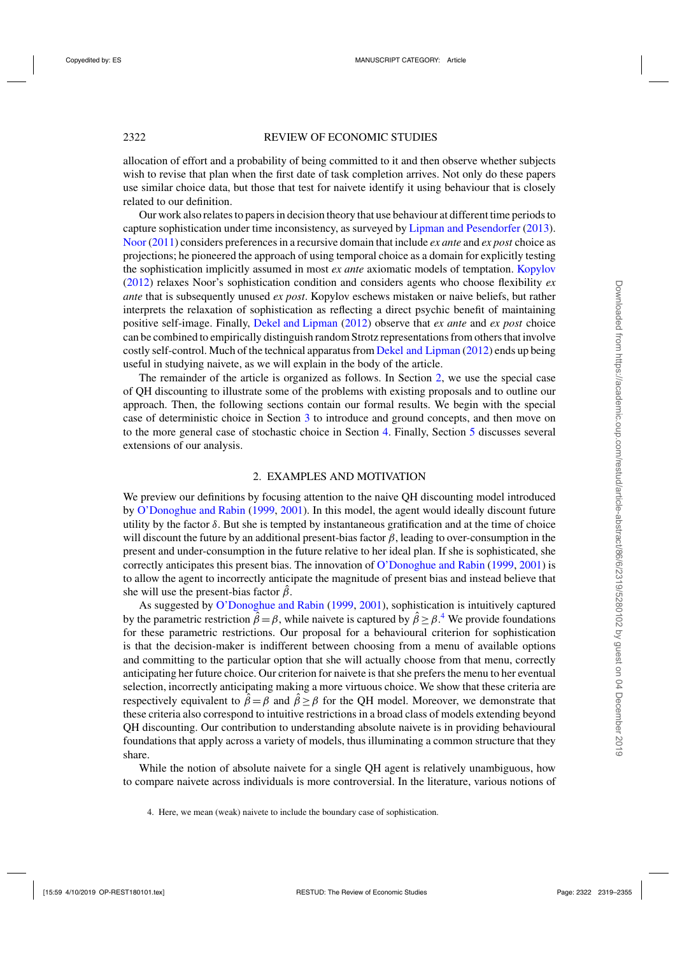<span id="page-3-0"></span>allocation of effort and a probability of being committed to it and then observe whether subjects wish to revise that plan when the first date of task completion arrives. Not only do these papers use similar choice data, but those that test for naivete identify it using behaviour that is closely related to our definition.

Our work also relates to papers in decision theory that use behaviour at different time periods to capture sophistication under time inconsistency, as surveyed by [Lipman and Pesendorfer](#page-36-0) [\(2013](#page-36-0)). [Noor](#page-36-0) [\(2011](#page-36-0)) considers preferences in a recursive domain that include *ex ante* and *ex post* choice as projections; he pioneered the approach of using temporal choice as a domain for explicitly testing the sophistication implicitly assumed in most *ex ante* axiomatic models of temptation. [Kopylov](#page-36-0) [\(2012](#page-36-0)) relaxes Noor's sophistication condition and considers agents who choose flexibility *ex ante* that is subsequently unused *ex post*. Kopylov eschews mistaken or naive beliefs, but rather interprets the relaxation of sophistication as reflecting a direct psychic benefit of maintaining positive self-image. Finally, [Dekel and Lipman](#page-35-0) [\(2012](#page-35-0)) observe that *ex ante* and *ex post* choice can be combined to empirically distinguish random Strotz representations from others that involve costly self-control. Much of the technical apparatus from [Dekel and Lipman](#page-35-0) [\(2012](#page-35-0)) ends up being useful in studying naivete, as we will explain in the body of the article.

The remainder of the article is organized as follows. In Section 2, we use the special case of QH discounting to illustrate some of the problems with existing proposals and to outline our approach. Then, the following sections contain our formal results. We begin with the special case of deterministic choice in Section [3](#page-10-0) to introduce and ground concepts, and then move on to the more general case of stochastic choice in Section [4.](#page-18-0) Finally, Section [5](#page-26-0) discusses several extensions of our analysis.

## 2. EXAMPLES AND MOTIVATION

We preview our definitions by focusing attention to the naive QH discounting model introduced by [O'Donoghue and Rabin](#page-36-0) [\(1999](#page-36-0), [2001](#page-36-0)). In this model, the agent would ideally discount future utility by the factor  $\delta$ . But she is tempted by instantaneous gratification and at the time of choice will discount the future by an additional present-bias factor  $\beta$ , leading to over-consumption in the present and under-consumption in the future relative to her ideal plan. If she is sophisticated, she correctly anticipates this present bias. The innovation of [O'Donoghue and Rabin](#page-36-0) [\(1999](#page-36-0), [2001\)](#page-36-0) is to allow the agent to incorrectly anticipate the magnitude of present bias and instead believe that she will use the present-bias factor  $\hat{\beta}$ .

As suggested by [O'Donoghue and Rabin](#page-36-0) [\(1999,](#page-36-0) [2001](#page-36-0)), sophistication is intuitively captured by the parametric restriction  $\hat{\beta} = \beta$ , while naivete is captured by  $\hat{\beta} \ge \beta$ .<sup>4</sup> We provide foundations for these parametric restrictions. Our proposal for a behavioural criterion for sophistication is that the decision-maker is indifferent between choosing from a menu of available options and committing to the particular option that she will actually choose from that menu, correctly anticipating her future choice. Our criterion for naivete is that she prefers the menu to her eventual selection, incorrectly anticipating making a more virtuous choice. We show that these criteria are respectively equivalent to  $\hat{\beta} = \beta$  and  $\hat{\beta} \ge \beta$  for the QH model. Moreover, we demonstrate that these criteria also correspond to intuitive restrictions in a broad class of models extending beyond QH discounting. Our contribution to understanding absolute naivete is in providing behavioural foundations that apply across a variety of models, thus illuminating a common structure that they share.

While the notion of absolute naivete for a single QH agent is relatively unambiguous, how to compare naivete across individuals is more controversial. In the literature, various notions of

<sup>4.</sup> Here, we mean (weak) naivete to include the boundary case of sophistication.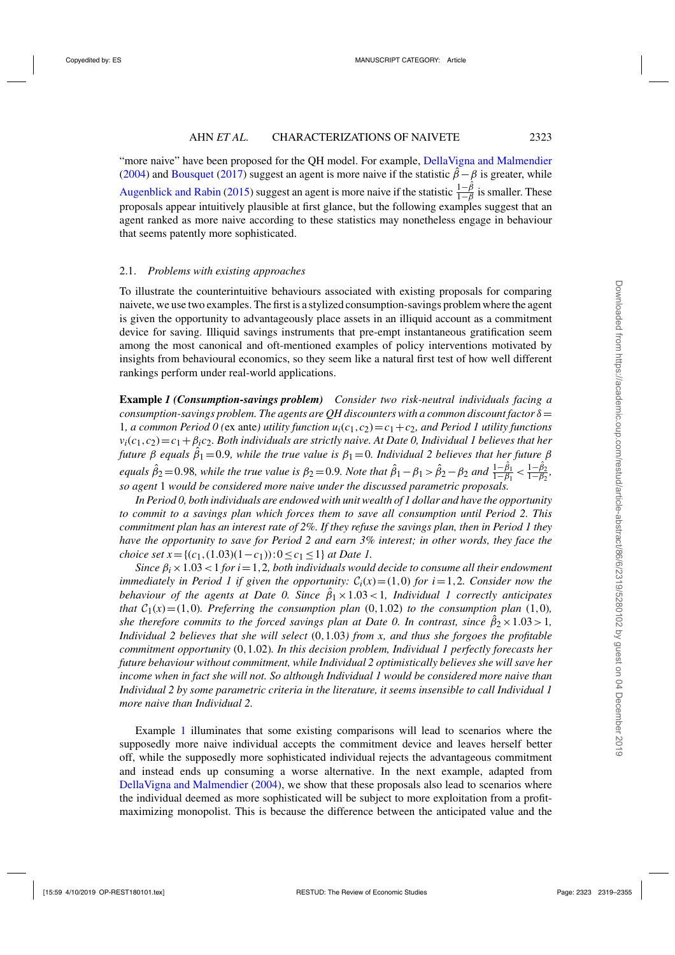<span id="page-4-0"></span>"more naive" have been proposed for the QH model. For example, [DellaVigna and Malmendier](#page-35-0) [\(2004\)](#page-35-0) and [Bousquet](#page-35-0) [\(2017](#page-35-0)) suggest an agent is more naive if the statistic  $\hat{\beta} - \beta$  is greater, while [Augenblick and Rabin](#page-35-0) [\(2015](#page-35-0)) suggest an agent is more naive if the statistic  $\frac{1-\hat{\beta}}{1-\beta}$  is smaller. These proposals appear intuitively plausible at first glance, but the following examples suggest that an agent ranked as more naive according to these statistics may nonetheless engage in behaviour that seems patently more sophisticated.

## 2.1. *Problems with existing approaches*

To illustrate the counterintuitive behaviours associated with existing proposals for comparing naivete, we use two examples. The first is a stylized consumption-savings problem where the agent is given the opportunity to advantageously place assets in an illiquid account as a commitment device for saving. Illiquid savings instruments that pre-empt instantaneous gratification seem among the most canonical and oft-mentioned examples of policy interventions motivated by insights from behavioural economics, so they seem like a natural first test of how well different rankings perform under real-world applications.

**Example** *1 (Consumption-savings problem) Consider two risk-neutral individuals facing a consumption-savings problem. The agents are QH discounters with a common discount factor*  $\delta$  = 1*, a common Period 0 (ex ante) utility function*  $u_i(c_1, c_2) = c_1 + c_2$ *<i>, and Period 1 utility functions*  $v_i(c_1, c_2) = c_1 + \beta_i c_2$ . Both individuals are strictly naive. At Date 0, Individual 1 believes that her *future* β *equals* βˆ <sup>1</sup> =0.9*, while the true value is* β<sup>1</sup> =0*. Individual 2 believes that her future* β *equals*  $\hat{\beta}_2 = 0.98$ *, while the true value is*  $\beta_2 = 0.9$ *. Note that*  $\hat{\beta}_1 - \beta_1 > \hat{\beta}_2 - \beta_2$  and  $\frac{1-\hat{\beta}_1}{1-\beta_1} < \frac{1-\hat{\beta}_2}{1-\beta_2}$ *, so agent* 1 *would be considered more naive under the discussed parametric proposals.*

*In Period 0, both individuals are endowed with unit wealth of 1 dollar and have the opportunity to commit to a savings plan which forces them to save all consumption until Period 2. This commitment plan has an interest rate of 2%. If they refuse the savings plan, then in Period 1 they have the opportunity to save for Period 2 and earn 3% interest; in other words, they face the choice set*  $x = \{(c_1, (1.03)(1-c_1)) : 0 \le c_1 \le 1\}$  *at Date 1.* 

*Since*  $\beta_i \times 1.03 < 1$  *for i* = 1,2*, both individuals would decide to consume all their endowment immediately in Period 1 if given the opportunity:*  $C_i(x) = (1,0)$  *for i* = 1,2*. Consider now the behaviour of the agents at Date 0. Since*  $\hat{\beta}_1 \times 1.03 < 1$ , *Individual 1 correctly anticipates that*  $C_1(x) = (1,0)$ *. Preferring the consumption plan*  $(0,1.02)$  *to the consumption plan*  $(1,0)$ *, she therefore commits to the forced savings plan at Date 0. In contrast, since*  $\hat{\beta}_2 \times 1.03 > 1$ , *Individual 2 believes that she will select* (0,1.03*) from x, and thus she forgoes the profitable commitment opportunity* (0,1.02)*. In this decision problem, Individual 1 perfectly forecasts her future behaviour without commitment, while Individual 2 optimistically believes she will save her income when in fact she will not. So although Individual 1 would be considered more naive than Individual 2 by some parametric criteria in the literature, it seems insensible to call Individual 1 more naive than Individual 2.*

Example 1 illuminates that some existing comparisons will lead to scenarios where the supposedly more naive individual accepts the commitment device and leaves herself better off, while the supposedly more sophisticated individual rejects the advantageous commitment and instead ends up consuming a worse alternative. In the next example, adapted from [DellaVigna and Malmendier](#page-35-0) [\(2004](#page-35-0)), we show that these proposals also lead to scenarios where the individual deemed as more sophisticated will be subject to more exploitation from a profitmaximizing monopolist. This is because the difference between the anticipated value and the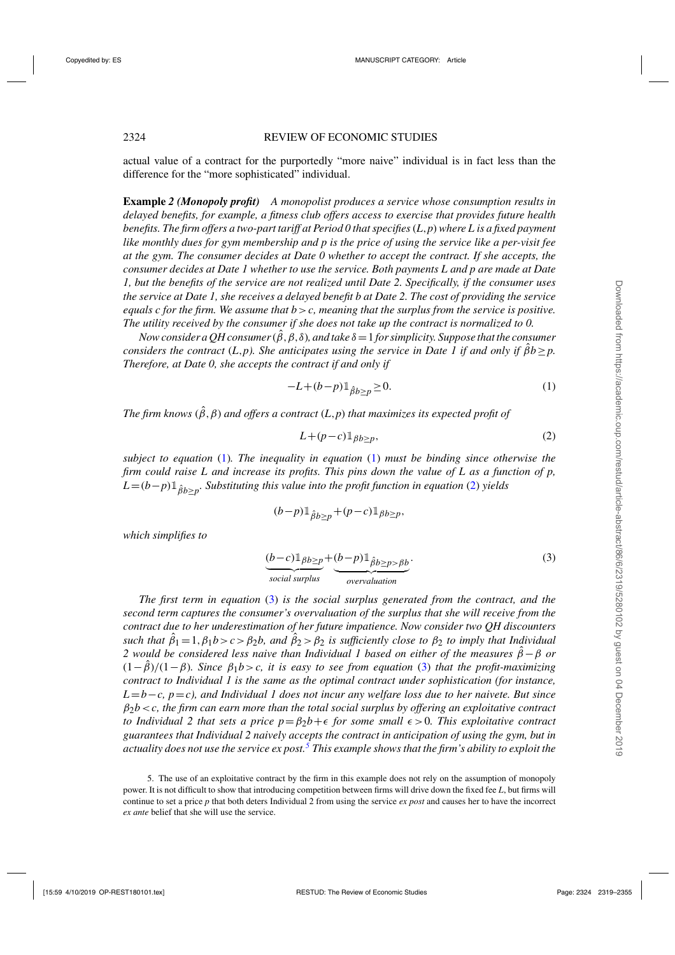<span id="page-5-0"></span>actual value of a contract for the purportedly "more naive" individual is in fact less than the difference for the "more sophisticated" individual.

**Example** *2 (Monopoly profit) A monopolist produces a service whose consumption results in delayed benefits, for example, a fitness club offers access to exercise that provides future health benefits. The firm offers a two-part tariff at Period 0 that specifies*(*L*,*p*) *where L is a fixed payment like monthly dues for gym membership and p is the price of using the service like a per-visit fee at the gym. The consumer decides at Date 0 whether to accept the contract. If she accepts, the consumer decides at Date 1 whether to use the service. Both payments L and p are made at Date 1, but the benefits of the service are not realized until Date 2. Specifically, if the consumer uses the service at Date 1, she receives a delayed benefit b at Date 2. The cost of providing the service equals c for the firm. We assume that b*>*c, meaning that the surplus from the service is positive. The utility received by the consumer if she does not take up the contract is normalized to 0.*

*Now consider a QH consumer* ( $\hat{\beta}$ ,  $\beta$ ,  $\delta$ ), and take  $\delta$  = 1 *for simplicity. Suppose that the consumer considers the contract* (*L*,*p*). She anticipates using the service in Date 1 if and only if  $\hat{\beta}b \geq p$ . *Therefore, at Date 0, she accepts the contract if and only if*

$$
-L + (b - p) \mathbb{1}_{\hat{\beta}b \ge p} \ge 0. \tag{1}
$$

*The firm knows*  $(\hat{\beta}, \beta)$  *and offers a contract*  $(L, p)$  *that maximizes its expected profit of* 

$$
L + (p - c) \mathbb{1}_{\beta b \ge p},\tag{2}
$$

*subject to equation* (1)*. The inequality in equation* (1) *must be binding since otherwise the firm could raise L and increase its profits. This pins down the value of L as a function of p,*  $L=(b-p)1_{\hat{\beta}b>n}$ *. Substituting this value into the profit function in equation* (2) *yields* 

$$
(b-p)1_{\hat{\beta}b \ge p} + (p-c)1_{\beta b \ge p},
$$

*which simplifies to*

$$
\underbrace{(b-c)\mathbb{1}_{\beta b \ge p}}_{social surplus} + \underbrace{(b-p)\mathbb{1}_{\hat{\beta b \ge p > \beta b}}}_{overvaluation}.
$$
\n(3)

*The first term in equation* (3) *is the social surplus generated from the contract, and the second term captures the consumer's overvaluation of the surplus that she will receive from the contract due to her underestimation of her future impatience. Now consider two QH discounters such that*  $\hat{\beta}_1 = 1, \beta_1 b > c > \beta_2 b$ , and  $\hat{\beta}_2 > \beta_2$  is sufficiently close to  $\beta_2$  to imply that Individual *2 would be considered less naive than Individual 1 based on either of the measures*  $β − β$  *or* (1−βˆ)/(1−β)*. Since* β1*b*>*c, it is easy to see from equation* (3) *that the profit-maximizing contract to Individual 1 is the same as the optimal contract under sophistication (for instance, L*=*b*−*c, p*=*c), and Individual 1 does not incur any welfare loss due to her naivete. But since* β2*b*<*c, the firm can earn more than the total social surplus by offering an exploitative contract to Individual 2 that sets a price*  $p = \beta_2 b + \epsilon$  *for some small*  $\epsilon > 0$ *. This exploitative contract guarantees that Individual 2 naively accepts the contract in anticipation of using the gym, but in actuality does not use the service ex post.<sup>5</sup> This example shows that the firm's ability to exploit the*

<sup>5.</sup> The use of an exploitative contract by the firm in this example does not rely on the assumption of monopoly power. It is not difficult to show that introducing competition between firms will drive down the fixed fee *L*, but firms will continue to set a price *p* that both deters Individual 2 from using the service *ex post* and causes her to have the incorrect *ex ante* belief that she will use the service.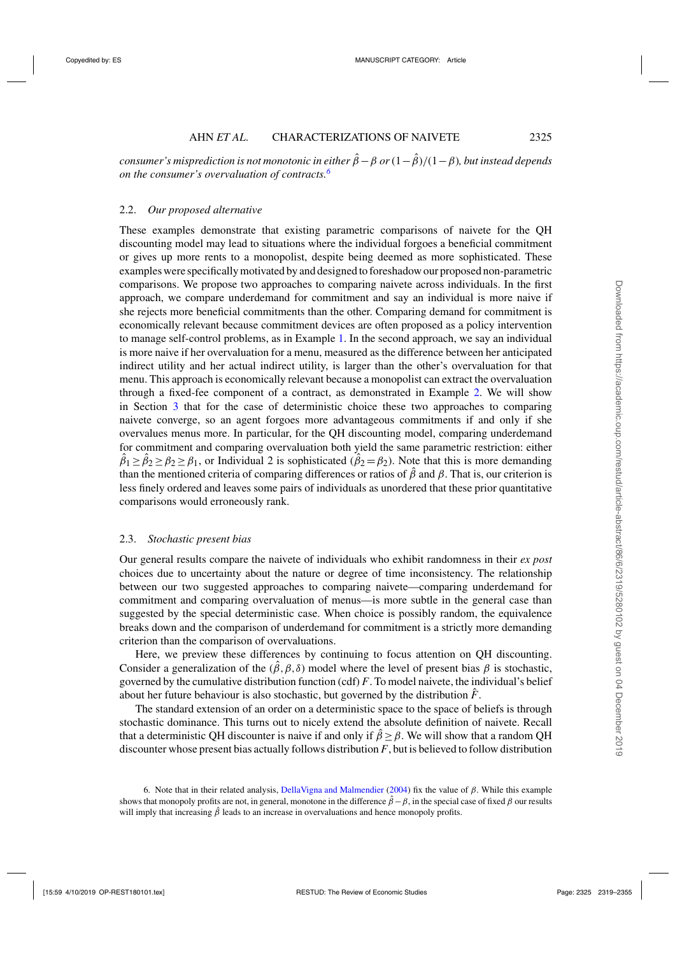*consumer's misprediction is not monotonic in either*  $\hat{\beta} - \beta$  *or*(1− $\hat{\beta}$ )/(1− $\beta$ )*, but instead depends on the consumer's overvaluation of contracts.<sup>6</sup>*

## 2.2. *Our proposed alternative*

These examples demonstrate that existing parametric comparisons of naivete for the QH discounting model may lead to situations where the individual forgoes a beneficial commitment or gives up more rents to a monopolist, despite being deemed as more sophisticated. These examples were specifically motivated by and designed to foreshadow our proposed non-parametric comparisons. We propose two approaches to comparing naivete across individuals. In the first approach, we compare underdemand for commitment and say an individual is more naive if she rejects more beneficial commitments than the other. Comparing demand for commitment is economically relevant because commitment devices are often proposed as a policy intervention to manage self-control problems, as in Example [1.](#page-4-0) In the second approach, we say an individual is more naive if her overvaluation for a menu, measured as the difference between her anticipated indirect utility and her actual indirect utility, is larger than the other's overvaluation for that menu. This approach is economically relevant because a monopolist can extract the overvaluation through a fixed-fee component of a contract, as demonstrated in Example [2.](#page-5-0) We will show in Section [3](#page-10-0) that for the case of deterministic choice these two approaches to comparing naivete converge, so an agent forgoes more advantageous commitments if and only if she overvalues menus more. In particular, for the QH discounting model, comparing underdemand for commitment and comparing overvaluation both yield the same parametric restriction: either  $\hat{\beta}_1 \ge \hat{\beta}_2 \ge \beta_2 \ge \beta_1$ , or Individual 2 is sophisticated  $(\hat{\beta}_2 = \beta_2)$ . Note that this is more demanding than the mentioned criteria of comparing differences or ratios of  $\hat{\beta}$  and  $\beta$ . That is, our criterion is less finely ordered and leaves some pairs of individuals as unordered that these prior quantitative comparisons would erroneously rank.

## 2.3. *Stochastic present bias*

Our general results compare the naivete of individuals who exhibit randomness in their *ex post* choices due to uncertainty about the nature or degree of time inconsistency. The relationship between our two suggested approaches to comparing naivete—comparing underdemand for commitment and comparing overvaluation of menus—is more subtle in the general case than suggested by the special deterministic case. When choice is possibly random, the equivalence breaks down and the comparison of underdemand for commitment is a strictly more demanding criterion than the comparison of overvaluations.

Here, we preview these differences by continuing to focus attention on QH discounting. Consider a generalization of the  $(\hat{\beta}, \beta, \delta)$  model where the level of present bias  $\beta$  is stochastic, governed by the cumulative distribution function (cdf) *F*. To model naivete, the individual's belief about her future behaviour is also stochastic, but governed by the distribution  $\hat{F}$ .

The standard extension of an order on a deterministic space to the space of beliefs is through stochastic dominance. This turns out to nicely extend the absolute definition of naivete. Recall that a deterministic QH discounter is naive if and only if  $\hat{\beta} \ge \beta$ . We will show that a random QH discounter whose present bias actually follows distribution *F*, but is believed to follow distribution

<sup>6.</sup> Note that in their related analysis, [DellaVigna and Malmendier](#page-35-0) [\(2004\)](#page-35-0) fix the value of β. While this example shows that monopoly profits are not, in general, monotone in the difference  $\hat{\beta} - \beta$ , in the special case of fixed  $\beta$  our results will imply that increasing  $\hat{\beta}$  leads to an increase in overvaluations and hence monopoly profits.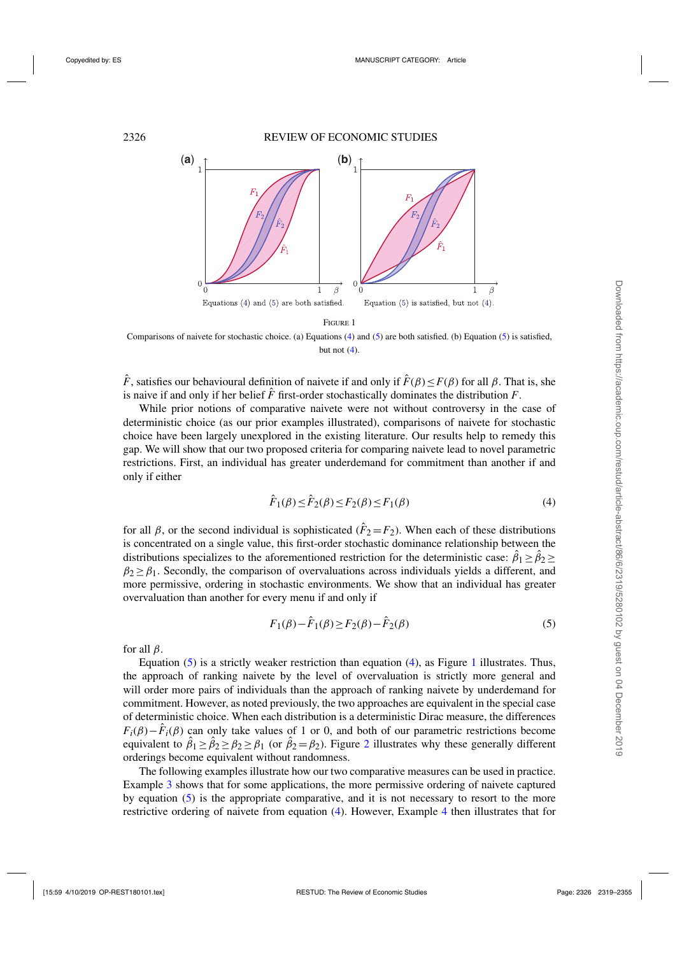<span id="page-7-0"></span>

FIGURE 1

Comparisons of naivete for stochastic choice. (a) Equations (4) and (5) are both satisfied. (b) Equation (5) is satisfied, but not  $(4)$ .

 $\hat{F}$ , satisfies our behavioural definition of naivete if and only if  $\hat{F}(\beta) \leq F(\beta)$  for all  $\beta$ . That is, she is naive if and only if her belief  $\hat{F}$  first-order stochastically dominates the distribution  $F$ .

While prior notions of comparative naivete were not without controversy in the case of deterministic choice (as our prior examples illustrated), comparisons of naivete for stochastic choice have been largely unexplored in the existing literature. Our results help to remedy this gap. We will show that our two proposed criteria for comparing naivete lead to novel parametric restrictions. First, an individual has greater underdemand for commitment than another if and only if either

$$
\hat{F}_1(\beta) \le \hat{F}_2(\beta) \le F_2(\beta) \le F_1(\beta) \tag{4}
$$

for all  $\beta$ , or the second individual is sophisticated ( $\hat{F}_2 = F_2$ ). When each of these distributions is concentrated on a single value, this first-order stochastic dominance relationship between the distributions specializes to the aforementioned restriction for the deterministic case:  $\hat{\beta}_1 \ge \hat{\beta}_2 \ge$  $\beta_2 \geq \beta_1$ . Secondly, the comparison of overvaluations across individuals yields a different, and more permissive, ordering in stochastic environments. We show that an individual has greater overvaluation than another for every menu if and only if

$$
F_1(\beta) - \hat{F}_1(\beta) \ge F_2(\beta) - \hat{F}_2(\beta)
$$
\n(5)

for all  $\beta$ .

Equation  $(5)$  is a strictly weaker restriction than equation  $(4)$ , as Figure 1 illustrates. Thus, the approach of ranking naivete by the level of overvaluation is strictly more general and will order more pairs of individuals than the approach of ranking naivete by underdemand for commitment. However, as noted previously, the two approaches are equivalent in the special case of deterministic choice. When each distribution is a deterministic Dirac measure, the differences  $F_i(\beta) - \hat{F}_i(\beta)$  can only take values of 1 or 0, and both of our parametric restrictions become equivalent to  $\hat{\beta}_1 \ge \hat{\beta}_2 \ge \beta_2 \ge \beta_1$  $\hat{\beta}_1 \ge \hat{\beta}_2 \ge \beta_2 \ge \beta_1$  $\hat{\beta}_1 \ge \hat{\beta}_2 \ge \beta_2 \ge \beta_1$  (or  $\hat{\beta}_2 = \beta_2$ ). Figure 2 illustrates why these generally different orderings become equivalent without randomness.

The following examples illustrate how our two comparative measures can be used in practice. Example [3](#page-8-0) shows that for some applications, the more permissive ordering of naivete captured by equation (5) is the appropriate comparative, and it is not necessary to resort to the more restrictive ordering of naivete from equation (4). However, Example [4](#page-9-0) then illustrates that for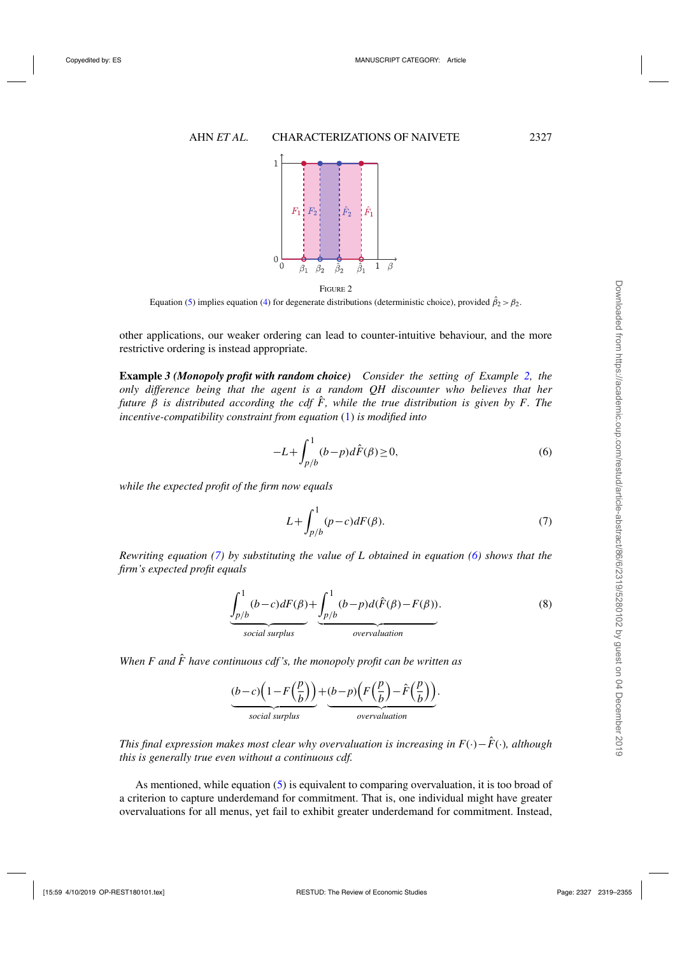<span id="page-8-0"></span>

Equation [\(5\)](#page-7-0) implies equation [\(4\)](#page-7-0) for degenerate distributions (deterministic choice), provided  $\hat{\beta}_2 > \beta_2$ .

other applications, our weaker ordering can lead to counter-intuitive behaviour, and the more restrictive ordering is instead appropriate.

**Example** *3 (Monopoly profit with random choice) Consider the setting of Example [2,](#page-5-0) the only difference being that the agent is a random QH discounter who believes that her future*  $\beta$  *is distributed according the cdf*  $\hat{F}$ *, while the true distribution is given by F. The incentive-compatibility constraint from equation* [\(1\)](#page-5-0) *is modified into*

$$
-L + \int_{p/b}^{1} (b - p)d\hat{F}(\beta) \ge 0,
$$
\n<sup>(6)</sup>

*while the expected profit of the firm now equals*

$$
L + \int_{p/b}^{1} (p-c)dF(\beta). \tag{7}
$$

*Rewriting equation (7) by substituting the value of L obtained in equation (6) shows that the firm's expected profit equals*

$$
\underbrace{\int_{p/b}^{1} (b-c) dF(\beta)}_{social surplus} + \underbrace{\int_{p/b}^{1} (b-p) d(\hat{F}(\beta) - F(\beta))}_{overolution}.
$$
\n(8)

*When F and*  $\hat{F}$  have continuous cdf's, the monopoly profit can be written as



*This final expression makes most clear why overvaluation is increasing in F(·)−* $\hat{F}$ *(·), although this is generally true even without a continuous cdf.*

As mentioned, while equation [\(5\)](#page-7-0) is equivalent to comparing overvaluation, it is too broad of a criterion to capture underdemand for commitment. That is, one individual might have greater overvaluations for all menus, yet fail to exhibit greater underdemand for commitment. Instead,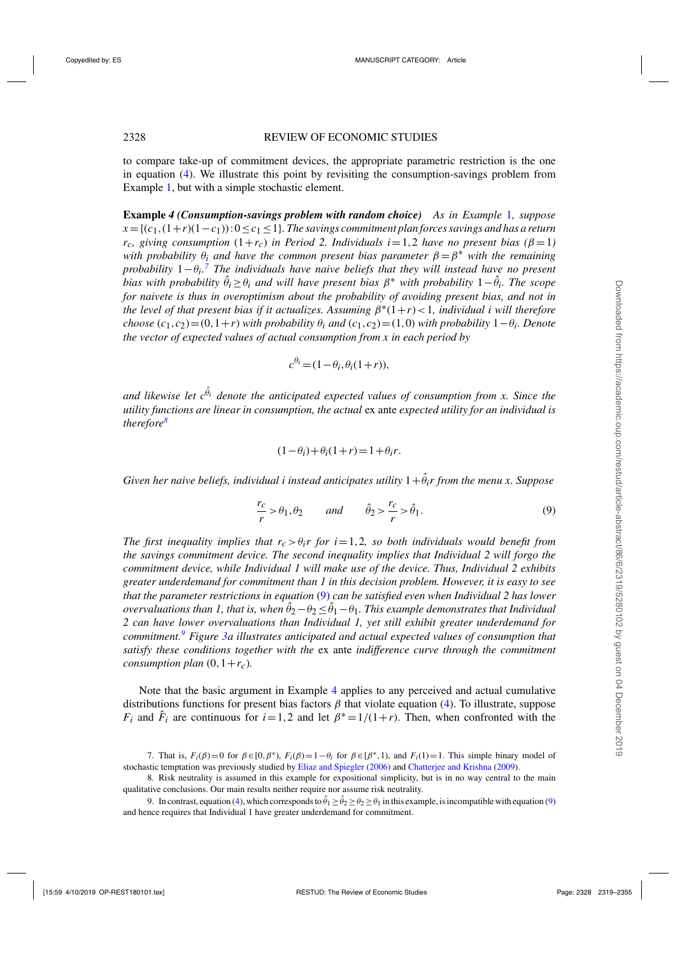<span id="page-9-0"></span>to compare take-up of commitment devices, the appropriate parametric restriction is the one in equation [\(4\)](#page-7-0). We illustrate this point by revisiting the consumption-savings problem from Example [1,](#page-4-0) but with a simple stochastic element.

**Example** *4 (Consumption-savings problem with random choice) As in Example* [1](#page-4-0)*, suppose*  $x = \{(c_1,(1+r)(1-c_1)):0 \leq c_1 \leq 1\}$ . The savings commitment plan forces savings and has a return  $r_c$ , giving consumption  $(1+r_c)$  in Period 2. Individuals  $i=1,2$  have no present bias ( $\beta=1$ ) *with probability*  $\theta_i$  *and have the common present bias parameter*  $\beta = \beta^*$  *with the remaining probability* 1−θ*i. <sup>7</sup> The individuals have naive beliefs that they will instead have no present bias with probability*  $\hat{\theta}_i \geq \theta_i$  *and will have present bias*  $\beta^*$  *with probability*  $1-\hat{\theta}_i$ *. The scope for naivete is thus in overoptimism about the probability of avoiding present bias, and not in the level of that present bias if it actualizes. Assuming*  $\beta^*(1+r) < 1$ *, individual i will therefore choose*  $(c_1, c_2) = (0, 1+r)$  *with probability*  $\theta_i$  *and*  $(c_1, c_2) = (1,0)$  *with probability*  $1-\theta_i$ *. Denote the vector of expected values of actual consumption from x in each period by*

$$
c^{\theta_i} = (1 - \theta_i, \theta_i(1+r)),
$$

and likewise let  $c^{\hat{\theta}_i}$  denote the anticipated expected values of consumption from x. Since the *utility functions are linear in consumption, the actual* ex ante *expected utility for an individual is therefore8*

$$
(1 - \theta_i) + \theta_i(1 + r) = 1 + \theta_i r.
$$

 $G$ iven her naive beliefs, individual i instead anticipates utility  $1+\hat{\theta}_ir$  from the menu x. Suppose

$$
\frac{r_c}{r} > \theta_1, \theta_2 \qquad \text{and} \qquad \hat{\theta}_2 > \frac{r_c}{r} > \hat{\theta}_1. \tag{9}
$$

*The first inequality implies that*  $r_c > \theta_i r$  *for i*=1,2*, so both individuals would benefit from the savings commitment device. The second inequality implies that Individual 2 will forgo the commitment device, while Individual 1 will make use of the device. Thus, Individual 2 exhibits greater underdemand for commitment than 1 in this decision problem. However, it is easy to see that the parameter restrictions in equation* (9) *can be satisfied even when Individual 2 has lower*  $over valuations$  than 1, that is, when  $\hat{\theta}_2 - \theta_2 \leq \hat{\theta}_1 - \theta_1$ . This example demonstrates that Individual *2 can have lower overvaluations than Individual 1, yet still exhibit greater underdemand for commitment.<sup>9</sup> Figure [3a](#page-10-0) illustrates anticipated and actual expected values of consumption that satisfy these conditions together with the* ex ante *indifference curve through the commitment consumption plan*  $(0, 1+r_c)$ *.* 

Note that the basic argument in Example 4 applies to any perceived and actual cumulative distributions functions for present bias factors  $\beta$  that violate equation [\(4\)](#page-7-0). To illustrate, suppose *F<sub>i</sub>* and  $\hat{F}_i$  are continuous for  $i = 1,2$  and let  $\beta^* = 1/(1+r)$ . Then, when confronted with the

<sup>7.</sup> That is,  $F_i(\beta)=0$  for  $\beta \in [0,\beta^*)$ ,  $F_i(\beta)=1-\theta_i$  for  $\beta \in [\beta^*,1)$ , and  $F_i(1)=1$ . This simple binary model of stochastic temptation was previously studied by [Eliaz and Spiegler](#page-35-0) [\(2006\)](#page-35-0) and [Chatterjee and Krishna](#page-35-0) [\(2009](#page-35-0)).

<sup>8.</sup> Risk neutrality is assumed in this example for expositional simplicity, but is in no way central to the main qualitative conclusions. Our main results neither require nor assume risk neutrality.

<sup>9.</sup> In contrast, equation [\(4\)](#page-7-0), which corresponds to  $\hat{\theta}_1 \ge \hat{\theta}_2 \ge \theta_2 \ge \theta_1$  in this example, is incompatible with equation (9) and hence requires that Individual 1 have greater underdemand for commitment.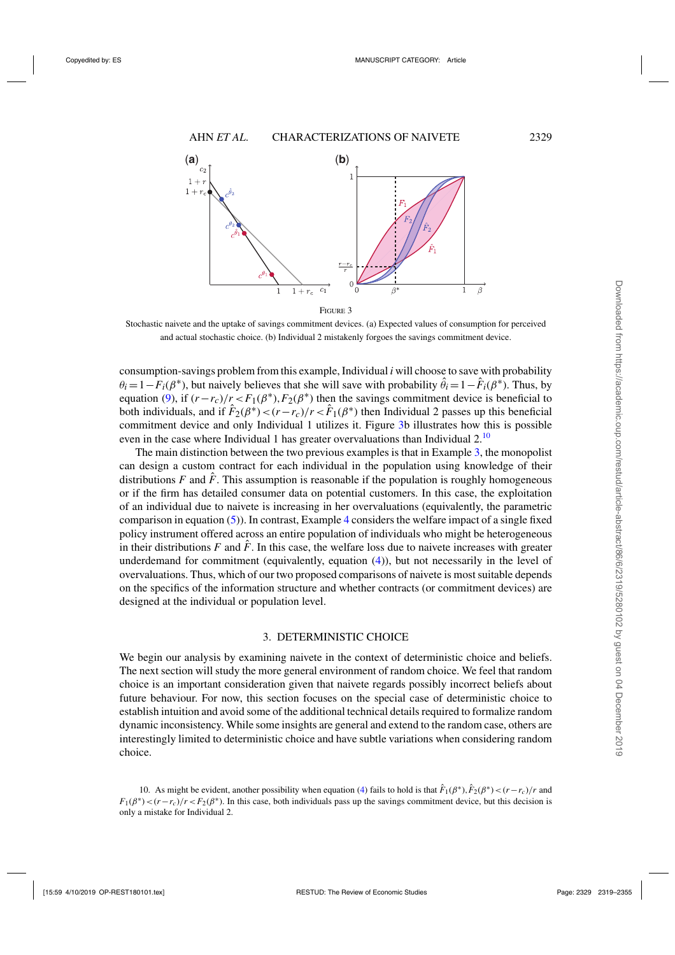<span id="page-10-0"></span>

Stochastic naivete and the uptake of savings commitment devices. (a) Expected values of consumption for perceived and actual stochastic choice. (b) Individual 2 mistakenly forgoes the savings commitment device.

consumption-savings problem from this example, Individual *i* will choose to save with probability  $\theta_i = 1 - F_i(\beta^*)$ , but naively believes that she will save with probability  $\hat{\theta}_i = 1 - \hat{F}_i(\beta^*)$ . Thus, by equation [\(9\)](#page-9-0), if  $(r-r_c)/r < F_1(\beta^*)$ ,  $F_2(\beta^*)$  then the savings commitment device is beneficial to both individuals, and if  $\hat{F}_2(\beta^*) < (r - r_c)/r < \hat{F}_1(\beta^*)$  then Individual 2 passes up this beneficial commitment device and only Individual 1 utilizes it. Figure 3b illustrates how this is possible even in the case where Individual 1 has greater overvaluations than Individual 2.<sup>10</sup>

The main distinction between the two previous examples is that in Example [3,](#page-8-0) the monopolist can design a custom contract for each individual in the population using knowledge of their distributions  $F$  and  $\hat{F}$ . This assumption is reasonable if the population is roughly homogeneous or if the firm has detailed consumer data on potential customers. In this case, the exploitation of an individual due to naivete is increasing in her overvaluations (equivalently, the parametric comparison in equation [\(5\)](#page-7-0)). In contrast, Example [4](#page-9-0) considers the welfare impact of a single fixed policy instrument offered across an entire population of individuals who might be heterogeneous in their distributions  $F$  and  $\hat{F}$ . In this case, the welfare loss due to naivete increases with greater underdemand for commitment (equivalently, equation [\(4\)](#page-7-0)), but not necessarily in the level of overvaluations. Thus, which of our two proposed comparisons of naivete is most suitable depends on the specifics of the information structure and whether contracts (or commitment devices) are designed at the individual or population level.

## 3. DETERMINISTIC CHOICE

We begin our analysis by examining naivete in the context of deterministic choice and beliefs. The next section will study the more general environment of random choice. We feel that random choice is an important consideration given that naivete regards possibly incorrect beliefs about future behaviour. For now, this section focuses on the special case of deterministic choice to establish intuition and avoid some of the additional technical details required to formalize random dynamic inconsistency. While some insights are general and extend to the random case, others are interestingly limited to deterministic choice and have subtle variations when considering random choice.

10. As might be evident, another possibility when equation [\(4\)](#page-7-0) fails to hold is that  $\hat{F}_1(\beta^*), \hat{F}_2(\beta^*) < (r - r_c)/r$  and  $F_1(\beta^*) < (r - r_c)/r < F_2(\beta^*)$ . In this case, both individuals pass up the savings commitment device, but this decision is only a mistake for Individual 2.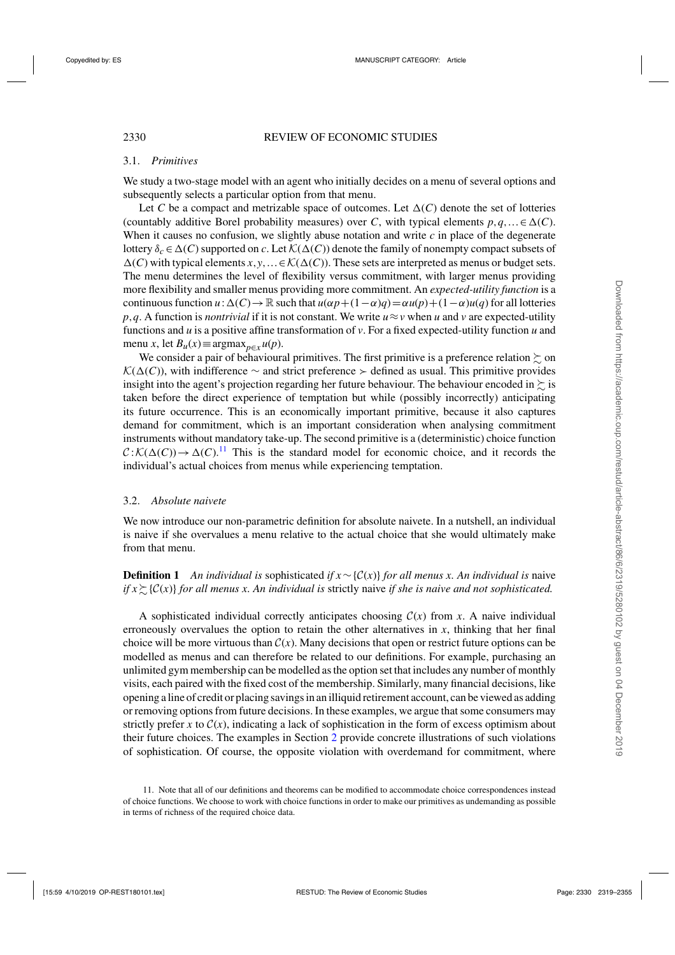## <span id="page-11-0"></span>3.1. *Primitives*

We study a two-stage model with an agent who initially decides on a menu of several options and subsequently selects a particular option from that menu.

Let *C* be a compact and metrizable space of outcomes. Let  $\Delta(C)$  denote the set of lotteries (countably additive Borel probability measures) over *C*, with typical elements  $p, q, ... \in \Delta(C)$ . When it causes no confusion, we slightly abuse notation and write  $c$  in place of the degenerate lottery  $\delta_c \in \Delta(C)$  supported on *c*. Let  $\mathcal{K}(\Delta(C))$  denote the family of nonempty compact subsets of  $\Delta(C)$  with typical elements  $x, y, \ldots \in \mathcal{K}(\Delta(C))$ . These sets are interpreted as menus or budget sets. The menu determines the level of flexibility versus commitment, with larger menus providing more flexibility and smaller menus providing more commitment. An *expected-utility function* is a continuous function  $u: \Delta(C) \to \mathbb{R}$  such that  $u(\alpha p + (1-\alpha)q) = \alpha u(p) + (1-\alpha)u(q)$  for all lotteries *p*,*q*. A function is *nontrivial* if it is not constant. We write  $u \approx v$  when *u* and *v* are expected-utility functions and *u* is a positive affine transformation of *v*. For a fixed expected-utility function *u* and menu *x*, let *B*<sub>*u*</sub>(*x*)≡argmax<sub>*p*∈*x*</sub> *u*(*p*).

We consider a pair of behavioural primitives. The first primitive is a preference relation  $\succsim$  on  $\mathcal{K}(\Delta(C))$ , with indifference ~ and strict preference ≻ defined as usual. This primitive provides insight into the agent's projection regarding her future behaviour. The behaviour encoded in  $\succsim$  is taken before the direct experience of temptation but while (possibly incorrectly) anticipating its future occurrence. This is an economically important primitive, because it also captures demand for commitment, which is an important consideration when analysing commitment instruments without mandatory take-up. The second primitive is a (deterministic) choice function  $C: \mathcal{K}(\Delta(C)) \to \Delta(C).$ <sup>11</sup> This is the standard model for economic choice, and it records the individual's actual choices from menus while experiencing temptation.

## 3.2. *Absolute naivete*

We now introduce our non-parametric definition for absolute naivete. In a nutshell, an individual is naive if she overvalues a menu relative to the actual choice that she would ultimately make from that menu.

**Definition 1** An individual is sophisticated if  $x \sim \{C(x)\}$  *for all menus x. An individual is* naive *if x*-{C(*x*)} *for all menus x. An individual is* strictly naive *if she is naive and not sophisticated.*

A sophisticated individual correctly anticipates choosing  $C(x)$  from x. A naive individual erroneously overvalues the option to retain the other alternatives in  $x$ , thinking that her final choice will be more virtuous than  $C(x)$ . Many decisions that open or restrict future options can be modelled as menus and can therefore be related to our definitions. For example, purchasing an unlimited gym membership can be modelled as the option set that includes any number of monthly visits, each paired with the fixed cost of the membership. Similarly, many financial decisions, like opening a line of credit or placing savings in an illiquid retirement account, can be viewed as adding or removing options from future decisions. In these examples, we argue that some consumers may strictly prefer *x* to  $C(x)$ , indicating a lack of sophistication in the form of excess optimism about their future choices. The examples in Section [2](#page-3-0) provide concrete illustrations of such violations of sophistication. Of course, the opposite violation with overdemand for commitment, where

<sup>11.</sup> Note that all of our definitions and theorems can be modified to accommodate choice correspondences instead of choice functions. We choose to work with choice functions in order to make our primitives as undemanding as possible in terms of richness of the required choice data.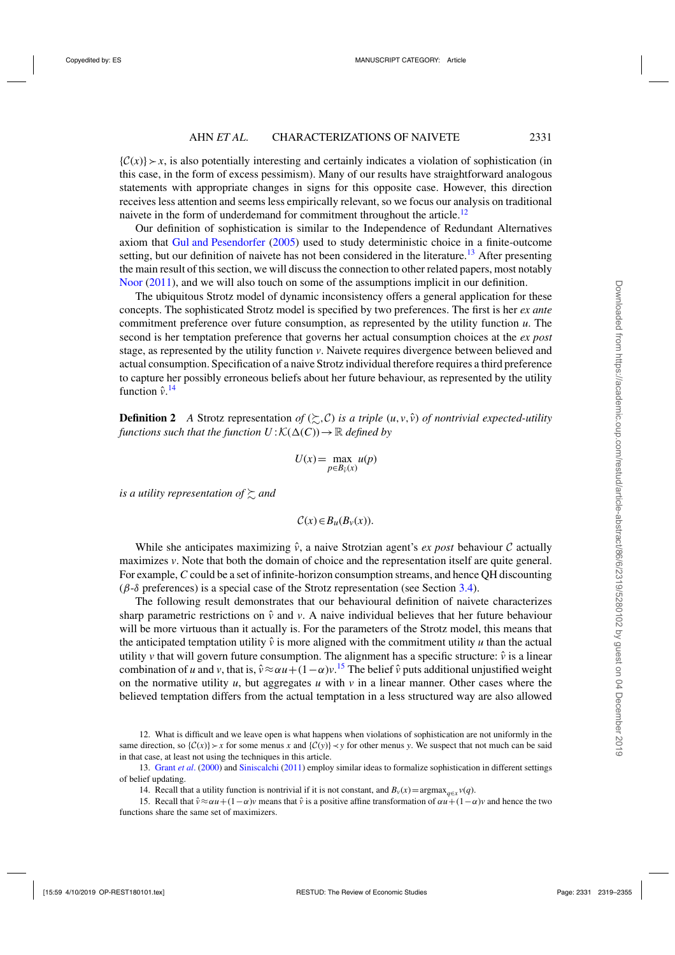$\{\mathcal{C}(x)\}\rightarrow x$ , is also potentially interesting and certainly indicates a violation of sophistication (in this case, in the form of excess pessimism). Many of our results have straightforward analogous statements with appropriate changes in signs for this opposite case. However, this direction receives less attention and seems less empirically relevant, so we focus our analysis on traditional naivete in the form of underdemand for commitment throughout the article.<sup>12</sup>

Our definition of sophistication is similar to the Independence of Redundant Alternatives axiom that [Gul and Pesendorfer](#page-36-0) [\(2005\)](#page-36-0) used to study deterministic choice in a finite-outcome setting, but our definition of naivete has not been considered in the literature.<sup>13</sup> After presenting the main result of this section, we will discuss the connection to other related papers, most notably [Noor](#page-36-0) [\(2011\)](#page-36-0), and we will also touch on some of the assumptions implicit in our definition.

The ubiquitous Strotz model of dynamic inconsistency offers a general application for these concepts. The sophisticated Strotz model is specified by two preferences. The first is her *ex ante* commitment preference over future consumption, as represented by the utility function *u*. The second is her temptation preference that governs her actual consumption choices at the *ex post* stage, as represented by the utility function *v*. Naivete requires divergence between believed and actual consumption. Specification of a naive Strotz individual therefore requires a third preference to capture her possibly erroneous beliefs about her future behaviour, as represented by the utility function  $\hat{v}$ <sup>14</sup>

**Definition 2** *A* Strotz representation *of* ( $\succsim$ , C) *is a triple* (*u*,*v*,  $\hat{v}$ ) *of nontrivial expected-utility functions such that the function*  $U: K(\Delta(C)) \to \mathbb{R}$  *defined by* 

$$
U(x) = \max_{p \in B_{\hat{v}}(x)} u(p)
$$

is a utility representation of  $\succsim$  and

$$
\mathcal{C}(x) \in B_u(B_v(x)).
$$

While she anticipates maximizing  $\hat{v}$ , a naive Strotzian agent's *ex post* behaviour C actually maximizes *v*. Note that both the domain of choice and the representation itself are quite general. For example, *C* could be a set of infinite-horizon consumption streams, and hence QH discounting (β-δ preferences) is a special case of the Strotz representation (see Section [3.4\)](#page-17-0).

The following result demonstrates that our behavioural definition of naivete characterizes sharp parametric restrictions on  $\hat{v}$  and  $v$ . A naive individual believes that her future behaviour will be more virtuous than it actually is. For the parameters of the Strotz model, this means that the anticipated temptation utility  $\hat{v}$  is more aligned with the commitment utility *u* than the actual utility  $\nu$  that will govern future consumption. The alignment has a specific structure:  $\hat{\nu}$  is a linear combination of *u* and *v*, that is,  $\hat{v} \approx \alpha u + (1 - \alpha)v$ .<sup>15</sup> The belief  $\hat{v}$  puts additional unjustified weight on the normative utility  $u$ , but aggregates  $u$  with  $v$  in a linear manner. Other cases where the believed temptation differs from the actual temptation in a less structured way are also allowed

<sup>12.</sup> What is difficult and we leave open is what happens when violations of sophistication are not uniformly in the same direction, so  $\{\mathcal{C}(x)\}\succ x$  for some menus *x* and  $\{\mathcal{C}(y)\}\prec y$  for other menus *y*. We suspect that not much can be said in that case, at least not using the techniques in this article.

<sup>13.</sup> [Grant](#page-35-0) *et al*. [\(2000](#page-35-0)) and [Siniscalchi](#page-36-0) [\(2011\)](#page-36-0) employ similar ideas to formalize sophistication in different settings of belief updating.

<sup>14.</sup> Recall that a utility function is nontrivial if it is not constant, and  $B_v(x) = \argmax_{q \in x} v(q)$ .

<sup>15.</sup> Recall that  $\hat{v} \approx \alpha u + (1-\alpha)v$  means that  $\hat{v}$  is a positive affine transformation of  $\alpha u + (1-\alpha)v$  and hence the two functions share the same set of maximizers.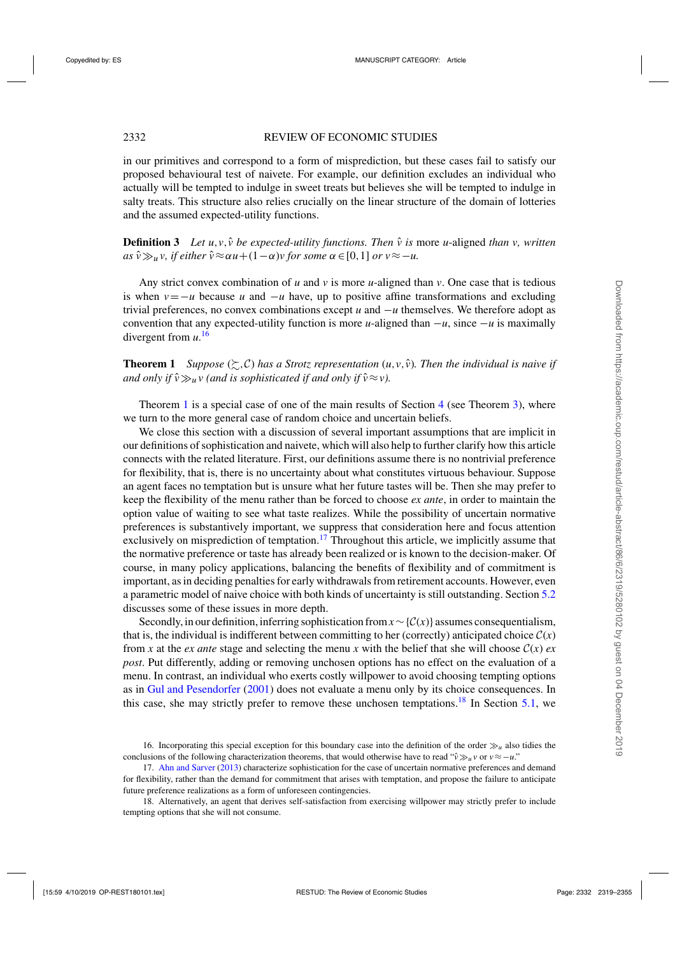<span id="page-13-0"></span>in our primitives and correspond to a form of misprediction, but these cases fail to satisfy our proposed behavioural test of naivete. For example, our definition excludes an individual who actually will be tempted to indulge in sweet treats but believes she will be tempted to indulge in salty treats. This structure also relies crucially on the linear structure of the domain of lotteries and the assumed expected-utility functions.

**Definition 3** Let  $u, v, \hat{v}$  be expected-utility functions. Then  $\hat{v}$  is more *u*-aligned *than v, written*  $as \hat{v} \gg_u v$ , *if either*  $\hat{v} \approx \alpha u + (1 - \alpha)v$  *for some*  $\alpha \in [0, 1]$  *or*  $v \approx -u$ .

Any strict convex combination of *u* and *v* is more *u*-aligned than *v*. One case that is tedious is when  $v = -u$  because *u* and  $-u$  have, up to positive affine transformations and excluding trivial preferences, no convex combinations except *u* and −*u* themselves. We therefore adopt as convention that any expected-utility function is more *u*-aligned than  $-u$ , since  $-u$  is maximally divergent from *u*. 16

**Theorem 1** *Suppose*  $(\succsim, C)$  *has a Strotz representation*  $(u, v, \hat{v})$ *. Then the individual is naive if* and only if  $\hat{v} \gg_u v$  (and is sophisticated if and only if  $\hat{v} \approx v$ ).

Theorem 1 is a special case of one of the main results of Section [4](#page-18-0) (see Theorem [3\)](#page-22-0), where we turn to the more general case of random choice and uncertain beliefs.

We close this section with a discussion of several important assumptions that are implicit in our definitions of sophistication and naivete, which will also help to further clarify how this article connects with the related literature. First, our definitions assume there is no nontrivial preference for flexibility, that is, there is no uncertainty about what constitutes virtuous behaviour. Suppose an agent faces no temptation but is unsure what her future tastes will be. Then she may prefer to keep the flexibility of the menu rather than be forced to choose *ex ante*, in order to maintain the option value of waiting to see what taste realizes. While the possibility of uncertain normative preferences is substantively important, we suppress that consideration here and focus attention exclusively on misprediction of temptation.<sup>17</sup> Throughout this article, we implicitly assume that the normative preference or taste has already been realized or is known to the decision-maker. Of course, in many policy applications, balancing the benefits of flexibility and of commitment is important, as in deciding penalties for early withdrawals from retirement accounts. However, even a parametric model of naive choice with both kinds of uncertainty is still outstanding. Section [5.2](#page-28-0) discusses some of these issues in more depth.

Secondly, in our definition, inferring sophistication from  $x \sim \{C(x)\}$  assumes consequentialism, that is, the individual is indifferent between committing to her (correctly) anticipated choice  $C(x)$ from x at the *ex ante* stage and selecting the menu x with the belief that she will choose  $C(x)$  *ex post*. Put differently, adding or removing unchosen options has no effect on the evaluation of a menu. In contrast, an individual who exerts costly willpower to avoid choosing tempting options as in [Gul and Pesendorfer](#page-36-0) [\(2001](#page-36-0)) does not evaluate a menu only by its choice consequences. In this case, she may strictly prefer to remove these unchosen temptations.<sup>18</sup> In Section [5.1,](#page-26-0) we

<sup>16.</sup> Incorporating this special exception for this boundary case into the definition of the order  $\gg_u$  also tidies the conclusions of the following characterization theorems, that would otherwise have to read " $\hat{v} \gg_u v$  or  $v \approx -u$ ."

<sup>17.</sup> [Ahn and Sarver](#page-35-0) [\(2013](#page-35-0)) characterize sophistication for the case of uncertain normative preferences and demand for flexibility, rather than the demand for commitment that arises with temptation, and propose the failure to anticipate future preference realizations as a form of unforeseen contingencies.

<sup>18.</sup> Alternatively, an agent that derives self-satisfaction from exercising willpower may strictly prefer to include tempting options that she will not consume.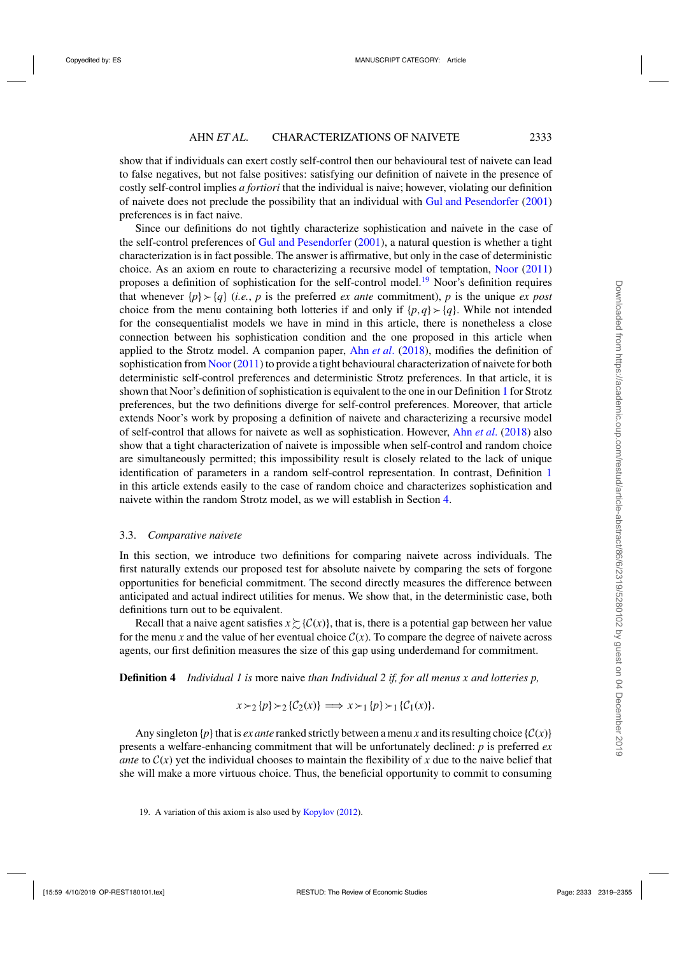<span id="page-14-0"></span>show that if individuals can exert costly self-control then our behavioural test of naivete can lead to false negatives, but not false positives: satisfying our definition of naivete in the presence of costly self-control implies *a fortiori* that the individual is naive; however, violating our definition of naivete does not preclude the possibility that an individual with [Gul and Pesendorfer](#page-36-0) [\(2001\)](#page-36-0) preferences is in fact naive.

Since our definitions do not tightly characterize sophistication and naivete in the case of the self-control preferences of [Gul and Pesendorfer](#page-36-0) [\(2001\)](#page-36-0), a natural question is whether a tight characterization is in fact possible. The answer is affirmative, but only in the case of deterministic choice. As an axiom en route to characterizing a recursive model of temptation, [Noor](#page-36-0) [\(2011\)](#page-36-0) proposes a definition of sophistication for the self-control model.<sup>19</sup> Noor's definition requires that whenever  $\{p\} \succ \{q\}$  (*i.e.*, *p* is the preferred *ex ante* commitment), *p* is the unique *ex post* choice from the menu containing both lotteries if and only if  $\{p,q\} > \{q\}$ . While not intended for the consequentialist models we have in mind in this article, there is nonetheless a close connection between his sophistication condition and the one proposed in this article when applied to the Strotz model. A companion paper, Ahn *[et al](#page-35-0).* [\(2018\)](#page-35-0), modifies the definition of sophistication from [Noor](#page-36-0) [\(2011](#page-36-0)) to provide a tight behavioural characterization of naivete for both deterministic self-control preferences and deterministic Strotz preferences. In that article, it is shown that Noor's definition of sophistication is equivalent to the one in our Definition [1](#page-11-0) for Strotz preferences, but the two definitions diverge for self-control preferences. Moreover, that article extends Noor's work by proposing a definition of naivete and characterizing a recursive model of self-control that allows for naivete as well as sophistication. However, Ahn *[et al](#page-35-0)*. [\(2018\)](#page-35-0) also show that a tight characterization of naivete is impossible when self-control and random choice are simultaneously permitted; this impossibility result is closely related to the lack of unique identification of parameters in a random self-control representation. In contrast, Definition [1](#page-11-0) in this article extends easily to the case of random choice and characterizes sophistication and naivete within the random Strotz model, as we will establish in Section [4.](#page-18-0)

## 3.3. *Comparative naivete*

In this section, we introduce two definitions for comparing naivete across individuals. The first naturally extends our proposed test for absolute naivete by comparing the sets of forgone opportunities for beneficial commitment. The second directly measures the difference between anticipated and actual indirect utilities for menus. We show that, in the deterministic case, both definitions turn out to be equivalent.

Recall that a naive agent satisfies  $x \gtrsim$  { $C(x)$ }, that is, there is a potential gap between her value for the menu x and the value of her eventual choice  $C(x)$ . To compare the degree of naivete across agents, our first definition measures the size of this gap using underdemand for commitment.

**Definition 4** *Individual 1 is* more naive *than Individual 2 if, for all menus x and lotteries p,*

 $x \succ_2 \{p\} \succ_2 \{C_2(x)\} \implies x \succ_1 \{p\} \succ_1 \{C_1(x)\}.$ 

Any singleton  $\{p\}$  that is *ex ante* ranked strictly between a menu *x* and its resulting choice  $\{C(x)\}$ presents a welfare-enhancing commitment that will be unfortunately declined: *p* is preferred *ex ante* to  $C(x)$  yet the individual chooses to maintain the flexibility of x due to the naive belief that she will make a more virtuous choice. Thus, the beneficial opportunity to commit to consuming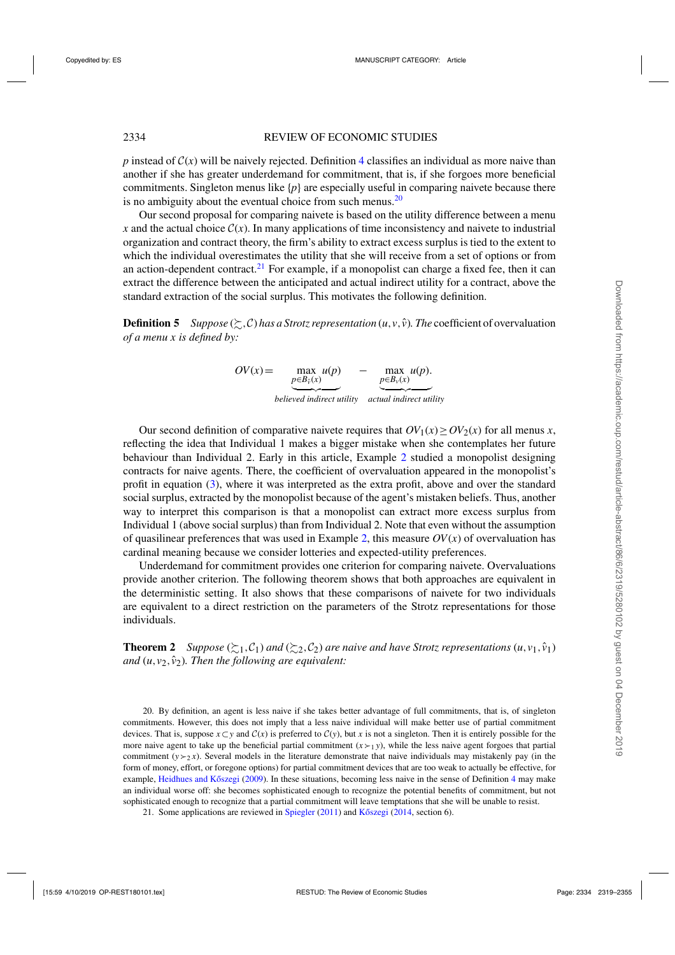<span id="page-15-0"></span>*p* instead of  $C(x)$  will be naively rejected. Definition [4](#page-14-0) classifies an individual as more naive than another if she has greater underdemand for commitment, that is, if she forgoes more beneficial commitments. Singleton menus like  $\{p\}$  are especially useful in comparing naivete because there is no ambiguity about the eventual choice from such menus. $^{20}$ 

Our second proposal for comparing naivete is based on the utility difference between a menu *x* and the actual choice  $C(x)$ . In many applications of time inconsistency and naivete to industrial organization and contract theory, the firm's ability to extract excess surplus is tied to the extent to which the individual overestimates the utility that she will receive from a set of options or from an action-dependent contract.<sup>21</sup> For example, if a monopolist can charge a fixed fee, then it can extract the difference between the anticipated and actual indirect utility for a contract, above the standard extraction of the social surplus. This motivates the following definition.

**Definition 5** *Suppose* ( $\succsim$ , C) *has a Strotz representation* (*u*,*v*,  $\hat{v}$ )*. The* coefficient of overvaluation *of a menu x is defined by:*

> $OV(x) =$  $p \in B_0(x)$ max  $u(p)$ - *believed indirect utility* - *actual indirect utility* − max *u*(*p*).  $p ∈ B<sub>v</sub>(x)$

Our second definition of comparative naivete requires that  $OV_1(x) \geq OV_2(x)$  for all menus *x*, reflecting the idea that Individual 1 makes a bigger mistake when she contemplates her future behaviour than Individual 2. Early in this article, Example [2](#page-5-0) studied a monopolist designing contracts for naive agents. There, the coefficient of overvaluation appeared in the monopolist's profit in equation [\(3\)](#page-5-0), where it was interpreted as the extra profit, above and over the standard social surplus, extracted by the monopolist because of the agent's mistaken beliefs. Thus, another way to interpret this comparison is that a monopolist can extract more excess surplus from Individual 1 (above social surplus) than from Individual 2. Note that even without the assumption of quasilinear preferences that was used in Example [2,](#page-5-0) this measure  $OV(x)$  of overvaluation has cardinal meaning because we consider lotteries and expected-utility preferences.

Underdemand for commitment provides one criterion for comparing naivete. Overvaluations provide another criterion. The following theorem shows that both approaches are equivalent in the deterministic setting. It also shows that these comparisons of naivete for two individuals are equivalent to a direct restriction on the parameters of the Strotz representations for those individuals.

**Theorem 2** *Suppose* ( $\geq$ 1,C<sub>1</sub>) *and* ( $\geq$ 2,C<sub>2</sub>) *are naive and have Strotz representations* (*u*,*v*<sub>1</sub>,  $\hat{v}_1$ ) *and*  $(u, v_2, \hat{v}_2)$ *. Then the following are equivalent:* 

20. By definition, an agent is less naive if she takes better advantage of full commitments, that is, of singleton commitments. However, this does not imply that a less naive individual will make better use of partial commitment devices. That is, suppose  $x ⊂ y$  and  $C(x)$  is preferred to  $C(y)$ , but *x* is not a singleton. Then it is entirely possible for the more naive agent to take up the beneficial partial commitment  $(x \gt_1 y)$ , while the less naive agent forgoes that partial commitment  $(y \gt_2 x)$ . Several models in the literature demonstrate that naive individuals may mistakenly pay (in the form of money, effort, or foregone options) for partial commitment devices that are too weak to actually be effective, for example, Heidhues and Kőszegi [\(2009](#page-36-0)). In these situations, becoming less naive in the sense of Definition [4](#page-14-0) may make an individual worse off: she becomes sophisticated enough to recognize the potential benefits of commitment, but not sophisticated enough to recognize that a partial commitment will leave temptations that she will be unable to resist.

21. Some applications are reviewed in [Spiegler](#page-36-0)  $(2011)$  and Kőszegi  $(2014, \text{section } 6)$  $(2014, \text{section } 6)$ .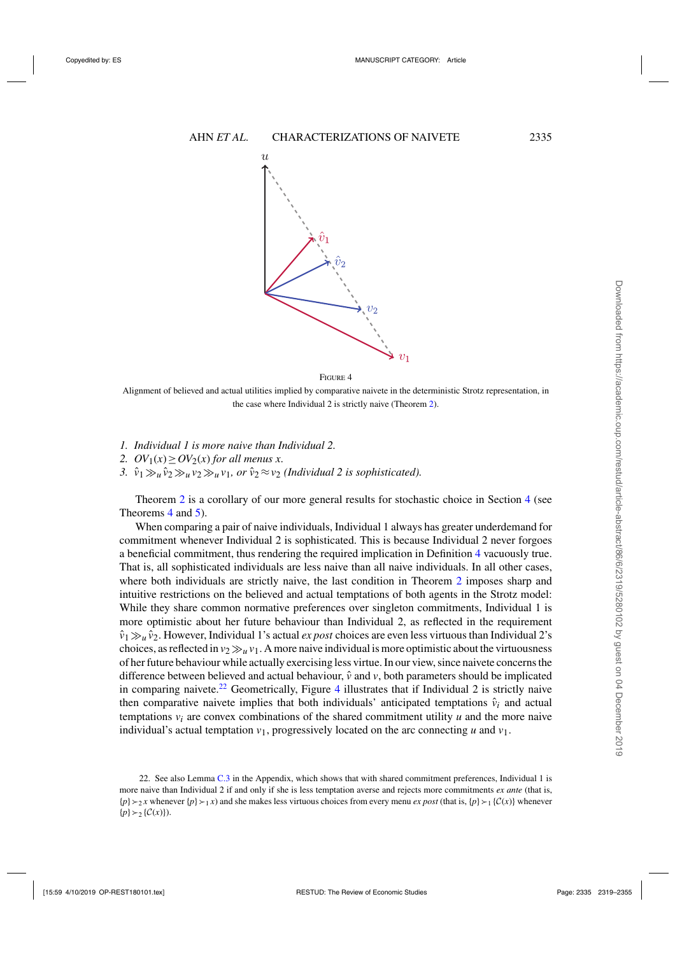

FIGURE 4

Alignment of believed and actual utilities implied by comparative naivete in the deterministic Strotz representation, in the case where Individual 2 is strictly naive (Theorem [2\)](#page-15-0).

- *1. Individual 1 is more naive than Individual 2.*
- 2.  $OV_1(x) \geq OV_2(x)$  *for all menus x.*
- 3.  $\hat{v}_1 \gg_u \hat{v}_2 \gg_u v_1$ , or  $\hat{v}_2 \approx v_2$  *(Individual 2 is sophisticated).*

Theorem [2](#page-15-0) is a corollary of our more general results for stochastic choice in Section [4](#page-18-0) (see Theorems [4](#page-23-0) and [5\)](#page-25-0).

When comparing a pair of naive individuals, Individual 1 always has greater underdemand for commitment whenever Individual 2 is sophisticated. This is because Individual 2 never forgoes a beneficial commitment, thus rendering the required implication in Definition [4](#page-14-0) vacuously true. That is, all sophisticated individuals are less naive than all naive individuals. In all other cases, where both individuals are strictly naive, the last condition in Theorem [2](#page-15-0) imposes sharp and intuitive restrictions on the believed and actual temptations of both agents in the Strotz model: While they share common normative preferences over singleton commitments, Individual 1 is more optimistic about her future behaviour than Individual 2, as reflected in the requirement  $\hat{v}_1 \gg_u \hat{v}_2$ . However, Individual 1's actual *ex post* choices are even less virtuous than Individual 2's choices, as reflected in  $v_2 \gg u_1$ . A more naive individual is more optimistic about the virtuousness of her future behaviour while actually exercising less virtue. In our view, since naivete concerns the difference between believed and actual behaviour,  $\hat{v}$  and  $v$ , both parameters should be implicated in comparing naivete.<sup>22</sup> Geometrically, Figure 4 illustrates that if Individual 2 is strictly naive then comparative naivete implies that both individuals' anticipated temptations  $\hat{v}_i$  and actual temptations  $v_i$  are convex combinations of the shared commitment utility  $u$  and the more naive individual's actual temptation  $v_1$ , progressively located on the arc connecting *u* and  $v_1$ .

<sup>22.</sup> See also Lemma [C.3](#page-31-0) in the Appendix, which shows that with shared commitment preferences, Individual 1 is more naive than Individual 2 if and only if she is less temptation averse and rejects more commitments *ex ante* (that is,  ${p} >_2 x$  whenever  ${p} >_1 x$  and she makes less virtuous choices from every menu *ex post* (that is,  ${p} >_1 {C(x)}$ ) whenever  $\{p\} \succ_2 \{C(x)\}\).$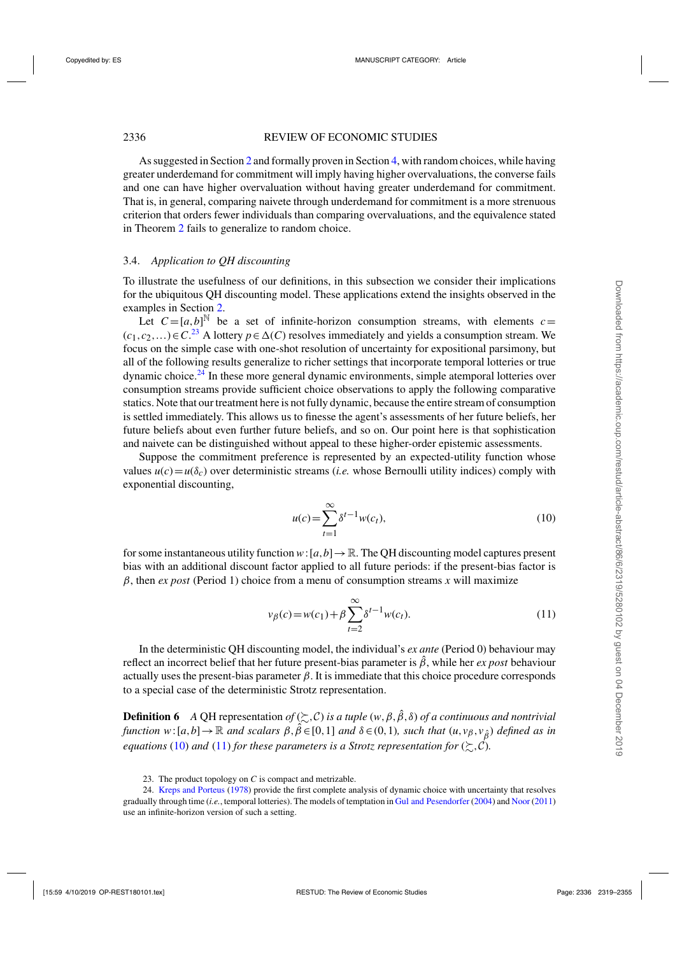<span id="page-17-0"></span>As suggested in Section [2](#page-3-0) and formally proven in Section [4,](#page-18-0) with random choices, while having greater underdemand for commitment will imply having higher overvaluations, the converse fails and one can have higher overvaluation without having greater underdemand for commitment. That is, in general, comparing naivete through underdemand for commitment is a more strenuous criterion that orders fewer individuals than comparing overvaluations, and the equivalence stated in Theorem [2](#page-15-0) fails to generalize to random choice.

## 3.4. *Application to QH discounting*

To illustrate the usefulness of our definitions, in this subsection we consider their implications for the ubiquitous QH discounting model. These applications extend the insights observed in the examples in Section [2.](#page-3-0)

Let  $C = [a, b]^{\mathbb{N}}$  be a set of infinite-horizon consumption streams, with elements  $c =$  $(c_1, c_2,...)$  ∈ *C*.<sup>23</sup> A lottery  $p \in \Delta(C)$  resolves immediately and yields a consumption stream. We focus on the simple case with one-shot resolution of uncertainty for expositional parsimony, but all of the following results generalize to richer settings that incorporate temporal lotteries or true dynamic choice.<sup>24</sup> In these more general dynamic environments, simple atemporal lotteries over consumption streams provide sufficient choice observations to apply the following comparative statics. Note that our treatment here is not fully dynamic, because the entire stream of consumption is settled immediately. This allows us to finesse the agent's assessments of her future beliefs, her future beliefs about even further future beliefs, and so on. Our point here is that sophistication and naivete can be distinguished without appeal to these higher-order epistemic assessments.

Suppose the commitment preference is represented by an expected-utility function whose values  $u(c) = u(\delta_c)$  over deterministic streams (*i.e.* whose Bernoulli utility indices) comply with exponential discounting,

$$
u(c) = \sum_{t=1}^{\infty} \delta^{t-1} w(c_t),
$$
\n(10)

for some instantaneous utility function  $w: [a, b] \to \mathbb{R}$ . The OH discounting model captures present bias with an additional discount factor applied to all future periods: if the present-bias factor is  $\beta$ , then *ex post* (Period 1) choice from a menu of consumption streams *x* will maximize

$$
v_{\beta}(c) = w(c_1) + \beta \sum_{t=2}^{\infty} \delta^{t-1} w(c_t).
$$
 (11)

In the deterministic QH discounting model, the individual's *ex ante* (Period 0) behaviour may reflect an incorrect belief that her future present-bias parameter is  $\hat{\beta}$ , while her *ex post* behaviour actually uses the present-bias parameter  $\beta$ . It is immediate that this choice procedure corresponds to a special case of the deterministic Strotz representation.

**Definition 6** *A* QH representation *of*  $(\succsim, C)$  *is a tuple*  $(w, \beta, \hat{\beta}, \delta)$  *of a continuous and nontrivial function*  $w:[a,b]\to\mathbb{R}$  *and scalars*  $\beta, \hat{\beta} \in [0,1]$  *and*  $\delta \in (0,1)$ *, such that*  $(u,v_{\beta},v_{\hat{\beta}})$  *defined as in equations* (10) and (11) for these parameters is a Strotz representation for  $(\succsim, \mathcal{C})$ .

<sup>23.</sup> The product topology on *C* is compact and metrizable.

<sup>24.</sup> [Kreps and Porteus](#page-36-0) [\(1978](#page-36-0)) provide the first complete analysis of dynamic choice with uncertainty that resolves gradually through time (*i.e.*, temporal lotteries). The models of temptation in [Gul and Pesendorfer](#page-36-0) [\(2004](#page-36-0)) and [Noor](#page-36-0) [\(2011\)](#page-36-0) use an infinite-horizon version of such a setting.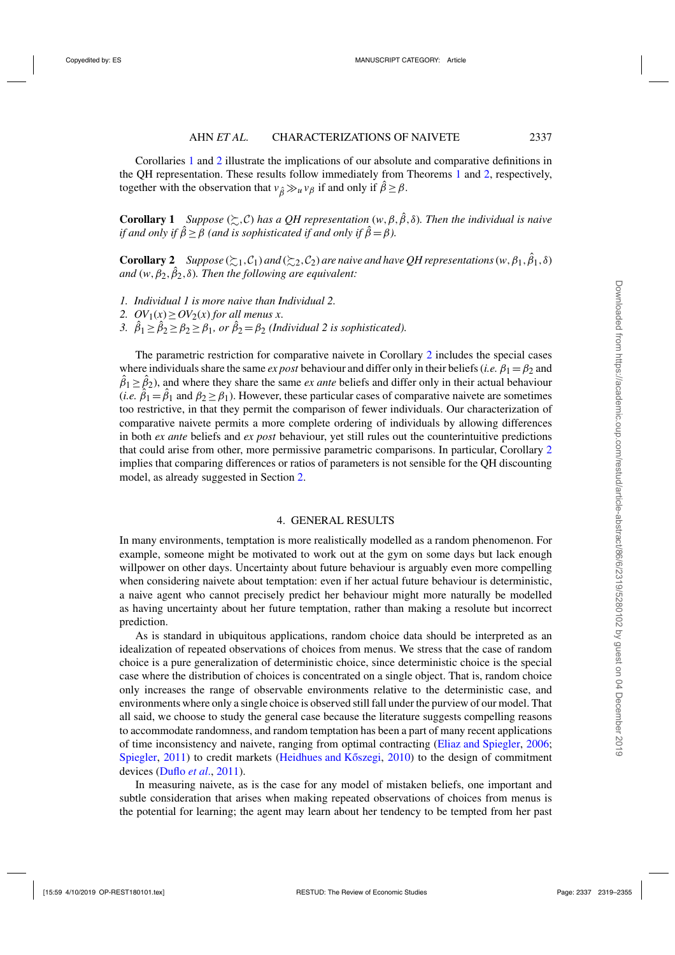<span id="page-18-0"></span>Corollaries 1 and 2 illustrate the implications of our absolute and comparative definitions in the QH representation. These results follow immediately from Theorems [1](#page-13-0) and [2,](#page-15-0) respectively, together with the observation that  $v_{\hat{\beta}} \gg_u v_{\beta}$  if and only if  $\hat{\beta} \ge \beta$ .

**Corollary 1** *Suppose* ( $\gtrsim$ , C) has a QH representation (w,  $\beta$ ,  $\hat{\beta}$ ,  $\delta$ ). Then the individual is naive *if and only if*  $\hat{\beta} \ge \beta$  *(and is sophisticated if and only if*  $\hat{\beta} = \beta$ *).* 

**Corollary 2** *Suppose* ( $\gtrsim_1$ , $C_1$ ) *and* ( $\gtrsim_2$ , $C_2$ ) *are naive and have QH representations* (*w*,  $\beta_1$ ,  $\hat{\beta}_1$ ,  $\delta$ ) and  $(w, \beta_2, \hat{\beta}_2, \delta)$ *. Then the following are equivalent:* 

- *1. Individual 1 is more naive than Individual 2.*
- 2.  $OV_1(x) \geq OV_2(x)$  *for all menus x.*
- 3.  $\hat{\beta}_1 \ge \hat{\beta}_2 \ge \beta_2 \ge \beta_1$ , or  $\hat{\beta}_2 = \beta_2$  (Individual 2 is sophisticated).

The parametric restriction for comparative naivete in Corollary 2 includes the special cases where individuals share the same *ex post* behaviour and differ only in their beliefs (*i.e.*  $\beta_1 = \beta_2$  and  $\hat{\beta}_1 \ge \hat{\beta}_2$ ), and where they share the same *ex ante* beliefs and differ only in their actual behaviour  $(i.e. \hat{\beta}_1 = \hat{\beta}_1$  and  $\beta_2 \ge \beta_1$ ). However, these particular cases of comparative naivete are sometimes too restrictive, in that they permit the comparison of fewer individuals. Our characterization of comparative naivete permits a more complete ordering of individuals by allowing differences in both *ex ante* beliefs and *ex post* behaviour, yet still rules out the counterintuitive predictions that could arise from other, more permissive parametric comparisons. In particular, Corollary 2 implies that comparing differences or ratios of parameters is not sensible for the QH discounting model, as already suggested in Section [2.](#page-3-0)

## 4. GENERAL RESULTS

In many environments, temptation is more realistically modelled as a random phenomenon. For example, someone might be motivated to work out at the gym on some days but lack enough willpower on other days. Uncertainty about future behaviour is arguably even more compelling when considering naivete about temptation: even if her actual future behaviour is deterministic, a naive agent who cannot precisely predict her behaviour might more naturally be modelled as having uncertainty about her future temptation, rather than making a resolute but incorrect prediction.

As is standard in ubiquitous applications, random choice data should be interpreted as an idealization of repeated observations of choices from menus. We stress that the case of random choice is a pure generalization of deterministic choice, since deterministic choice is the special case where the distribution of choices is concentrated on a single object. That is, random choice only increases the range of observable environments relative to the deterministic case, and environments where only a single choice is observed still fall under the purview of our model. That all said, we choose to study the general case because the literature suggests compelling reasons to accommodate randomness, and random temptation has been a part of many recent applications of time inconsistency and naivete, ranging from optimal contracting [\(Eliaz and Spiegler,](#page-35-0) [2006](#page-35-0); [Spiegler,](#page-36-0) [2011](#page-36-0)) to credit markets (Heidhues and Kőszegi, [2010\)](#page-36-0) to the design of commitment devices [\(Duflo](#page-35-0) *et al*., [2011](#page-35-0)).

In measuring naivete, as is the case for any model of mistaken beliefs, one important and subtle consideration that arises when making repeated observations of choices from menus is the potential for learning; the agent may learn about her tendency to be tempted from her past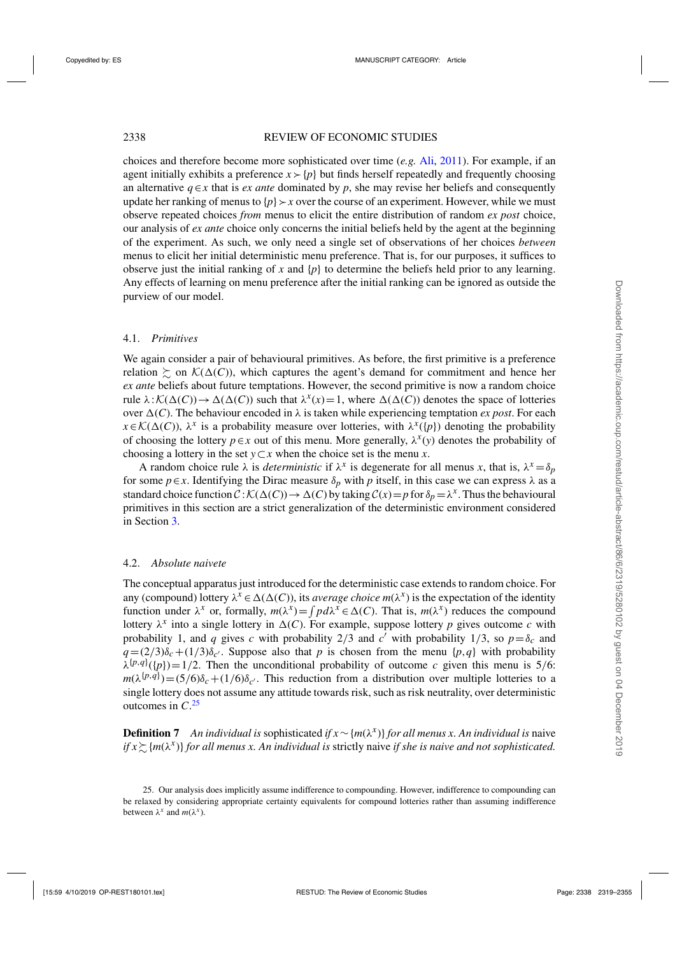## <span id="page-19-0"></span>2338 REVIEW OF ECONOMIC STUDIES

choices and therefore become more sophisticated over time (*e.g.* [Ali,](#page-35-0) [2011\)](#page-35-0). For example, if an agent initially exhibits a preference  $x \succ p$  but finds herself repeatedly and frequently choosing an alternative  $q \in x$  that is *ex ante* dominated by *p*, she may revise her beliefs and consequently update her ranking of menus to  $\{p\} \rightarrow x$  over the course of an experiment. However, while we must observe repeated choices *from* menus to elicit the entire distribution of random *ex post* choice, our analysis of *ex ante* choice only concerns the initial beliefs held by the agent at the beginning of the experiment. As such, we only need a single set of observations of her choices *between* menus to elicit her initial deterministic menu preference. That is, for our purposes, it suffices to observe just the initial ranking of x and  $\{p\}$  to determine the beliefs held prior to any learning. Any effects of learning on menu preference after the initial ranking can be ignored as outside the purview of our model.

## 4.1. *Primitives*

We again consider a pair of behavioural primitives. As before, the first primitive is a preference relation  $\succsim$  on  $\mathcal{K}(\Delta(C))$ , which captures the agent's demand for commitment and hence her *ex ante* beliefs about future temptations. However, the second primitive is now a random choice rule  $\lambda: \mathcal{K}(\Delta(C)) \to \Delta(\Delta(C))$  such that  $\lambda^x(x) = 1$ , where  $\Delta(\Delta(C))$  denotes the space of lotteries over  $\Delta(C)$ . The behaviour encoded in  $\lambda$  is taken while experiencing temptation *ex post*. For each  $x \in \mathcal{K}(\Delta(C))$ ,  $\lambda^x$  is a probability measure over lotteries, with  $\lambda^x({p})$  denoting the probability of choosing the lottery  $p \in x$  out of this menu. More generally,  $\lambda^x(y)$  denotes the probability of choosing a lottery in the set  $y \subset x$  when the choice set is the menu *x*.

A random choice rule  $\lambda$  is *deterministic* if  $\lambda^x$  is degenerate for all menus *x*, that is,  $\lambda^x = \delta_p$ for some  $p \in x$ . Identifying the Dirac measure  $\delta_p$  with p itself, in this case we can express  $\lambda$  as a standard choice function  $C: K(\Delta(C)) \to \Delta(C)$  by taking  $C(x) = p$  for  $\delta_p = \lambda^x$ . Thus the behavioural primitives in this section are a strict generalization of the deterministic environment considered in Section [3.](#page-10-0)

## 4.2. *Absolute naivete*

The conceptual apparatus just introduced for the deterministic case extends to random choice. For any (compound) lottery  $\lambda^x \in \Delta(\Delta(C))$ , its *average choice*  $m(\lambda^x)$  is the expectation of the identity function under  $\lambda^x$  or, formally,  $m(\lambda^x) = \int pd\lambda^x \in \Delta(C)$ . That is,  $m(\lambda^x)$  reduces the compound lottery  $\lambda^x$  into a single lottery in  $\Delta(C)$ . For example, suppose lottery p gives outcome c with probability 1, and *q* gives *c* with probability 2/3 and *c'* with probability 1/3, so  $p = \delta_c$  and  $q = (2/3)\delta_c + (1/3)\delta_c$ . Suppose also that *p* is chosen from the menu {*p*,*q*} with probability  $\lambda^{(p,q)}([p]) = 1/2$ . Then the unconditional probability of outcome *c* given this menu is 5/6:  $m(\lambda^{\{p,q\}}) = (5/6)\delta_c + (1/6)\delta_{c'}$ . This reduction from a distribution over multiple lotteries to a single lottery does not assume any attitude towards risk, such as risk neutrality, over deterministic outcomes in *C*. 25

**Definition 7** *An individual is* sophisticated *if x*∼ {*m*(λ*x*)} *for all menus x. An individual is* naive *if x*-{*m*(λ*x*)} *for all menus x. An individual is* strictly naive *if she is naive and not sophisticated.*

<sup>25.</sup> Our analysis does implicitly assume indifference to compounding. However, indifference to compounding can be relaxed by considering appropriate certainty equivalents for compound lotteries rather than assuming indifference between  $\lambda^x$  and  $m(\lambda^x)$ .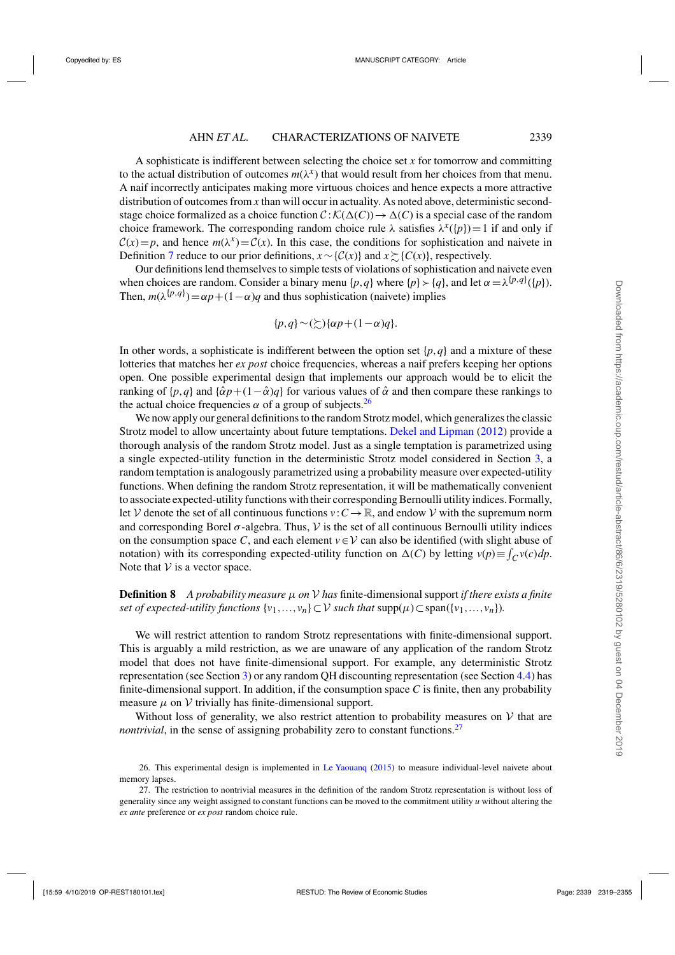<span id="page-20-0"></span>A sophisticate is indifferent between selecting the choice set *x* for tomorrow and committing to the actual distribution of outcomes  $m(\lambda^x)$  that would result from her choices from that menu. A naif incorrectly anticipates making more virtuous choices and hence expects a more attractive distribution of outcomes from *x* than will occur in actuality. As noted above, deterministic secondstage choice formalized as a choice function  $C : K(\Delta(C)) \to \Delta(C)$  is a special case of the random choice framework. The corresponding random choice rule  $\lambda$  satisfies  $\lambda^x({p})=1$  if and only if  $C(x) = p$ , and hence  $m(\lambda^x) = C(x)$ . In this case, the conditions for sophistication and naivete in Definition [7](#page-19-0) reduce to our prior definitions,  $x \sim \{C(x)\}\$  and  $x \sim \{C(x)\}\$ , respectively.

Our definitions lend themselves to simple tests of violations of sophistication and naivete even when choices are random. Consider a binary menu  $\{p,q\}$  where  $\{p\} \succ \{q\}$ , and let  $\alpha = \lambda^{\{p,q\}}(\{p\})$ . Then,  $m(\lambda^{\{p,q\}}) = \alpha p + (1-\alpha)q$  and thus sophistication (naivete) implies

$$
\{p,q\} \sim (\gtrsim) \{\alpha p + (1-\alpha)q\}.
$$

In other words, a sophisticate is indifferent between the option set  $\{p, q\}$  and a mixture of these lotteries that matches her *ex post* choice frequencies, whereas a naif prefers keeping her options open. One possible experimental design that implements our approach would be to elicit the ranking of  $\{p,q\}$  and  $\{\hat{\alpha}p+(1-\hat{\alpha})q\}$  for various values of  $\hat{\alpha}$  and then compare these rankings to the actual choice frequencies  $\alpha$  of a group of subjects.<sup>26</sup>

We now apply our general definitions to the random Strotz model, which generalizes the classic Strotz model to allow uncertainty about future temptations. [Dekel and Lipman](#page-35-0) [\(2012\)](#page-35-0) provide a thorough analysis of the random Strotz model. Just as a single temptation is parametrized using a single expected-utility function in the deterministic Strotz model considered in Section [3,](#page-10-0) a random temptation is analogously parametrized using a probability measure over expected-utility functions. When defining the random Strotz representation, it will be mathematically convenient to associate expected-utility functions with their corresponding Bernoulli utility indices. Formally, let V denote the set of all continuous functions  $v : C \to \mathbb{R}$ , and endow V with the supremum norm and corresponding Borel  $\sigma$ -algebra. Thus, V is the set of all continuous Bernoulli utility indices on the consumption space *C*, and each element  $v \in V$  can also be identified (with slight abuse of notation) with its corresponding expected-utility function on  $\Delta(C)$  by letting  $v(p) \equiv \int_C v(c) dp$ . Note that  $V$  is a vector space.

**Definition 8** *A probability measure* μ *on* V *has* finite-dimensional support *if there exists a finite set of expected-utility functions*  $\{v_1, \ldots, v_n\} \subset V$  *such that*  $\text{supp}(\mu) \subset \text{span}(\{v_1, \ldots, v_n\})$ .

We will restrict attention to random Strotz representations with finite-dimensional support. This is arguably a mild restriction, as we are unaware of any application of the random Strotz model that does not have finite-dimensional support. For example, any deterministic Strotz representation (see Section [3\)](#page-10-0) or any random QH discounting representation (see Section [4.4\)](#page-25-0) has finite-dimensional support. In addition, if the consumption space  $C$  is finite, then any probability measure  $\mu$  on  $\mathcal V$  trivially has finite-dimensional support.

Without loss of generality, we also restrict attention to probability measures on  $\mathcal V$  that are *nontrivial*, in the sense of assigning probability zero to constant functions.<sup>27</sup>

<sup>26.</sup> This experimental design is implemented in [Le Yaouanq](#page-36-0) [\(2015](#page-36-0)) to measure individual-level naivete about memory lapses.

<sup>27.</sup> The restriction to nontrivial measures in the definition of the random Strotz representation is without loss of generality since any weight assigned to constant functions can be moved to the commitment utility *u* without altering the *ex ante* preference or *ex post* random choice rule.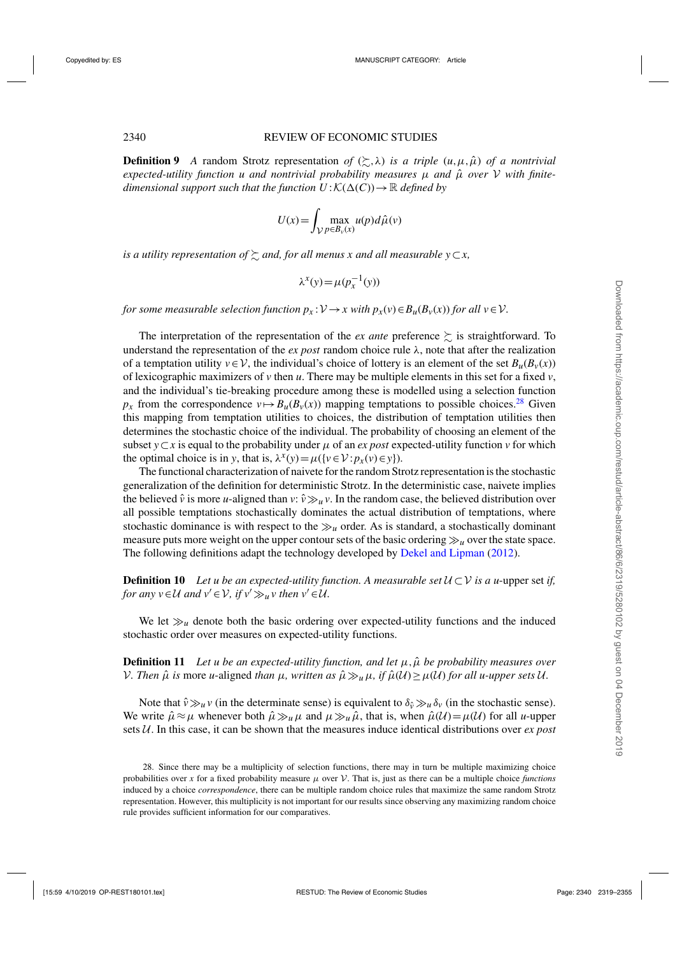**Definition 9** *A* random Strotz representation of  $(\succsim, \lambda)$  is a triple  $(u, \mu, \hat{\mu})$  of a nontrivial  $e$ xpected-utility function *u* and nontrivial probability measures  $\mu$  and  $\hat{\mu}$  over  $V$  with finite*dimensional support such that the function*  $U: K(\Delta(C)) \to \mathbb{R}$  *defined by* 

$$
U(x) = \int_{\mathcal{V}} \max_{p \in B_{\nu}(x)} u(p) d\hat{\mu}(v)
$$

is a utility representation of  $\succsim$  and, for all menus x and all measurable  $y\!\subset\! x,$ 

$$
\lambda^x(y) = \mu(p_x^{-1}(y))
$$

*for some measurable selection function*  $p_x$ :  $\mathcal{V} \rightarrow x$  with  $p_x(v) \in B_u(B_v(x))$  *for all*  $v \in \mathcal{V}$ .

The interpretation of the representation of the *ex ante* preference  $\succsim$  is straightforward. To understand the representation of the  $ex$  post random choice rule  $\lambda$ , note that after the realization of a temptation utility  $v \in V$ , the individual's choice of lottery is an element of the set  $B_u(B_v(x))$ of lexicographic maximizers of  $\nu$  then  $\mu$ . There may be multiple elements in this set for a fixed  $\nu$ , and the individual's tie-breaking procedure among these is modelled using a selection function  $p_x$  from the correspondence  $v \mapsto B_u(B_v(x))$  mapping temptations to possible choices.<sup>28</sup> Given this mapping from temptation utilities to choices, the distribution of temptation utilities then determines the stochastic choice of the individual. The probability of choosing an element of the subset  $y \subset x$  is equal to the probability under  $\mu$  of an *ex post* expected-utility function  $\nu$  for which the optimal choice is in *y*, that is,  $\lambda^x(y) = \mu({v \in V : p_x(v) \in y})$ .

The functional characterization of naivete for the random Strotz representation is the stochastic generalization of the definition for deterministic Strotz. In the deterministic case, naivete implies the believed  $\hat{v}$  is more *u*-aligned than  $v: \hat{v} \gg u v$ . In the random case, the believed distribution over all possible temptations stochastically dominates the actual distribution of temptations, where stochastic dominance is with respect to the  $\gg_u$  order. As is standard, a stochastically dominant measure puts more weight on the upper contour sets of the basic ordering  $\gg u$  over the state space. The following definitions adapt the technology developed by [Dekel and Lipman](#page-35-0) [\(2012](#page-35-0)).

**Definition 10** *Let u be an expected-utility function. A measurable set*  $U \subset V$  *is a u-upper set if, for any*  $v \in U$  *and*  $v' \in V$ *, if*  $v' \gg_u v$  *then*  $v' \in U$ *.* 

We let  $\gg_u$  denote both the basic ordering over expected-utility functions and the induced stochastic order over measures on expected-utility functions.

**Definition 11** *Let u be an expected-utility function, and let*  $\mu$ ,  $\hat{\mu}$  *be probability measures over V*. Then  $\hat{\mu}$  is more *u*-aligned *than*  $\mu$ , written as  $\hat{\mu} \gg_{\mu} \mu$ , if  $\hat{\mu}(\mathcal{U}) \geq \mu(\mathcal{U})$  for all *u*-upper sets U.

Note that  $\hat{v} \gg_u v$  (in the determinate sense) is equivalent to  $\delta_{\hat{v}} \gg_u \delta_v$  (in the stochastic sense). We write  $\hat{\mu} \approx \mu$  whenever both  $\hat{\mu} \gg_u \mu$  and  $\mu \gg_u \hat{\mu}$ , that is, when  $\hat{\mu}(\mathcal{U}) = \mu(\mathcal{U})$  for all *u*-upper sets U. In this case, it can be shown that the measures induce identical distributions over *ex post*

<sup>28.</sup> Since there may be a multiplicity of selection functions, there may in turn be multiple maximizing choice probabilities over *x* for a fixed probability measure  $\mu$  over  $\mathcal V$ . That is, just as there can be a multiple choice *functions* induced by a choice *correspondence*, there can be multiple random choice rules that maximize the same random Strotz representation. However, this multiplicity is not important for our results since observing any maximizing random choice rule provides sufficient information for our comparatives.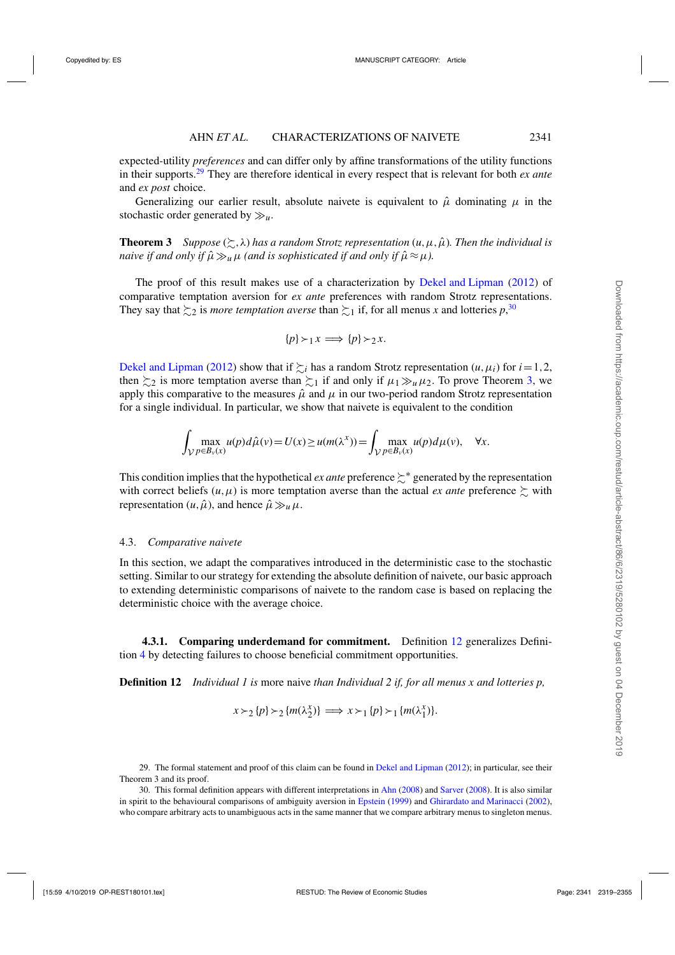<span id="page-22-0"></span>expected-utility *preferences* and can differ only by affine transformations of the utility functions in their supports.<sup>29</sup> They are therefore identical in every respect that is relevant for both *ex ante* and *ex post* choice.

Generalizing our earlier result, absolute naivete is equivalent to  $\hat{\mu}$  dominating  $\mu$  in the stochastic order generated by  $\gg_u$ .

**Theorem 3** Suppose  $(\succsim, \lambda)$  has a random Strotz representation  $(u, \mu, \hat{\mu})$ . Then the individual is *naive if and only if*  $\hat{\mu} \gg_{\mu} \mu$  *(and is sophisticated if and only if*  $\hat{\mu} \approx \mu$ *).* 

The proof of this result makes use of a characterization by [Dekel and Lipman](#page-35-0) [\(2012](#page-35-0)) of comparative temptation aversion for *ex ante* preferences with random Strotz representations. They say that  $\succsim_2$  is *more temptation averse* than  $\succsim_1$  if, for all menus *x* and lotteries  $p$ ,<sup>30</sup>,

$$
\{p\} \succ_1 x \implies \{p\} \succ_2 x.
$$

[Dekel and Lipman](#page-35-0) [\(2012](#page-35-0)) show that if  $\geq_i$  has a random Strotz representation  $(u, \mu_i)$  for  $i = 1, 2$ , then  $\succsim_2$  is more temptation averse than  $\succsim_1$  if and only if  $\mu_1 \gg_u \mu_2$ . To prove Theorem 3, we apply this comparative to the measures  $\hat{\mu}$  and  $\mu$  in our two-period random Strotz representation for a single individual. In particular, we show that naivete is equivalent to the condition

$$
\int_{\mathcal{V}} \max_{p \in B_v(x)} u(p) d\hat{\mu}(v) = U(x) \ge u(m(\lambda^x)) = \int_{\mathcal{V}} \max_{p \in B_v(x)} u(p) d\mu(v), \quad \forall x.
$$

This condition implies that the hypothetical *ex ante* preference  $\sum^*$  generated by the representation with correct beliefs  $(u, \mu)$  is more temptation averse than the actual *ex ante* preference  $\succsim$  with representation  $(u, \hat{\mu})$ , and hence  $\hat{\mu} \gg_u \mu$ .

## 4.3. *Comparative naivete*

In this section, we adapt the comparatives introduced in the deterministic case to the stochastic setting. Similar to our strategy for extending the absolute definition of naivete, our basic approach to extending deterministic comparisons of naivete to the random case is based on replacing the deterministic choice with the average choice.

**4.3.1. Comparing underdemand for commitment.** Definition 12 generalizes Definition [4](#page-14-0) by detecting failures to choose beneficial commitment opportunities.

**Definition 12** *Individual 1 is* more naive *than Individual 2 if, for all menus x and lotteries p,*

$$
x \succ_2 \{p\} \succ_2 \{m(\lambda_2^x)\} \implies x \succ_1 \{p\} \succ_1 \{m(\lambda_1^x)\}.
$$

<sup>29.</sup> The formal statement and proof of this claim can be found in [Dekel and Lipman](#page-35-0) [\(2012](#page-35-0)); in particular, see their Theorem 3 and its proof.

<sup>30.</sup> This formal definition appears with different interpretations in [Ahn](#page-35-0) [\(2008](#page-35-0)) and [Sarver](#page-36-0) [\(2008\)](#page-36-0). It is also similar in spirit to the behavioural comparisons of ambiguity aversion in [Epstein](#page-35-0) [\(1999\)](#page-35-0) and [Ghirardato and Marinacci](#page-35-0) [\(2002](#page-35-0)), who compare arbitrary acts to unambiguous acts in the same manner that we compare arbitrary menus to singleton menus.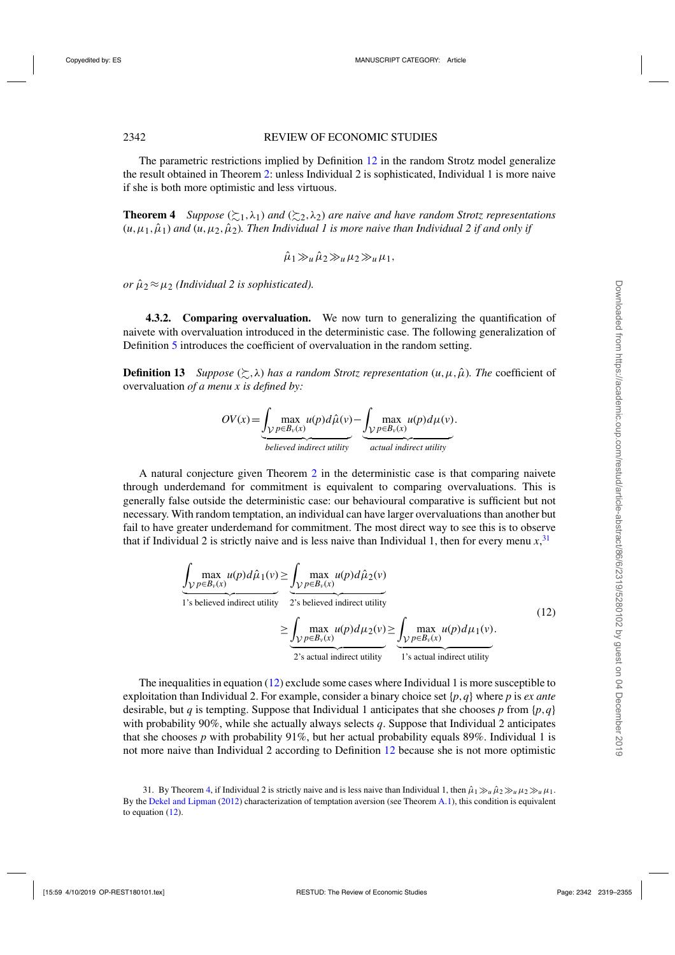<span id="page-23-0"></span>The parametric restrictions implied by Definition [12](#page-22-0) in the random Strotz model generalize the result obtained in Theorem [2:](#page-15-0) unless Individual 2 is sophisticated, Individual 1 is more naive if she is both more optimistic and less virtuous.

**Theorem 4** Suppose  $(\succsim_1, \lambda_1)$  and  $(\succsim_2, \lambda_2)$  are naive and have random Strotz representations  $(u, \mu_1, \hat{\mu}_1)$  and  $(u, \mu_2, \hat{\mu}_2)$ . Then Individual 1 is more naive than Individual 2 if and only if

$$
\hat{\mu}_1 \gg_u \hat{\mu}_2 \gg_u \mu_2 \gg_u \mu_1,
$$

*or*  $\hat{\mu}_2 \approx \mu_2$  *(Individual 2 is sophisticated).* 

**4.3.2. Comparing overvaluation.** We now turn to generalizing the quantification of naivete with overvaluation introduced in the deterministic case. The following generalization of Definition [5](#page-15-0) introduces the coefficient of overvaluation in the random setting.

**Definition 13** *Suppose*  $(\succsim, \lambda)$  *has a random Strotz representation*  $(u, \mu, \hat{\mu})$ *. The coefficient of* overvaluation *of a menu x is defined by:*

$$
OV(x) = \underbrace{\int_{VP \in B_v(x)} \max_{u(p) \, d\hat{\mu}(v)} u(p) d\hat{\mu}(v)}_{believed indirect utility} - \underbrace{\int_{VP \in B_v(x)} \max_{u(p) \, d\mu(v)} u(p) d\mu(v)}_{actual indirect utility}.
$$

A natural conjecture given Theorem [2](#page-15-0) in the deterministic case is that comparing naivete through underdemand for commitment is equivalent to comparing overvaluations. This is generally false outside the deterministic case: our behavioural comparative is sufficient but not necessary. With random temptation, an individual can have larger overvaluations than another but fail to have greater underdemand for commitment. The most direct way to see this is to observe that if Individual 2 is strictly naive and is less naive than Individual 1, then for every menu  $x$ ,  $31$ 

$$
\underbrace{\int_{\mathcal{V}} \max_{p \in B_{\nu}(x)} u(p) d\hat{\mu}_1(v)}_{1 \text{ is believed indirect utility}} \geq \underbrace{\int_{\mathcal{V}} \max_{p \in B_{\nu}(x)} u(p) d\hat{\mu}_2(v)}_{2 \text{ is believed indirect utility}} \geq \underbrace{\int_{\mathcal{V}} \max_{p \in B_{\nu}(x)} u(p) d\mu_2(v)}_{2 \text{ is actual indirect utility}} \geq \underbrace{\int_{\mathcal{V}} \max_{p \in B_{\nu}(x)} u(p) d\mu_1(v)}_{1 \text{ is actual indirect utility}}.
$$
\n(12)

The inequalities in equation (12) exclude some cases where Individual 1 is more susceptible to exploitation than Individual 2. For example, consider a binary choice set {*p*,*q*} where *p* is *ex ante* desirable, but *q* is tempting. Suppose that Individual 1 anticipates that she chooses *p* from  $\{p,q\}$ with probability 90%, while she actually always selects *q*. Suppose that Individual 2 anticipates that she chooses  $p$  with probability 91%, but her actual probability equals 89%. Individual 1 is not more naive than Individual 2 according to Definition [12](#page-22-0) because she is not more optimistic

<sup>31.</sup> By Theorem 4, if Individual 2 is strictly naive and is less naive than Individual 1, then  $\hat{\mu}_1 \gg_u \hat{\mu}_2 \gg_u \mu_2 \gg_u \mu_1$ . By the [Dekel and Lipman](#page-35-0) [\(2012](#page-35-0)) characterization of temptation aversion (see Theorem [A.1\)](#page-29-0), this condition is equivalent to equation (12).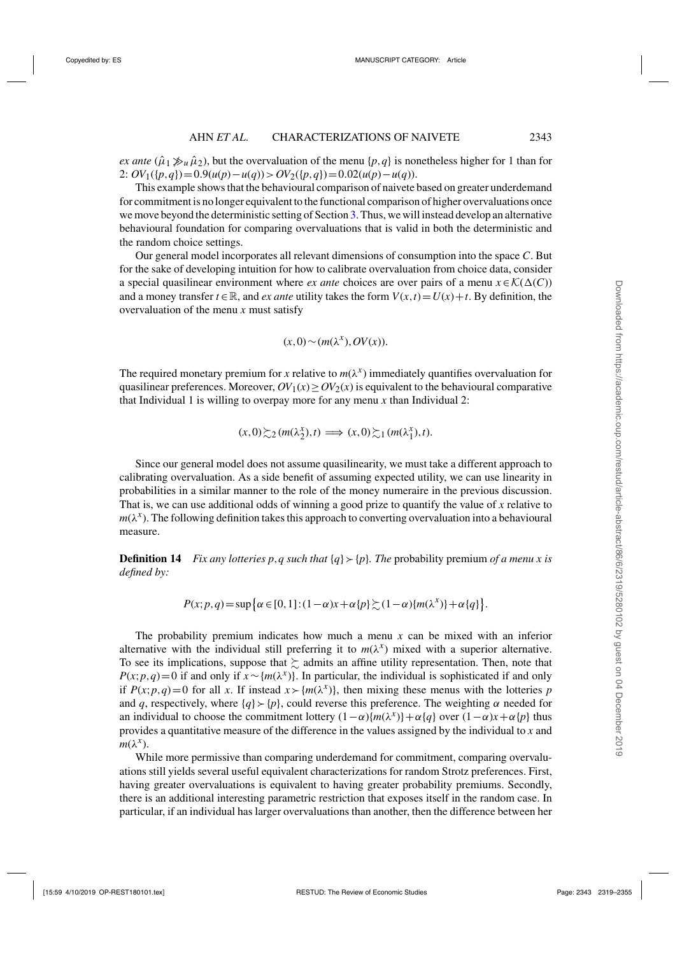*ex ante*  $(\hat{\mu}_1 \gg_{\mu} \hat{\mu}_2)$ , but the overvaluation of the menu {*p*, *q*} is nonetheless higher for 1 than for 2:  $OV_1({p, q}) = 0.9(u(p) – u(q)) > OV_2({p, q}) = 0.02(u(p) – u(q)).$ 

This example shows that the behavioural comparison of naivete based on greater underdemand for commitment is no longer equivalent to the functional comparison of higher overvaluations once we move beyond the deterministic setting of Section [3.](#page-10-0) Thus, we will instead develop an alternative behavioural foundation for comparing overvaluations that is valid in both the deterministic and the random choice settings.

Our general model incorporates all relevant dimensions of consumption into the space *C*. But for the sake of developing intuition for how to calibrate overvaluation from choice data, consider a special quasilinear environment where *ex ante* choices are over pairs of a menu  $x \in \mathcal{K}(\Delta(C))$ and a money transfer  $t \in \mathbb{R}$ , and *ex ante* utility takes the form  $V(x,t) = U(x) + t$ . By definition, the overvaluation of the menu *x* must satisfy

$$
(x,0) \sim (m(\lambda^x), OV(x)).
$$

The required monetary premium for *x* relative to  $m(\lambda^x)$  immediately quantifies overvaluation for quasilinear preferences. Moreover,  $OV_1(x) \geq OV_2(x)$  is equivalent to the behavioural comparative that Individual 1 is willing to overpay more for any menu *x* than Individual 2:

$$
(x,0) \gtrsim_2 (m(\lambda_2^x),t) \Longrightarrow (x,0) \gtrsim_1 (m(\lambda_1^x),t).
$$

Since our general model does not assume quasilinearity, we must take a different approach to calibrating overvaluation. As a side benefit of assuming expected utility, we can use linearity in probabilities in a similar manner to the role of the money numeraire in the previous discussion. That is, we can use additional odds of winning a good prize to quantify the value of *x* relative to  $m(\lambda^x)$ . The following definition takes this approach to converting overvaluation into a behavioural measure.

**Definition 14** *Fix any lotteries p*,*q such that* {*q*}-{*p*}*. The* probability premium *of a menu x is defined by:*

$$
P(x; p, q) = \sup \{ \alpha \in [0, 1] : (1 - \alpha)x + \alpha \{p\} \succsim (1 - \alpha) \{m(\lambda^x)\} + \alpha \{q\} \}.
$$

The probability premium indicates how much a menu *x* can be mixed with an inferior alternative with the individual still preferring it to  $m(\lambda^x)$  mixed with a superior alternative. To see its implications, suppose that  $\succsim$  admits an affine utility representation. Then, note that *P*(*x*;*p*,*q*)=0 if and only if  $x \sim \{m(\lambda^x)\}\$ . In particular, the individual is sophisticated if and only if  $P(x; p, q) = 0$  for all x. If instead  $x > {m(\lambda^x)}$ , then mixing these menus with the lotteries *p* and *q*, respectively, where  $\{q\}$  >  $\{p\}$ , could reverse this preference. The weighting  $\alpha$  needed for an individual to choose the commitment lottery  $(1-\alpha){m(\lambda^x)} + \alpha{q}$  over  $(1-\alpha)x + \alpha{p}$  thus provides a quantitative measure of the difference in the values assigned by the individual to *x* and  $m(λ<sup>x</sup>)$ .

While more permissive than comparing underdemand for commitment, comparing overvaluations still yields several useful equivalent characterizations for random Strotz preferences. First, having greater overvaluations is equivalent to having greater probability premiums. Secondly, there is an additional interesting parametric restriction that exposes itself in the random case. In particular, if an individual has larger overvaluations than another, then the difference between her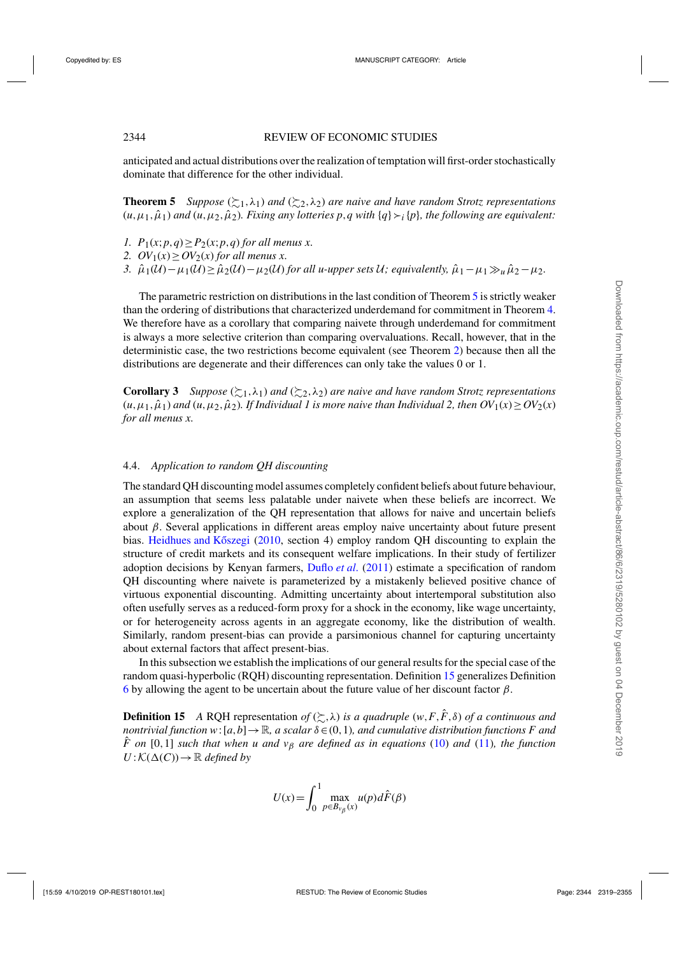<span id="page-25-0"></span>anticipated and actual distributions over the realization of temptation will first-order stochastically dominate that difference for the other individual.

**Theorem 5** *Suppose*  $(\succsim_1, \lambda_1)$  *and*  $(\succsim_2, \lambda_2)$  *are naive and have random Strotz representations*  $(u, \mu_1, \hat{\mu}_1)$  and  $(u, \mu_2, \hat{\mu}_2)$ . Fixing any lotteries  $p, q$  with  $\{q\} \succ_i \{p\}$ , the following are equivalent:

- *1.*  $P_1(x; p, q) \ge P_2(x; p, q)$  *for all menus x.*
- 2.  $OV_1(x) \geq OV_2(x)$  *for all menus x.*
- 3.  $\hat{\mu}_1(\mathcal{U}) \mu_1(\mathcal{U}) \geq \hat{\mu}_2(\mathcal{U}) \mu_2(\mathcal{U})$  *for all u-upper sets U; equivalently,*  $\hat{\mu}_1 \mu_1 \gg_u \hat{\mu}_2 \mu_2$ .

The parametric restriction on distributions in the last condition of Theorem 5 is strictly weaker than the ordering of distributions that characterized underdemand for commitment in Theorem [4.](#page-23-0) We therefore have as a corollary that comparing naivete through underdemand for commitment is always a more selective criterion than comparing overvaluations. Recall, however, that in the deterministic case, the two restrictions become equivalent (see Theorem [2\)](#page-15-0) because then all the distributions are degenerate and their differences can only take the values 0 or 1.

**Corollary 3** *Suppose*  $(\succsim_1, \lambda_1)$  *and*  $(\succsim_2, \lambda_2)$  *are naive and have random Strotz representations*  $(u, \mu_1, \hat{\mu}_1)$  *and*  $(u, \mu_2, \hat{\mu}_2)$ *. If Individual 1 is more naive than Individual 2, then*  $OV_1(x) \geq OV_2(x)$ *for all menus x.*

## 4.4. *Application to random QH discounting*

The standard QH discounting model assumes completely confident beliefs about future behaviour, an assumption that seems less palatable under naivete when these beliefs are incorrect. We explore a generalization of the QH representation that allows for naive and uncertain beliefs about β. Several applications in different areas employ naive uncertainty about future present bias. Heidhues and Kőszegi  $(2010, \text{ section } 4)$  $(2010, \text{ section } 4)$  employ random QH discounting to explain the structure of credit markets and its consequent welfare implications. In their study of fertilizer adoption decisions by Kenyan farmers, [Duflo](#page-35-0) *et al*. [\(2011](#page-35-0)) estimate a specification of random QH discounting where naivete is parameterized by a mistakenly believed positive chance of virtuous exponential discounting. Admitting uncertainty about intertemporal substitution also often usefully serves as a reduced-form proxy for a shock in the economy, like wage uncertainty, or for heterogeneity across agents in an aggregate economy, like the distribution of wealth. Similarly, random present-bias can provide a parsimonious channel for capturing uncertainty about external factors that affect present-bias.

In this subsection we establish the implications of our general results for the special case of the random quasi-hyperbolic (RQH) discounting representation. Definition 15 generalizes Definition [6](#page-17-0) by allowing the agent to be uncertain about the future value of her discount factor  $\beta$ .

**Definition 15** A RQH representation of  $(\succsim, \lambda)$  is a quadruple  $(w, F, \hat{F}, \delta)$  of a continuous and *nontrivial function*  $w:[a,b]\to\mathbb{R}$ *, a scalar*  $\delta \in (0,1)$ *, and cumulative distribution functions F and*  $\hat{F}$  on [0,1] such that when u and  $v<sub>\beta</sub>$  are defined as in equations [\(10\)](#page-17-0) and [\(11\)](#page-17-0), the function  $U: K(\Delta(C)) \to \mathbb{R}$  *defined by* 

$$
U(x) = \int_0^1 \max_{p \in B_{\nu_\beta}(x)} u(p) d\hat{F}(\beta)
$$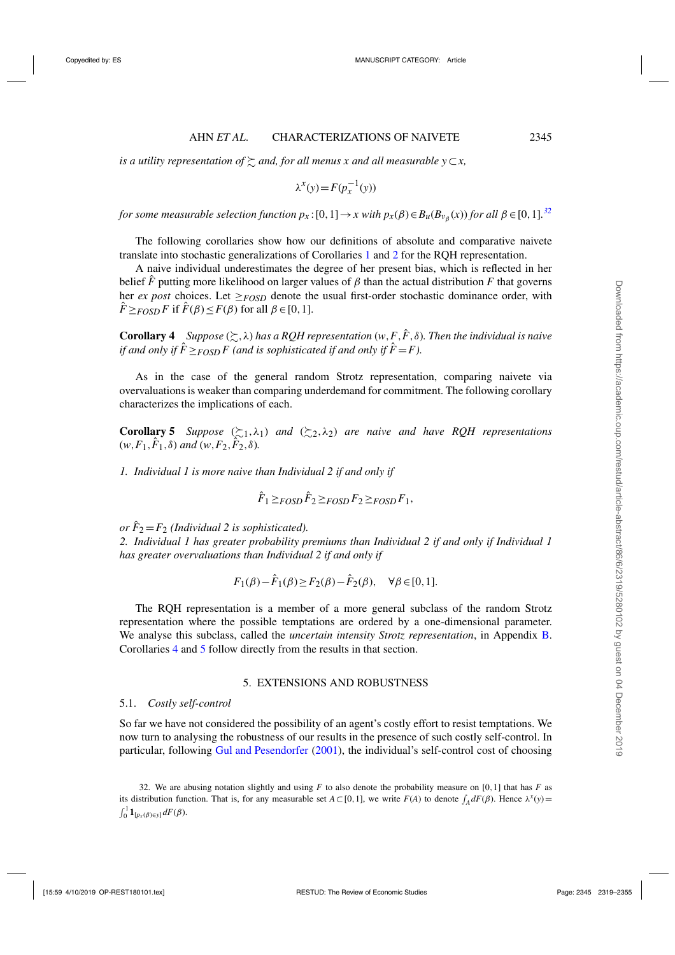<span id="page-26-0"></span> $i$ s a utility representation of  $\succsim$  and, for all menus  $x$  and all measurable  $y\!\subset\! x,$ 

$$
\lambda^x(y) = F(p_x^{-1}(y))
$$

*for some measurable selection function*  $p_x$  *:* [0, 1]  $\to$  *x with*  $p_x(\beta)$   $\in$   $B_u(B_{v_\beta}(x))$  *for all*  $\beta$   $\in$  [0, 1]. $^{32}$ 

The following corollaries show how our definitions of absolute and comparative naivete translate into stochastic generalizations of Corollaries [1](#page-18-0) and [2](#page-18-0) for the RQH representation.

A naive individual underestimates the degree of her present bias, which is reflected in her belief  $\hat{F}$  putting more likelihood on larger values of  $\beta$  than the actual distribution  $F$  that governs her *ex post* choices. Let  $\geq$ *FOSD* denote the usual first-order stochastic dominance order, with  $\hat{F} \geq F \circ S \circ F$  if  $\hat{F}(\beta) \leq F(\beta)$  for all  $\beta \in [0,1]$ .

**Corollary 4** *Suppose*  $(\succsim, \lambda)$  *has a RQH representation*  $(w, F, \hat{F}, \delta)$ *. Then the individual is naive if and only if*  $\hat{F} \geq_{FOSD} F$  (and is sophisticated if and only if  $\hat{F} = F$ ).

As in the case of the general random Strotz representation, comparing naivete via overvaluations is weaker than comparing underdemand for commitment. The following corollary characterizes the implications of each.

**Corollary 5** *Suppose*  $(\succsim 1, \lambda_1)$  *and*  $(\succsim 2, \lambda_2)$  *are naive and have RQH representations*  $(w, F_1, \hat{F}_1, \delta)$  *and*  $(w, F_2, \hat{F}_2, \delta)$ *.* 

*1. Individual 1 is more naive than Individual 2 if and only if*

$$
\hat{F}_1 \geq_{FOSD} \hat{F}_2 \geq_{FOSD} F_2 \geq_{FOSD} F_1,
$$

*or*  $F_2 = F_2$  *(Individual 2 is sophisticated). 2. Individual 1 has greater probability premiums than Individual 2 if and only if Individual 1 has greater overvaluations than Individual 2 if and only if*

$$
F_1(\beta) - \hat{F}_1(\beta) \ge F_2(\beta) - \hat{F}_2(\beta), \quad \forall \beta \in [0, 1].
$$

The RQH representation is a member of a more general subclass of the random Strotz representation where the possible temptations are ordered by a one-dimensional parameter. We analyse this subclass, called the *uncertain intensity Strotz representation*, in Appendix [B.](#page-29-0) Corollaries 4 and 5 follow directly from the results in that section.

## 5. EXTENSIONS AND ROBUSTNESS

#### 5.1. *Costly self-control*

So far we have not considered the possibility of an agent's costly effort to resist temptations. We now turn to analysing the robustness of our results in the presence of such costly self-control. In particular, following [Gul and Pesendorfer](#page-36-0) [\(2001](#page-36-0)), the individual's self-control cost of choosing

32. We are abusing notation slightly and using  $F$  to also denote the probability measure on [0,1] that has  $F$  as its distribution function. That is, for any measurable set  $A \subset [0,1]$ , we write  $F(A)$  to denote  $\int_A dF(\beta)$ . Hence  $\lambda^x(y) =$  $\int_0^1 \mathbf{1}_{[p_x(\beta) \in y]} dF(\beta).$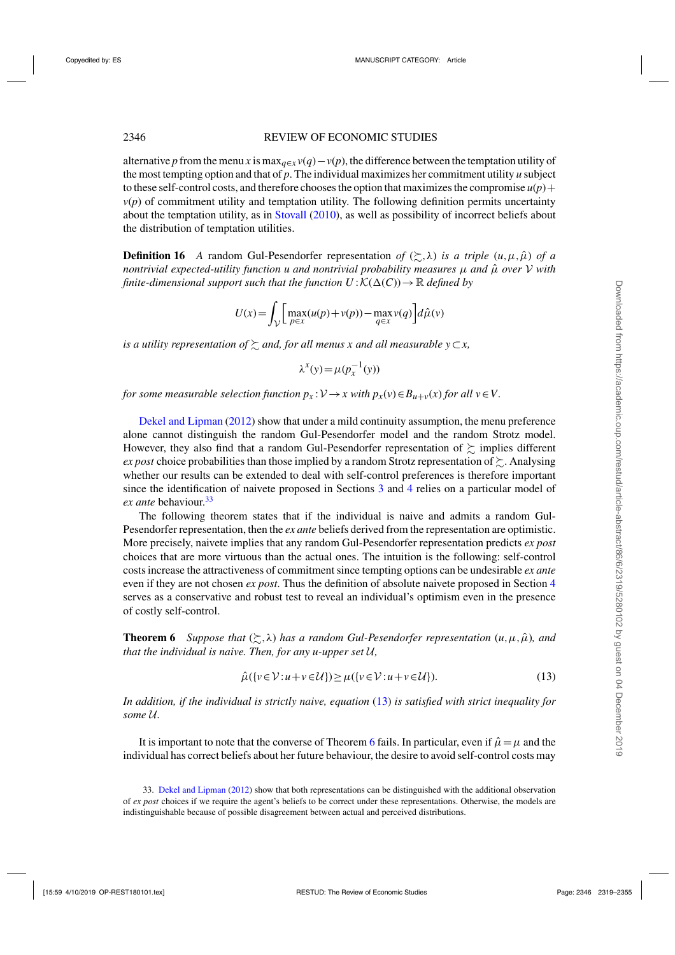<span id="page-27-0"></span>alternative *p* from the menu *x* is max<sub>*q*∈*x*</sub> *v*(*q*) – *v*(*p*), the difference between the temptation utility of the most tempting option and that of *p*. The individual maximizes her commitment utility *u* subject to these self-control costs, and therefore chooses the option that maximizes the compromise  $u(p)$  +  $v(p)$  of commitment utility and temptation utility. The following definition permits uncertainty about the temptation utility, as in [Stovall](#page-36-0) [\(2010](#page-36-0)), as well as possibility of incorrect beliefs about the distribution of temptation utilities.

**Definition 16** *A* random Gul-Pesendorfer representation *of*  $(\succsim, \lambda)$  *is a triple*  $(u, \mu, \hat{\mu})$  *of a nontrivial expected-utility function u and nontrivial probability measures μ and μ̂ over* V *with finite-dimensional support such that the function*  $U: K(\Delta(C)) \to \mathbb{R}$  *defined by* 

$$
U(x) = \int_{\mathcal{V}} \left[ \max_{p \in x} (u(p) + v(p)) - \max_{q \in x} v(q) \right] d\hat{\mu}(v)
$$

 $i$ *s a utility representation of*  $\succsim$  and, for all menus x and all measurable y $\subset$ *x*,

$$
\lambda^x(y) = \mu(p_x^{-1}(y))
$$

*for some measurable selection function*  $p_x$ : $V \rightarrow x$  with  $p_x(v) \in B_{u+v}(x)$  *for all*  $v \in V$ .

[Dekel and Lipman](#page-35-0) [\(2012\)](#page-35-0) show that under a mild continuity assumption, the menu preference alone cannot distinguish the random Gul-Pesendorfer model and the random Strotz model. However, they also find that a random Gul-Pesendorfer representation of  $\succsim$  implies different *ex post* choice probabilities than those implied by a random Strotz representation of  $\succsim$  . Analysing whether our results can be extended to deal with self-control preferences is therefore important since the identification of naivete proposed in Sections [3](#page-10-0) and [4](#page-18-0) relies on a particular model of *ex ante* behaviour.<sup>33</sup>

The following theorem states that if the individual is naive and admits a random Gul-Pesendorfer representation, then the *ex ante* beliefs derived from the representation are optimistic. More precisely, naivete implies that any random Gul-Pesendorfer representation predicts *ex post* choices that are more virtuous than the actual ones. The intuition is the following: self-control costs increase the attractiveness of commitment since tempting options can be undesirable *ex ante* even if they are not chosen *ex post*. Thus the definition of absolute naivete proposed in Section [4](#page-18-0) serves as a conservative and robust test to reveal an individual's optimism even in the presence of costly self-control.

**Theorem 6** *Suppose that*  $(\succsim, \lambda)$  *has a random Gul-Pesendorfer representation*  $(u, \mu, \hat{\mu})$ *, and that the individual is naive. Then, for any u-upper set* U*,*

$$
\hat{\mu}(\{v \in \mathcal{V} : u + v \in \mathcal{U}\}) \ge \mu(\{v \in \mathcal{V} : u + v \in \mathcal{U}\}).\tag{13}
$$

*In addition, if the individual is strictly naive, equation* (13) *is satisfied with strict inequality for some* U*.*

It is important to note that the converse of Theorem 6 fails. In particular, even if  $\hat{\mu} = \mu$  and the individual has correct beliefs about her future behaviour, the desire to avoid self-control costs may

<sup>33.</sup> [Dekel and Lipman](#page-35-0) [\(2012\)](#page-35-0) show that both representations can be distinguished with the additional observation of *ex post* choices if we require the agent's beliefs to be correct under these representations. Otherwise, the models are indistinguishable because of possible disagreement between actual and perceived distributions.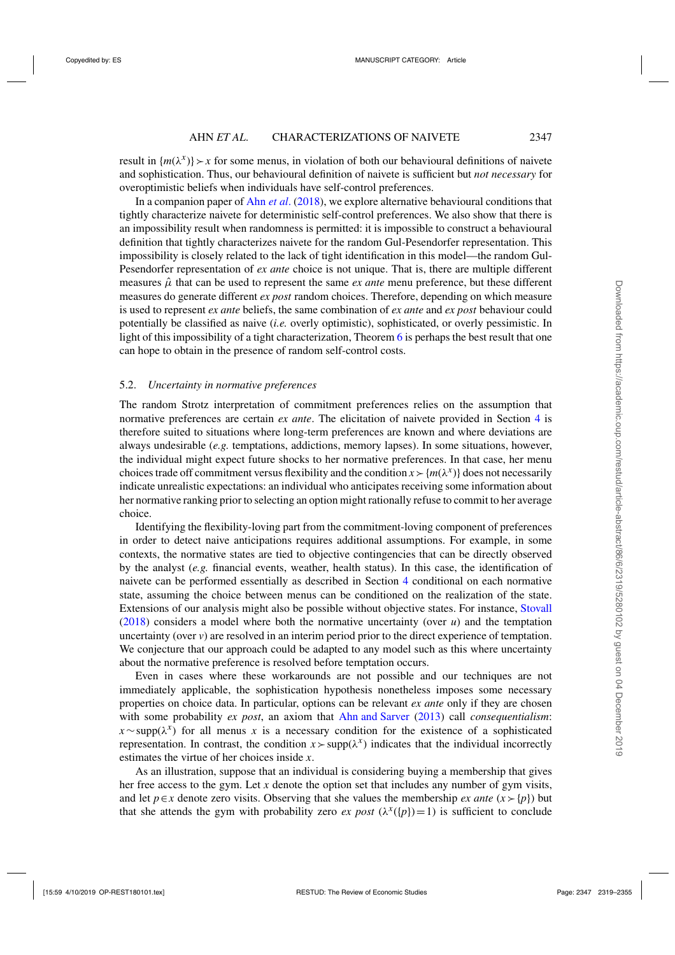<span id="page-28-0"></span>result in  $\{m(\lambda^x)\}\rightarrow x$  for some menus, in violation of both our behavioural definitions of naivete and sophistication. Thus, our behavioural definition of naivete is sufficient but *not necessary* for overoptimistic beliefs when individuals have self-control preferences.

In a companion paper of Ahn *[et al](#page-35-0)*. [\(2018](#page-35-0)), we explore alternative behavioural conditions that tightly characterize naivete for deterministic self-control preferences. We also show that there is an impossibility result when randomness is permitted: it is impossible to construct a behavioural definition that tightly characterizes naivete for the random Gul-Pesendorfer representation. This impossibility is closely related to the lack of tight identification in this model—the random Gul-Pesendorfer representation of *ex ante* choice is not unique. That is, there are multiple different measures  $\hat{\mu}$  that can be used to represent the same *ex ante* menu preference, but these different measures do generate different *ex post* random choices. Therefore, depending on which measure is used to represent *ex ante* beliefs, the same combination of *ex ante* and *ex post* behaviour could potentially be classified as naive (*i.e.* overly optimistic), sophisticated, or overly pessimistic. In light of this impossibility of a tight characterization, Theorem [6](#page-27-0) is perhaps the best result that one can hope to obtain in the presence of random self-control costs.

## 5.2. *Uncertainty in normative preferences*

The random Strotz interpretation of commitment preferences relies on the assumption that normative preferences are certain *ex ante*. The elicitation of naivete provided in Section [4](#page-18-0) is therefore suited to situations where long-term preferences are known and where deviations are always undesirable (*e.g.* temptations, addictions, memory lapses). In some situations, however, the individual might expect future shocks to her normative preferences. In that case, her menu choices trade off commitment versus flexibility and the condition  $x \succ \{m(\lambda^x)\}\)$  does not necessarily indicate unrealistic expectations: an individual who anticipates receiving some information about her normative ranking prior to selecting an option might rationally refuse to commit to her average choice.

Identifying the flexibility-loving part from the commitment-loving component of preferences in order to detect naive anticipations requires additional assumptions. For example, in some contexts, the normative states are tied to objective contingencies that can be directly observed by the analyst (*e.g.* financial events, weather, health status). In this case, the identification of naivete can be performed essentially as described in Section [4](#page-18-0) conditional on each normative state, assuming the choice between menus can be conditioned on the realization of the state. Extensions of our analysis might also be possible without objective states. For instance, [Stovall](#page-36-0) [\(2018\)](#page-36-0) considers a model where both the normative uncertainty (over *u*) and the temptation uncertainty (over *v*) are resolved in an interim period prior to the direct experience of temptation. We conjecture that our approach could be adapted to any model such as this where uncertainty about the normative preference is resolved before temptation occurs.

Even in cases where these workarounds are not possible and our techniques are not immediately applicable, the sophistication hypothesis nonetheless imposes some necessary properties on choice data. In particular, options can be relevant *ex ante* only if they are chosen with some probability *ex post*, an axiom that [Ahn and Sarver](#page-35-0) [\(2013\)](#page-35-0) call *consequentialism*:  $x \sim \text{supp}(\lambda^x)$  for all menus *x* is a necessary condition for the existence of a sophisticated representation. In contrast, the condition  $x > \text{supp}(\lambda^x)$  indicates that the individual incorrectly estimates the virtue of her choices inside *x*.

As an illustration, suppose that an individual is considering buying a membership that gives her free access to the gym. Let *x* denote the option set that includes any number of gym visits, and let *p*∈*x* denote zero visits. Observing that she values the membership *ex ante* ( $x > {p}$ ) but that she attends the gym with probability zero *ex post*  $(\lambda^x(\{p\})=1)$  is sufficient to conclude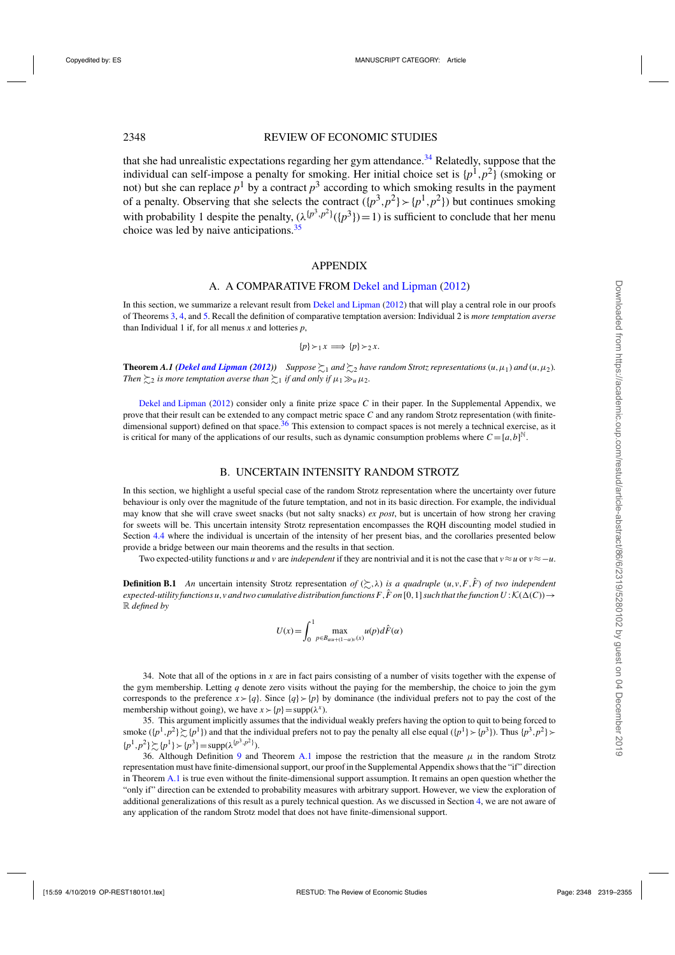## <span id="page-29-0"></span>2348 REVIEW OF ECONOMIC STUDIES

that she had unrealistic expectations regarding her gym attendance.<sup>34</sup> Relatedly, suppose that the individual can self-impose a penalty for smoking. Her initial choice set is  $\{p^1, p^2\}$  (smoking or not) but she can replace  $p^1$  by a contract  $p^3$  according to which smoking results in the payment of a penalty. Observing that she selects the contract  $({p^3}, {p^2} \rangle \succ {p^1}, {p^2})$  but continues smoking with probability 1 despite the penalty,  $(\lambda^{p^3}, p^2)(p^3) = 1$  is sufficient to conclude that her menu choice was led by naive anticipations.<sup>35</sup>

## APPENDIX

## A. A COMPARATIVE FROM [Dekel and Lipman](#page-35-0) [\(2012](#page-35-0))

In this section, we summarize a relevant result from [Dekel and Lipman](#page-35-0) [\(2012](#page-35-0)) that will play a central role in our proofs of Theorems [3,](#page-22-0) [4,](#page-23-0) and [5.](#page-25-0) Recall the definition of comparative temptation aversion: Individual 2 is *more temptation averse* than Individual 1 if, for all menus  $x$  and lotteries  $p$ ,

$$
\{p\} \succ_1 x \implies \{p\} \succ_2 x.
$$

**Theorem A.1 [\(Dekel and Lipman](#page-35-0) [\(2012](#page-35-0)))** Suppose  $\zeta_1$  and  $\zeta_2$  have random Strotz representations  $(u, \mu_1)$  and  $(u, \mu_2)$ . Then  $\succsim_2$  is more temptation averse than  $\succsim_1$  if and only if  $\mu_1 \gg_u \mu_2$ .

[Dekel and Lipman](#page-35-0) [\(2012](#page-35-0)) consider only a finite prize space *C* in their paper. In the Supplemental Appendix, we prove that their result can be extended to any compact metric space *C* and any random Strotz representation (with finite- $\frac{1}{4}$  dimensional support) defined on that space.<sup>36</sup> This extension to compact spaces is not merely a technical exercise, as it is critical for many of the applications of our results, such as dynamic consumption problems where  $C = [a, b]^{\mathbb{N}}$ .

## B. UNCERTAIN INTENSITY RANDOM STROTZ

In this section, we highlight a useful special case of the random Strotz representation where the uncertainty over future behaviour is only over the magnitude of the future temptation, and not in its basic direction. For example, the individual may know that she will crave sweet snacks (but not salty snacks) *ex post*, but is uncertain of how strong her craving for sweets will be. This uncertain intensity Strotz representation encompasses the RQH discounting model studied in Section [4.4](#page-25-0) where the individual is uncertain of the intensity of her present bias, and the corollaries presented below provide a bridge between our main theorems and the results in that section.

Two expected-utility functions *u* and *v* are *independent* if they are nontrivial and it is not the case that  $v \approx u$  or  $v \approx -u$ .

**Definition B.1** *An* uncertain intensity Strotz representation *of* (-,λ) *is a quadruple* (*u*,*v*,*F*,*F*ˆ ) *of two independent*  $e$ *xpected-utility functions u,v* and two cumulative distribution functions F,  $\hat{F}$  *on* [0, 1] *such that the function U* :  $K(\Delta(C)) \rightarrow$ R *defined by*

$$
U(x) = \int_0^1 \max_{p \in B_{\alpha u + (1-\alpha)v}(x)} u(p) d\hat{F}(\alpha)
$$

34. Note that all of the options in  $x$  are in fact pairs consisting of a number of visits together with the expense of the gym membership. Letting *q* denote zero visits without the paying for the membership, the choice to join the gym corresponds to the preference  $x > {q}$ . Since  ${q} > {p}$  by dominance (the individual prefers not to pay the cost of the membership without going), we have  $x > {p}$  = supp( $\lambda^x$ ).

35. This argument implicitly assumes that the individual weakly prefers having the option to quit to being forced to smoke  $({p^1, p^2} \succcurlyeq (p^1)$  and that the individual prefers not to pay the penalty all else equal  $({p^1} \succ (p^3))$ . Thus  ${p^3, p^2} \succ$  $\{p^1, p^2\} \gtrsim \{p^1\} \gtrsim \{p^3\} = \text{supp}(\lambda^{\{p^3, p^2\}}).$ 

36. Although Definition [9](#page-20-0) and Theorem A.1 impose the restriction that the measure  $\mu$  in the random Strotz representation must have finite-dimensional support, our proof in the Supplemental Appendix shows that the "if" direction in Theorem A.1 is true even without the finite-dimensional support assumption. It remains an open question whether the "only if" direction can be extended to probability measures with arbitrary support. However, we view the exploration of additional generalizations of this result as a purely technical question. As we discussed in Section [4,](#page-18-0) we are not aware of any application of the random Strotz model that does not have finite-dimensional support.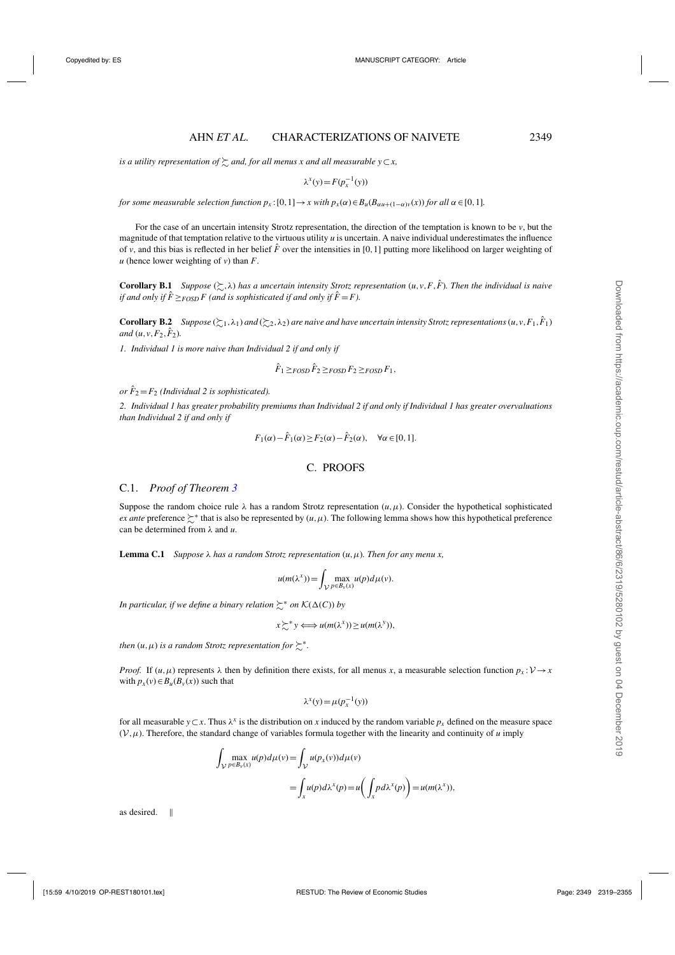<span id="page-30-0"></span> $i$ s a utility representation of  $\succsim$  and, for all menus  $x$  and all measurable  $y\!\subset\! x,$ 

$$
\lambda^x(y) = F(p_x^{-1}(y))
$$

*for some measurable selection function*  $p_x$ :  $[0,1] \rightarrow x$  with  $p_x(\alpha) \in B_u(B_{\alpha u + (1-\alpha)v}(x))$  *for all*  $\alpha \in [0,1]$ *.* 

For the case of an uncertain intensity Strotz representation, the direction of the temptation is known to be *v*, but the magnitude of that temptation relative to the virtuous utility *u* is uncertain. A naive individual underestimates the influence of *v*, and this bias is reflected in her belief  $\hat{F}$  over the intensities in [0,1] putting more likelihood on larger weighting of  $u$  (hence lower weighting of  $v$ ) than  $F$ .

**Corollary B.1** *Suppose*  $(\succsim, \lambda)$  *has a uncertain intensity Strotz representation*  $(u, v, F, \hat{F})$ *. Then the individual is naive if and only if*  $\hat{F} \geq_{FOSD} F$  (and is sophisticated if and only if  $\hat{F} = F$ ).

**Corollary B.2** Suppose  $(\succsim_1, \lambda_1)$  and  $(\succsim_2, \lambda_2)$  are naive and have uncertain intensity Strotz representations  $(u, v, F_1, \hat{F}_1)$ *and*  $(u, v, F_2, F_2)$ *.* 

*1. Individual 1 is more naive than Individual 2 if and only if*

$$
\hat{F}_1 \geq_{FOSD} \hat{F}_2 \geq_{FOSD} F_2 \geq_{FOSD} F_1,
$$

*or*  $\hat{F}_2 = F_2$  *(Individual 2 is sophisticated).* 

*2. Individual 1 has greater probability premiums than Individual 2 if and only if Individual 1 has greater overvaluations than Individual 2 if and only if*

$$
F_1(\alpha) - \hat{F}_1(\alpha) \ge F_2(\alpha) - \hat{F}_2(\alpha), \quad \forall \alpha \in [0, 1].
$$

## C. PROOFS

## C.1. *Proof of Theorem [3](#page-22-0)*

Suppose the random choice rule  $\lambda$  has a random Strotz representation  $(u, \mu)$ . Consider the hypothetical sophisticated *ex ante* preference  $\sum^*$  that is also be represented by  $(u, \mu)$ . The following lemma shows how this hypothetical preference can be determined from λ and *u*.

**Lemma C.1** *Suppose*  $\lambda$  *has a random Strotz representation*  $(u, \mu)$ *. Then for any menu x,* 

$$
u(m(\lambda^{x})) = \int_{\mathcal{V}} \max_{p \in B_{\nu}(x)} u(p) d\mu(\nu).
$$

*In particular, if we define a binary relation*  $\succsim^*$  *on*  $\mathcal{K}(\Delta(C))$  *by* 

$$
x \succsim^* y \Longleftrightarrow u(m(\lambda^x)) \ge u(m(\lambda^y)),
$$

*then*  $(u, \mu)$  *is a random Strotz representation for*  $\succsim^*$ .

*Proof.* If  $(u, \mu)$  represents  $\lambda$  then by definition there exists, for all menus *x*, a measurable selection function  $p_x : V \to x$ with  $p_x(v) \in B_u(B_v(x))$  such that

$$
\lambda^x(y) = \mu(p_x^{-1}(y))
$$

for all measurable  $y \subset x$ . Thus  $\lambda^x$  is the distribution on *x* induced by the random variable  $p_x$  defined on the measure space  $(V, \mu)$ . Therefore, the standard change of variables formula together with the linearity and continuity of  $\mu$  imply

$$
\int_{\mathcal{V}} \max_{p \in B_v(x)} u(p) d\mu(v) = \int_{\mathcal{V}} u(p_x(v)) d\mu(v)
$$
  
= 
$$
\int_{x} u(p) d\lambda^{x}(p) = u\left(\int_{x} p d\lambda^{x}(p)\right) = u(m(\lambda^{x})),
$$

as desired.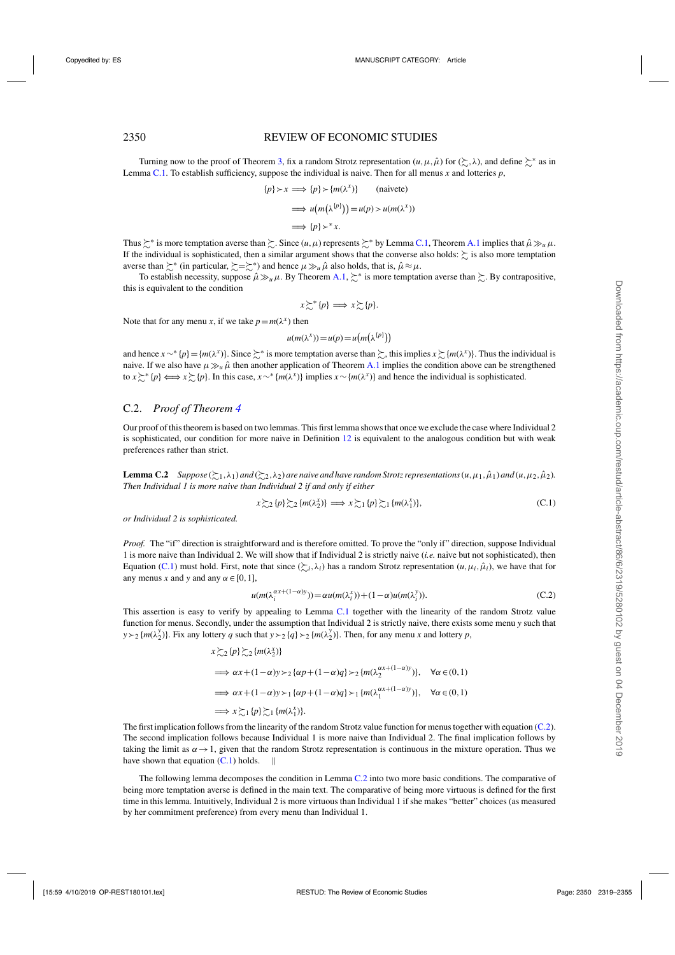## <span id="page-31-0"></span>2350 REVIEW OF ECONOMIC STUDIES

Turning now to the proof of Theorem [3,](#page-22-0) fix a random Strotz representation  $(u, \mu, \hat{\mu})$  for  $(\succsim, \lambda)$ , and define  $\succsim^*$  as in Lemma [C.1.](#page-30-0) To establish sufficiency, suppose the individual is naive. Then for all menus *x* and lotteries *p*,

$$
\{p\} \succ x \implies \{p\} \succ \{m(\lambda^x)\} \quad \text{(naivete)}
$$

$$
\implies u(m(\lambda^{\{p\}})) = u(p) > u(m(\lambda^x))
$$

$$
\implies \{p\} \succ^* x.
$$

Thus  $\succsim^*$  is more temptation averse than  $\succsim$ . Since  $(u, \mu)$  represents  $\succsim^*$  by Lemma [C.1,](#page-30-0) Theorem [A.1](#page-29-0) implies that  $\hat{\mu} \gg_u \mu$ . If the individual is sophisticated, then a similar argument shows that the converse also holds:  $\succsim$  is also more temptation averse than  $\succsim^*$  (in particular,  $\succsim = \succsim^*$ ) and hence  $\mu \gg_\mu \hat{\mu}$  also holds, that is,  $\hat{\mu} \approx \mu$ .

To establish necessity, suppose  $\hat{\mu} \gg_{\mu} \mu$ . By Theorem [A.1,](#page-29-0)  $\succsim$ <sup>\*</sup> is more temptation averse than  $\succsim$ . By contrapositive, this is equivalent to the condition

$$
x \succsim^* \{p\} \Longrightarrow x \succsim \{p\}.
$$

Note that for any menu *x*, if we take  $p = m(\lambda^x)$  then

$$
u(m(\lambda^{x})) = u(p) = u(m(\lambda^{\{p\}}))
$$

and hence  $x \sim^* \{p\} = \{m(\lambda^x)\}\.$  Since  $\succeq^*$  is more temptation averse than  $\succeq$ , this implies  $x \succsim (m(\lambda^x))$ . Thus the individual is naive. If we also have  $\mu \gg_\mu \hat{\mu}$  then another application of Theorem [A.1](#page-29-0) implies the condition above can be strengthened to  $x \succeq^* \{p\} \Longleftrightarrow x \succeq \{p\}$ . In this case,  $x \sim^* \{m(\lambda^x)\}$  implies  $x \sim \{m(\lambda^x)\}$  and hence the individual is sophisticated.

## C.2. *Proof of Theorem [4](#page-23-0)*

Our proof of this theorem is based on two lemmas. This first lemma shows that once we exclude the case where Individual 2 is sophisticated, our condition for more naive in Definition [12](#page-22-0) is equivalent to the analogous condition but with weak preferences rather than strict.

**Lemma C.2** Suppose  $(\xi_1, \lambda_1)$  and  $(\xi_2, \lambda_2)$  are naive and have random Strotz representations  $(u, \mu_1, \hat{\mu}_1)$  and  $(u, \mu_2, \hat{\mu}_2)$ . *Then Individual 1 is more naive than Individual 2 if and only if either*

$$
x \gtrsim_2 \{p\} \gtrsim_2 \{m(\lambda_2^x)\} \implies x \gtrsim_1 \{p\} \gtrsim_1 \{m(\lambda_1^x)\},\tag{C.1}
$$

*or Individual 2 is sophisticated.*

*Proof.* The "if" direction is straightforward and is therefore omitted. To prove the "only if" direction, suppose Individual 1 is more naive than Individual 2. We will show that if Individual 2 is strictly naive (*i.e.* naive but not sophisticated), then Equation (C.1) must hold. First, note that since  $(\succsim_{i}, \lambda_{i})$  has a random Strotz representation  $(u, \mu_{i}, \hat{\mu}_{i})$ , we have that for any menus *x* and *y* and any  $\alpha \in [0, 1]$ ,

$$
u(m(\lambda_i^{\alpha x + (1-\alpha)y})) = \alpha u(m(\lambda_i^x)) + (1-\alpha)u(m(\lambda_i^y)).
$$
\n(C.2)

This assertion is easy to verify by appealing to Lemma [C.1](#page-30-0) together with the linearity of the random Strotz value function for menus. Secondly, under the assumption that Individual 2 is strictly naive, there exists some menu *y* such that  $y \succ_2 \{m(\lambda_2^y)\}\$ . Fix any lottery *q* such that  $y \succ_2 \{q\} \succ_2 \{m(\lambda_2^y)\}\$ . Then, for any menu *x* and lottery *p*,

$$
x \gtrsim_{2} \{p\} \gtrsim_{2} \{m(\lambda_{2}^{x})\}
$$
  
\n
$$
\implies \alpha x + (1 - \alpha)y >_{2} \{\alpha p + (1 - \alpha)q\} >_{2} \{m(\lambda_{2}^{\alpha x + (1 - \alpha)y})\}, \quad \forall \alpha \in (0, 1)
$$
  
\n
$$
\implies \alpha x + (1 - \alpha)y >_{1} \{\alpha p + (1 - \alpha)q\} >_{1} \{m(\lambda_{1}^{\alpha x + (1 - \alpha)y})\}, \quad \forall \alpha \in (0, 1)
$$
  
\n
$$
\implies x \gtrsim_{1} \{p\} \gtrsim_{1} \{m(\lambda_{1}^{x})\}.
$$

The first implication follows from the linearity of the random Strotz value function for menus together with equation (C.2). The second implication follows because Individual 1 is more naive than Individual 2. The final implication follows by taking the limit as  $\alpha \rightarrow 1$ , given that the random Strotz representation is continuous in the mixture operation. Thus we have shown that equation  $(C,1)$  holds.  $\parallel$ 

The following lemma decomposes the condition in Lemma C.2 into two more basic conditions. The comparative of being more temptation averse is defined in the main text. The comparative of being more virtuous is defined for the first time in this lemma. Intuitively, Individual 2 is more virtuous than Individual 1 if she makes "better" choices (as measured by her commitment preference) from every menu than Individual 1.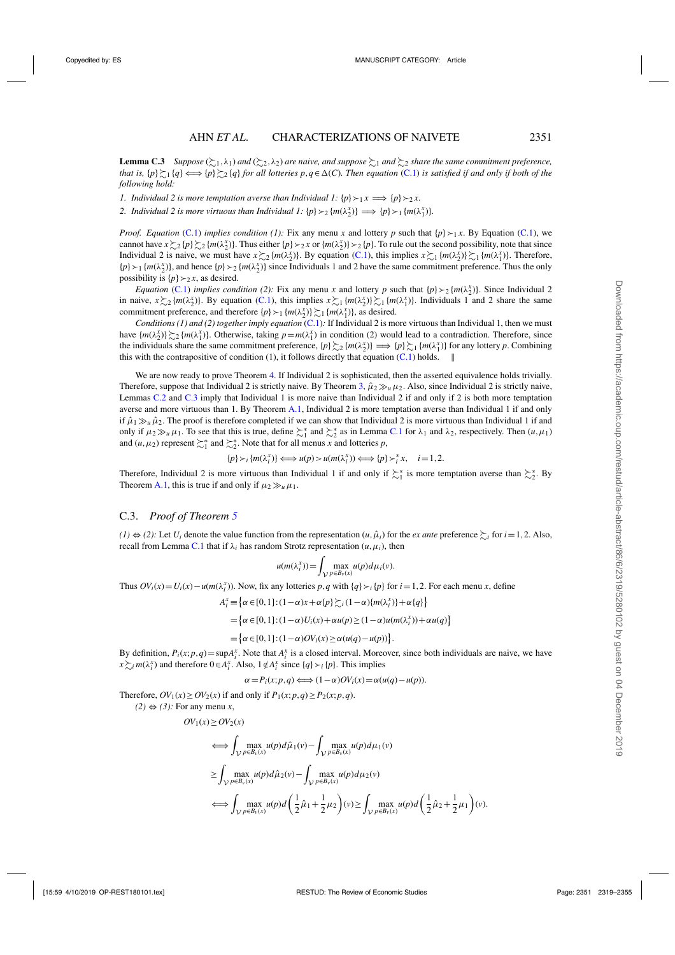**Lemma C.3** Suppose  $(\succsim_1,\lambda_1)$  and  $(\succsim_2,\lambda_2)$  are naive, and suppose  $\succsim_1$  and  $\succsim_2$  share the same commitment preference, *that is,*  $\{p\} \succeq_1 \{q\} \Longleftrightarrow \{p\} \succeq_2 \{q\}$  for all lotteries  $p, q \in \Delta(C)$ . Then equation [\(C.1\)](#page-31-0) is satisfied if and only if both of the *following hold:*

*1. Individual 2 is more temptation averse than Individual 1:*  $\{p\} \succ_1 x \Longrightarrow \{p\} \succ_2 x$ .

2. Individual 2 is more virtuous than Individual 1:  $\{p\} \succ_2 \{m(\lambda_2^x)\} \implies \{p\} \succ_1 \{m(\lambda_1^x)\}.$ 

*Proof. Equation* [\(C.1\)](#page-31-0) *implies condition* (1): Fix any menu *x* and lottery *p* such that  $\{p\} \succ_1 x$ . By Equation (C.1), we cannot have  $x \gtrsim_2 \{p\} \gtrsim_2 \{m(\lambda_2^x)\}\$ . Thus either  $\{p\} \succ_2 x$  or  $\{m(\lambda_2^x)\} \succ_2 \{p\}$ . To rule out the second possibility, note that since Individual 2 is naive, we must have  $x \gtrsim_2 \{m(\lambda_2^x)\}\)$ . By equation [\(C.1\)](#page-31-0), this implies  $x \gtrsim_1 \{m(\lambda_2^x)\}\gtrsim_1 \{m(\lambda_1^x)\}\)$ . Therefore,  ${p} >_1$  { $m(\lambda_2^x)$ }, and hence { $p$ }  $\geq_2$  { $m(\lambda_2^x)$ } since Individuals 1 and 2 have the same commitment preference. Thus the only possibility is  $\{p\} \succ_2 x$ , as desired.

*Equation* [\(C.1\)](#page-31-0) *implies condition* (2): Fix any menu *x* and lottery *p* such that  $\{p\} \succ_2 \{m(\lambda_2^x)\}\)$ . Since Individual 2 in naive,  $x \gtrsim_2 \{m(\lambda_2^x)\}\)$ . By equation [\(C.1\)](#page-31-0), this implies  $x \gtrsim_1 \{m(\lambda_2^x)\}\gtrsim_1 \{m(\lambda_1^x)\}\)$ . Individuals 1 and 2 share the same commitment preference, and therefore  $\{p\} \succ_1 \{m(\lambda_2^x)\}\succsim_1 \{m(\lambda_1^x)\}\;$  as desired.

*Conditions (1) and (2) together imply equation* [\(C.1\)](#page-31-0)*:* If Individual 2 is more virtuous than Individual 1, then we must have  $\{m(\lambda_2^x)\}\gtrsim \{m(\lambda_1^x)\}\$ . Otherwise, taking  $p=m(\lambda_1^x)$  in condition (2) would lead to a contradiction. Therefore, since the individuals share the same commitment preference,  $\{p\} \gtrsim_2 \{m(\lambda_2^x)\} \Longrightarrow \{p\} \gtrsim_1 \{m(\lambda_1^x)\}$  for any lottery *p*. Combining this with the contrapositive of condition (1), it follows directly that equation  $(C.1)$  holds.  $\parallel$ 

We are now ready to prove Theorem [4.](#page-23-0) If Individual 2 is sophisticated, then the asserted equivalence holds trivially. Therefore, suppose that Individual 2 is strictly naive. By Theorem [3,](#page-22-0)  $\hat{\mu}_2 \gg_u \mu_2$ . Also, since Individual 2 is strictly naive, Lemmas [C.2](#page-31-0) and [C.3](#page-31-0) imply that Individual 1 is more naive than Individual 2 if and only if 2 is both more temptation averse and more virtuous than 1. By Theorem [A.1,](#page-29-0) Individual 2 is more temptation averse than Individual 1 if and only if  $\hat{\mu}_1 \gg_u \hat{\mu}_2$ . The proof is therefore completed if we can show that Individual 2 is more virtuous than Individual 1 if and only if  $\mu_2 \gg_u \mu_1$ . To see that this is true, define  $\sum_1^*$  and  $\sum_2^*$  as in Lemma [C.1](#page-30-0) for  $\lambda_1$  and  $\lambda_2$ , respectively. Then  $(u, \mu_1)$ and  $(u, \mu_2)$  represent  $\sum_{1}^{*}$  and  $\sum_{2}^{*}$ . Note that for all menus *x* and lotteries *p*,

$$
\{p\} \succ_i \{m(\lambda_i^x)\} \Longleftrightarrow u(p) > u(m(\lambda_i^x)) \Longleftrightarrow \{p\} \succ_i^* x, \quad i = 1, 2.
$$

Therefore, Individual 2 is more virtuous than Individual 1 if and only if  $\succsim_1^*$  is more temptation averse than  $\succsim_2^*$ . By Theorem [A.1,](#page-29-0) this is true if and only if  $\mu_2 \gg_u \mu_1$ .

## C.3. *Proof of Theorem [5](#page-25-0)*

*(1)*  $\Leftrightarrow$  *(2):* Let *U<sub>i</sub>* denote the value function from the representation  $(u, \hat{\mu}_i)$  for the *ex ante* preference  $\succeq_i$  for *i*=1,2. Also, recall from Lemma [C.1](#page-30-0) that if  $\lambda_i$  has random Strotz representation  $(u, \mu_i)$ , then

$$
u(m(\lambda_i^x)) = \int_{\mathcal{V}} \max_{p \in B_{\nu}(x)} u(p) d\mu_i(v).
$$

Thus  $OV_i(x) = U_i(x) - u(m(\lambda_i^x))$ . Now, fix any lotteries *p*, *q* with {*q*} ≻*i* {*p*} for *i* = 1, 2. For each menu *x*, define

$$
A_i^x \equiv \left\{ \alpha \in [0,1] : (1-\alpha)x + \alpha\{p\} \succsim_i (1-\alpha)\{m(\lambda_i^x)\} + \alpha\{q\} \right\}
$$
  
= 
$$
\left\{ \alpha \in [0,1] : (1-\alpha)U_i(x) + \alpha u(p) \ge (1-\alpha)u(m(\lambda_i^x)) + \alpha u(q) \right\}
$$
  
= 
$$
\left\{ \alpha \in [0,1] : (1-\alpha)OV_i(x) \ge \alpha(u(q) - u(p)) \right\}.
$$

By definition,  $P_i(x; p, q) = \sup A_i^x$ . Note that  $A_i^x$  is a closed interval. Moreover, since both individuals are naive, we have  $x \succsim_{i} m(\lambda_{i}^{x})$  and therefore  $0 \in A_{i}^{x}$ . Also,  $1 \notin A_{i}^{x}$  since  $\{q\} \succ_{i} \{p\}$ . This implies

 $\alpha = P_i(x; p, q) \Longleftrightarrow (1-\alpha)QV_i(x) = \alpha(u(q) - u(p)).$ 

Therefore,  $OV_1(x) \geq OV_2(x)$  if and only if  $P_1(x; p, q) \geq P_2(x; p, q)$ .

$$
(2) \Leftrightarrow (3): \text{ For any menu } x,
$$
\n
$$
OV_1(x) \ge OV_2(x)
$$
\n
$$
\iff \int_{V} \max_{p \in B_v(x)} u(p) d\hat{\mu}_1(v) - \int_{V} \max_{p \in B_v(x)} u(p) d\mu_1(v)
$$
\n
$$
\ge \int_{V} \max_{p \in B_v(x)} u(p) d\hat{\mu}_2(v) - \int_{V} \max_{p \in B_v(x)} u(p) d\mu_2(v)
$$
\n
$$
\iff \int_{V} \max_{p \in B_v(x)} u(p) d\left(\frac{1}{2}\hat{\mu}_1 + \frac{1}{2}\mu_2\right)(v) \ge \int_{V} \max_{p \in B_v(x)} u(p) d\left(\frac{1}{2}\hat{\mu}_2 + \frac{1}{2}\mu_1\right)(v).
$$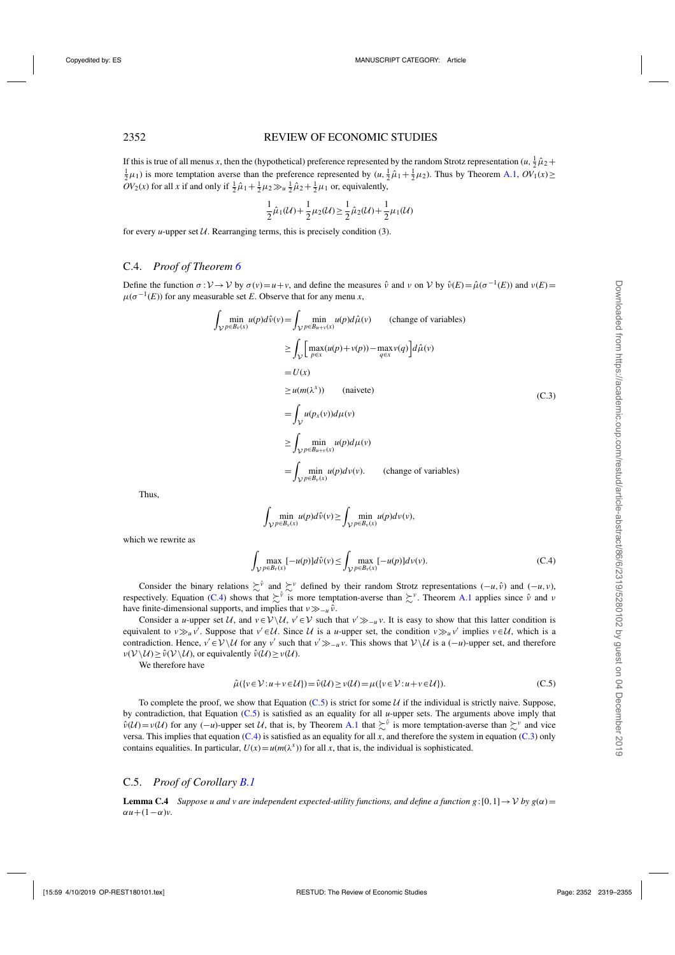<span id="page-33-0"></span>If this is true of all menus *x*, then the (hypothetical) preference represented by the random Strotz representation  $(u, \frac{1}{2}\hat{\mu}_2 + \frac{1}{2}u_1)$  is more temptation averse than the preference represented by  $(u, \frac{1}{2}\hat{\mu}_$  $\frac{1}{2}\mu_1$ ) is more temptation averse than the preference represented by  $(u, \frac{1}{2}\hat{\mu}_1 + \frac{1}{2}\mu_2)$ . Thus by Theorem [A.1,](#page-29-0)  $OV_1(x) \ge$  $OV_2(x)$  for all *x* if and only if  $\frac{1}{2}\hat{\mu}_1 + \frac{1}{2}\mu_2 \gg_u \frac{1}{2}\hat{\mu}_2 + \frac{1}{2}\mu_1$  or, equivalently,

$$
\frac{1}{2}\hat{\mu}_1(\mathcal{U}) + \frac{1}{2}\mu_2(\mathcal{U}) \ge \frac{1}{2}\hat{\mu}_2(\mathcal{U}) + \frac{1}{2}\mu_1(\mathcal{U})
$$

for every *u*-upper set  $U$ . Rearranging terms, this is precisely condition (3).

## C.4. *Proof of Theorem [6](#page-27-0)*

Define the function  $\sigma : V \to V$  by  $\sigma(v) = u + v$ , and define the measures  $\hat{v}$  and  $v$  on  $V$  by  $\hat{v}(E) = \hat{\mu}(\sigma^{-1}(E))$  and  $v(E) =$  $\mu(\sigma^{-1}(E))$  for any measurable set *E*. Observe that for any menu *x*,

$$
\int_{\mathcal{V}} \min_{p \in B_{\nu}(x)} u(p) d\hat{\nu}(v) = \int_{\mathcal{V}} \min_{p \in B_{\mu+\nu}(x)} u(p) d\hat{\mu}(v) \qquad \text{(change of variables)}
$$
\n
$$
\geq \int_{\mathcal{V}} \left[ \max_{p \in x} (u(p) + v(p)) - \max_{q \in x} v(q) \right] d\hat{\mu}(v)
$$
\n
$$
= U(x)
$$
\n
$$
\geq u(m(\lambda^{x})) \qquad \text{(naivete)}
$$
\n
$$
= \int_{\mathcal{V}} u(p_{x}(v)) d\mu(v)
$$
\n
$$
\geq \int_{\mathcal{V}} \min_{p \in B_{\mu+\nu}(x)} u(p) d\mu(v)
$$
\n
$$
= \int_{\mathcal{V}} \min_{p \in B_{\nu}(x)} u(p) d\nu(v). \qquad \text{(change of variables)}
$$

Thus,

$$
\int_{\mathcal{V}} \min_{p \in B_{\nu}(x)} u(p) d\hat{\nu}(v) \ge \int_{\mathcal{V}} \min_{p \in B_{\nu}(x)} u(p) d\nu(v),
$$

which we rewrite as

$$
\int_{\mathcal{V}} \max_{p \in B_{\nu}(x)} [-u(p)] d\hat{\nu}(v) \le \int_{\mathcal{V}} \max_{p \in B_{\nu}(x)} [-u(p)] d\nu(v).
$$
\n(C.4)

Consider the binary relations  $\sum^{\hat{v}}$  and  $\sum^{\hat{v}}$  defined by their random Strotz representations  $(-u, \hat{v})$  and  $(-u, v)$ , respectively. Equation (C.4) shows that  $\sum^{\hat{v}}$  is more temptation-averse than  $\sum^{\hat{v}}$ . Theorem [A.1](#page-29-0) applies since  $\hat{v}$  and  $v$ have finite-dimensional supports, and implies that  $v \gg_{-u} \hat{v}$ .

Consider a *u*-upper set U, and  $v \in V \setminus U$ ,  $v' \in V$  such that  $v' \gg_{-u} v$ . It is easy to show that this latter condition is equivalent to *v* $\gg_u v'$ . Suppose that *v'* ∈U. Since U is a *u*-upper set, the condition *v* $\gg_u v'$  implies *v*∈U, which is a contradiction. Hence,  $v' \in V \setminus U$  for any *v'* such that  $v' \gg u$ . This shows that  $V \setminus U$  is a  $(-u)$ -upper set, and therefore  $\nu(\mathcal{V} \setminus \mathcal{U}) > \hat{\nu}(\mathcal{V} \setminus \mathcal{U})$ , or equivalently  $\hat{\nu}(\mathcal{U}) > \nu(\mathcal{U})$ .

We therefore have

$$
\hat{\mu}(\{v \in \mathcal{V} : u + v \in \mathcal{U}\}) = \hat{\nu}(\mathcal{U}) \ge \nu(\mathcal{U}) = \mu(\{v \in \mathcal{V} : u + v \in \mathcal{U}\}).
$$
\n(C.5)

To complete the proof, we show that Equation (C.5) is strict for some  $U$  if the individual is strictly naive. Suppose, by contradiction, that Equation (C.5) is satisfied as an equality for all *u*-upper sets. The arguments above imply that  $\hat{v}(U) = v(U)$  for any  $(-u)$ -upper set U, that is, by Theorem [A.1](#page-29-0) that  $\sum^{\hat{v}}$  is more temptation-averse than  $\sum^{\hat{v}}$  and vice versa. This implies that equation (C.4) is satisfied as an equality for all *x*, and therefore the system in equation (C.3) only contains equalities. In particular,  $U(x) = u(m(\lambda^x))$  for all *x*, that is, the individual is sophisticated.

#### C.5. *Proof of Corollary [B.1](#page-18-0)*

**Lemma C.4** *Suppose u and v are independent expected-utility functions, and define a function g*: [0,1]  $\rightarrow$  *V by g(* $\alpha$ *)* =  $\alpha u + (1-\alpha)v$ .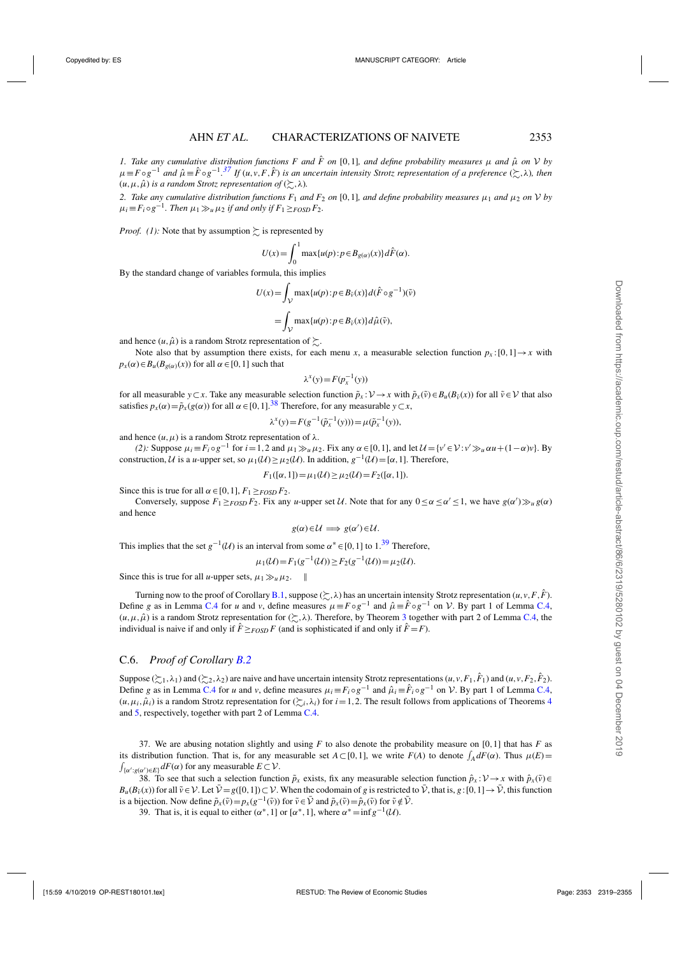*1. Take any cumulative distribution functions F and*  $\hat{F}$  *on* [0,1]*, and define probability measures*  $\mu$  *and*  $\hat{\mu}$  *on*  $V$  *by*  $\mu \equiv F \circ g^{-1}$  and  $\hat{\mu} \equiv \hat{F} \circ g^{-1}$ .<sup>37</sup> If  $(u, v, F, \hat{F})$  is an uncertain intensity Strotz representation of a preference  $(\succsim, \lambda)$ , then  $(u, \mu, \hat{\mu})$  *is a random Strotz representation of*  $(\succsim, \lambda)$ *.* 

2. Take any cumulative distribution functions  $F_1$  and  $F_2$  on [0,1]*, and define probability measures* μ<sub>1</sub> and μ<sub>2</sub> on V by  $\mu_i \equiv F_i \circ g^{-1}$ . Then  $\mu_1 \gg_u \mu_2$  *if and only if*  $F_1 \geq_{FOSD} F_2$ .

*Proof.* (1): Note that by assumption  $\gtrsim$  is represented by

$$
U(x) = \int_0^1 \max\{u(p) : p \in B_{g(\alpha)}(x)\} d\hat{F}(\alpha).
$$

By the standard change of variables formula, this implies

$$
U(x) = \int_{\mathcal{V}} \max\{u(p) : p \in B_{\tilde{v}}(x)\} d(\hat{F} \circ g^{-1})(\tilde{v})
$$
  
= 
$$
\int_{\mathcal{V}} \max\{u(p) : p \in B_{\tilde{v}}(x)\} d\hat{\mu}(\tilde{v}),
$$

and hence  $(u, \hat{\mu})$  is a random Strotz representation of  $\succsim$ .

Note also that by assumption there exists, for each menu *x*, a measurable selection function  $p_x:[0,1] \rightarrow x$  with  $p_x(\alpha) \in B_u(B_{g(\alpha)}(x))$  for all  $\alpha \in [0,1]$  such that

$$
\lambda^x(y) = F(p_x^{-1}(y))
$$

for all measurable *y*⊂*x*. Take any measurable selection function  $\tilde{p}_x : V \to x$  with  $\tilde{p}_x(\tilde{v}) \in B_u(B_{\tilde{v}}(x))$  for all  $\tilde{v} \in V$  that also satisfies  $p_x(\alpha) = \tilde{p}_x(g(\alpha))$  for all  $\alpha \in [0, 1]$ .<sup>38</sup> Therefore, for any measurable  $y \subset x$ ,

$$
\lambda^{x}(y) = F(g^{-1}(\tilde{p}_x^{-1}(y))) = \mu(\tilde{p}_x^{-1}(y)),
$$

and hence  $(u, \mu)$  is a random Strotz representation of  $\lambda$ .

(2): Suppose  $\mu_i = F_i \circ g^{-1}$  for  $i = 1, 2$  and  $\mu_1 \gg \mu_2$ . Fix any  $\alpha \in [0, 1]$ , and let  $\mathcal{U} = \{v' \in \mathcal{V} : v' \gg \mu \alpha u + (1 - \alpha)v\}$ . By construction, U is a *u*-upper set, so  $\mu_1(\mathcal{U}) \geq \mu_2(\mathcal{U})$ . In addition,  $g^{-1}(\mathcal{U}) = [\alpha, 1]$ . Therefore,

 $F_1([\alpha,1]) = \mu_1(\mathcal{U}) \geq \mu_2(\mathcal{U}) = F_2([\alpha,1]).$ 

Since this is true for all  $\alpha \in [0,1]$ ,  $F_1 \geq F(\alpha)S(\alpha)F_2$ .

Conversely, suppose  $F_1 \geq F(SD)F_2$ . Fix any *u*-upper set U. Note that for any  $0 \leq \alpha \leq \alpha' \leq 1$ , we have  $g(\alpha') \gg_u g(\alpha)$ and hence

$$
g(\alpha) \in \mathcal{U} \implies g(\alpha') \in \mathcal{U}.
$$

This implies that the set  $g^{-1}(U)$  is an interval from some  $\alpha^* \in [0,1]$  to 1.<sup>39</sup> Therefore,

$$
\mu_1(\mathcal{U}) = F_1(g^{-1}(\mathcal{U})) \ge F_2(g^{-1}(\mathcal{U})) = \mu_2(\mathcal{U}).
$$

Since this is true for all *u*-upper sets,  $\mu_1 \gg_u \mu_2$ .

Turning now to the proof of Corollary [B.1,](#page-18-0) suppose  $(\succsim, \lambda)$  has an uncertain intensity Strotz representation  $(u, v, F, \hat{F})$ . Define *g* as in Lemma [C.4](#page-33-0) for *u* and *v*, define measures  $\mu \equiv F \circ g^{-1}$  and  $\hat{\mu} \equiv \hat{F} \circ g^{-1}$  on *V*. By part 1 of Lemma [C.4,](#page-33-0)  $(u, \mu, \hat{\mu})$  is a random Strotz representation for  $(\succsim, \lambda)$ . Therefore, by Theorem [3](#page-22-0) together with part 2 of Lemma [C.4,](#page-33-0) the individual is naive if and only if  $\hat{F} \geq_{FOSD} F$  (and is sophisticated if and only if  $\hat{F} = F$ ).

## C.6. *Proof of Corollary [B.2](#page-18-0)*

Suppose  $(\succsim_1, \lambda_1)$  and  $(\succsim_2, \lambda_2)$  are naive and have uncertain intensity Strotz representations  $(u, v, F_1, \hat{F}_1)$  and  $(u, v, F_2, \hat{F}_2)$ . Define *g* as in Lemma [C.4](#page-33-0) for *u* and *v*, define measures  $\mu_i = F_i \circ g^{-1}$  and  $\hat{\mu}_i = \hat{F}_i \circ g^{-1}$  on *V*. By part 1 of Lemma [C.4,](#page-33-0)  $(u, \mu_i, \hat{\mu}_i)$  is a random Strotz representation for  $(\sum_i, \lambda_i)$  for  $i = 1, 2$ . The result follows from applications of Theorems [4](#page-23-0) and [5,](#page-25-0) respectively, together with part 2 of Lemma [C.4.](#page-33-0)

37. We are abusing notation slightly and using *F* to also denote the probability measure on [0,1] that has *F* as its distribution function. That is, for any measurable set *A* ⊂ [0,1], we write *F*(*A*) to denote  $\int_A dF(\alpha)$ . Thus  $\mu(E) = \int_{\{x \neq x \leq C\}} dF(\alpha)$  for any measurable  $E \subset V$ .  $\int_{\{\alpha': g(\alpha') \in E\}} dF(\alpha)$  for any measurable  $E \subset \mathcal{V}$ .

38. To see that such a selection function  $\tilde{p}_x$  exists, fix any measurable selection function  $\hat{p}_x : \mathcal{V} \to x$  with  $\hat{p}_x(\tilde{v}) \in$  $B_u(B_{\tilde{\nu}}(x))$  for all  $\tilde{\nu} \in \mathcal{V}$ . Let  $\tilde{\mathcal{V}} = g([0,1]) \subset \mathcal{V}$ . When the codomain of *g* is restricted to  $\tilde{\mathcal{V}}$ , that is, *g*: [0, 1]  $\to \tilde{\mathcal{V}}$ , this function is a bijection. Now define  $\tilde{p}_x(\tilde{v}) = p_x(g^{-1}(\tilde{v}))$  for  $\tilde{v} \in \bar{\mathcal{V}}$  and  $\tilde{p}_x(\tilde{v}) = \hat{p}_x(\tilde{v})$  for  $\tilde{v} \notin \bar{\mathcal{V}}$ .

39. That is, it is equal to either  $(\alpha^*, 1]$  or  $[\alpha^*, 1]$ , where  $\alpha^* = \inf g^{-1}(\mathcal{U})$ .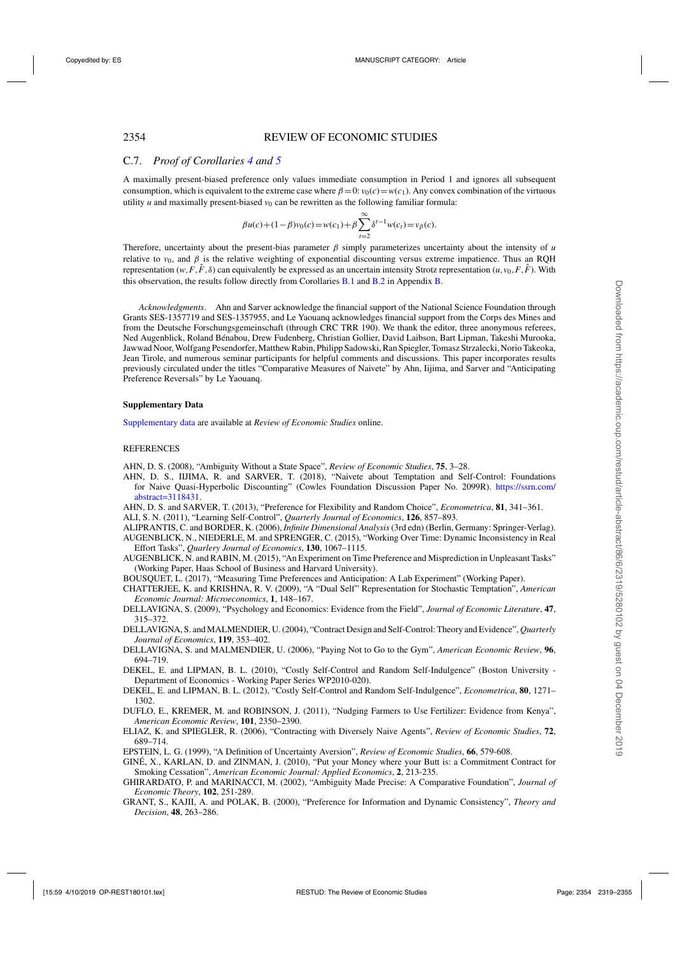## <span id="page-35-0"></span>C.7. *Proof of Corollaries [4](#page-26-0) and [5](#page-26-0)*

A maximally present-biased preference only values immediate consumption in Period 1 and ignores all subsequent consumption, which is equivalent to the extreme case where  $\beta = 0$ :  $v_0(c) = w(c_1)$ . Any convex combination of the virtuous utility *u* and maximally present-biased  $v_0$  can be rewritten as the following familiar formula:

$$
\beta u(c) + (1 - \beta)v_0(c) = w(c_1) + \beta \sum_{t=2}^{\infty} \delta^{t-1} w(c_t) = v_{\beta}(c).
$$

Therefore, uncertainty about the present-bias parameter  $\beta$  simply parameterizes uncertainty about the intensity of  $\mu$ relative to  $v_0$ , and  $\beta$  is the relative weighting of exponential discounting versus extreme impatience. Thus an ROH representation ( $w, F, \hat{F}, \delta$ ) can equivalently be expressed as an uncertain intensity Strotz representation ( $u, v_0, F, \hat{F}$ ). With this observation, the results follow directly from Corollaries [B.1](#page-18-0) and [B.2](#page-18-0) in Appendix [B.](#page-29-0)

*Acknowledgments*. Ahn and Sarver acknowledge the financial support of the National Science Foundation through Grants SES-1357719 and SES-1357955, and Le Yaouanq acknowledges financial support from the Corps des Mines and from the Deutsche Forschungsgemeinschaft (through CRC TRR 190). We thank the editor, three anonymous referees, Ned Augenblick, Roland Bénabou, Drew Fudenberg, Christian Gollier, David Laibson, Bart Lipman, Takeshi Murooka, Jawwad Noor, Wolfgang Pesendorfer, Matthew Rabin, Philipp Sadowski, Ran Spiegler, Tomasz Strzalecki, Norio Takeoka, Jean Tirole, and numerous seminar participants for helpful comments and discussions. This paper incorporates results previously circulated under the titles "Comparative Measures of Naivete" by Ahn, Iijima, and Sarver and "Anticipating Preference Reversals" by Le Yaouanq.

#### **Supplementary Data**

[Supplementary data](https://academic.oup.com/restud/article-lookup/doi/10.1093/restud/rdy076#supplementary-data) are available at *Review of Economic Studies* online.

#### REFERENCES

- AHN, D. S. (2008), "Ambiguity Without a State Space", *Review of Economic Studies*, **75**, 3–28.
- AHN, D. S., IIJIMA, R. and SARVER, T. (2018), "Naivete about Temptation and Self-Control: Foundations for Naive Quasi-Hyperbolic Discounting" (Cowles Foundation Discussion Paper No. 2099R). [https://ssrn.com/](https://ssrn.com/abstract=3118431) [abstract=3118431.](https://ssrn.com/abstract=3118431)

AHN, D. S. and SARVER, T. (2013), "Preference for Flexibility and Random Choice", *Econometrica*, **81**, 341–361.

ALI, S. N. (2011), "Learning Self-Control", *Quarterly Journal of Economics*, **126**, 857–893.

ALIPRANTIS, C. and BORDER, K. (2006), *Infinite Dimensional Analysis*(3rd edn) (Berlin, Germany: Springer-Verlag). AUGENBLICK, N., NIEDERLE, M. and SPRENGER, C. (2015), "Working Over Time: Dynamic Inconsistency in Real Effort Tasks", *Quarlery Journal of Economics*, **130**, 1067–1115.

AUGENBLICK, N. and RABIN, M. (2015), "An Experiment on Time Preference and Misprediction in Unpleasant Tasks" (Working Paper, Haas School of Business and Harvard University).

BOUSQUET, L. (2017), "Measuring Time Preferences and Anticipation: A Lab Experiment" (Working Paper).

CHATTERJEE, K. and KRISHNA, R. V. (2009), "A "Dual Self" Representation for Stochastic Temptation", *American Economic Journal: Microeconomics*, **1**, 148–167.

DELLAVIGNA, S. (2009), "Psychology and Economics: Evidence from the Field", *Journal of Economic Literature*, **47**, 315–372.

DELLAVIGNA, S. and MALMENDIER, U. (2004), "Contract Design and Self-Control: Theory and Evidence", *Quarterly Journal of Economics*, **119**, 353–402.

- DELLAVIGNA, S. and MALMENDIER, U. (2006), "Paying Not to Go to the Gym", *American Economic Review*, **96**, 694–719.
- DEKEL, E. and LIPMAN, B. L. (2010), "Costly Self-Control and Random Self-Indulgence" (Boston University Department of Economics - Working Paper Series WP2010-020).
- DEKEL, E. and LIPMAN, B. L. (2012), "Costly Self-Control and Random Self-Indulgence", *Econometrica*, **80**, 1271– 1302.
- DUFLO, E., KREMER, M. and ROBINSON, J. (2011), "Nudging Farmers to Use Fertilizer: Evidence from Kenya", *American Economic Review*, **101**, 2350–2390.
- ELIAZ, K. and SPIEGLER, R. (2006), "Contracting with Diversely Naive Agents", *Review of Economic Studies*, **72**, 689–714.
- EPSTEIN, L. G. (1999), "A Definition of Uncertainty Aversion", *Review of Economic Studies*, **66**, 579-608.
- GINÉ, X., KARLAN, D. and ZINMAN, J. (2010), "Put your Money where your Butt is: a Commitment Contract for Smoking Cessation", *American Economic Journal: Applied Economics*, **2**, 213-235.
- GHIRARDATO, P. and MARINACCI, M. (2002), "Ambiguity Made Precise: A Comparative Foundation", *Journal of Economic Theory*, **102**, 251-289.
- GRANT, S., KAJII, A. and POLAK, B. (2000), "Preference for Information and Dynamic Consistency", *Theory and Decision*, **48**, 263–286.